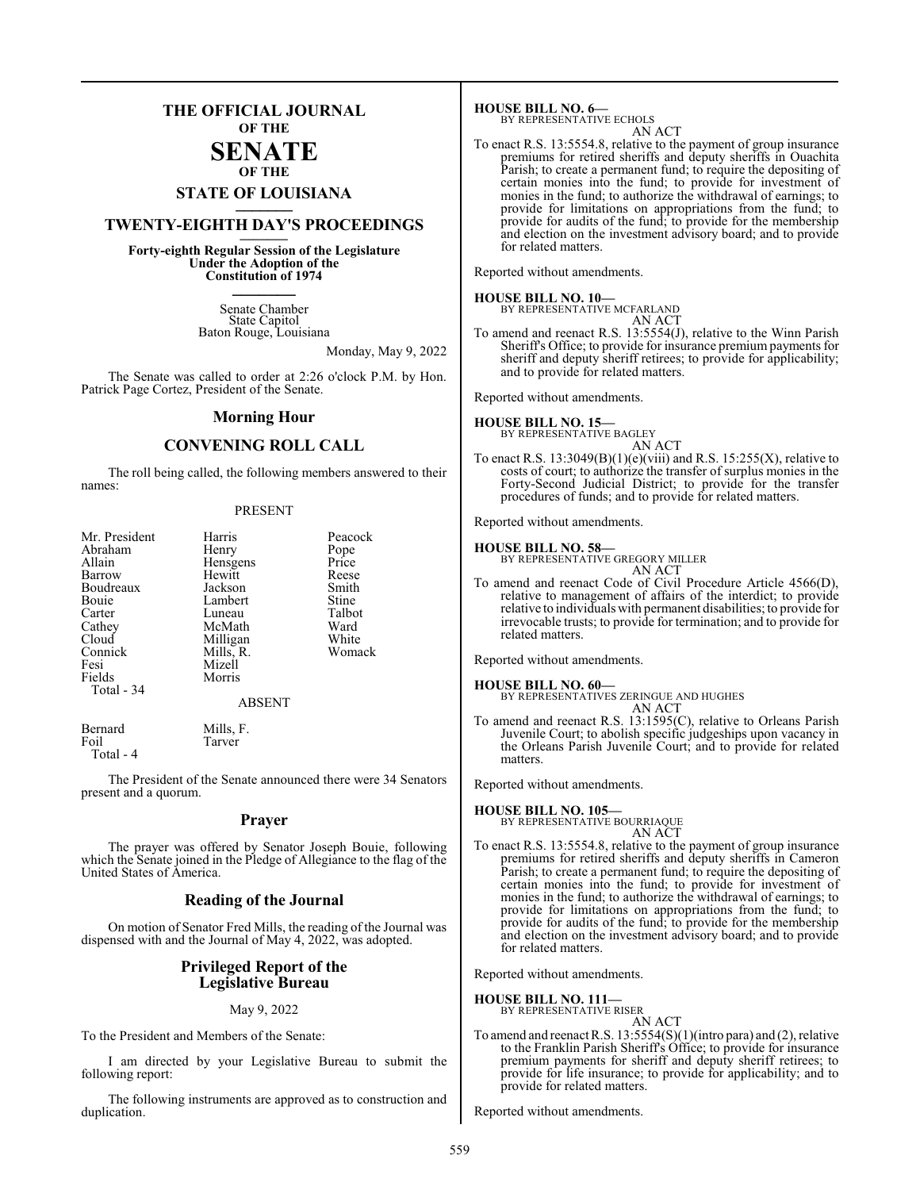### **THE OFFICIAL JOURNAL OF THE SENATE**

### **OF THE**

## **STATE OF LOUISIANA \_\_\_\_\_\_\_**

### **TWENTY-EIGHTH DAY'S PROCEEDINGS \_\_\_\_\_\_\_**

**Forty-eighth Regular Session of the Legislature Under the Adoption of the Constitution of 1974 \_\_\_\_\_\_\_**

> Senate Chamber State Capitol Baton Rouge, Louisiana

> > Monday, May 9, 2022

The Senate was called to order at 2:26 o'clock P.M. by Hon. Patrick Page Cortez, President of the Senate.

#### **Morning Hour**

### **CONVENING ROLL CALL**

The roll being called, the following members answered to their names:

#### PRESENT

| Mr. President<br>Abraham<br>Allain<br>Barrow<br>Boudreaux<br>Bouie<br>Carter<br>Cathey<br>Cloud<br>Connick<br>Fesi | Harris<br>Henry<br>Hensgens<br>Hewitt<br>Jackson<br>Lambert<br>Luneau<br>McMath<br>Milligan<br>Mills, R.<br>Mizell | Peacock<br>Pope<br>Price<br>Reese<br>Smith<br>Stine<br>Talbot<br>Ward<br>White<br>Womack |
|--------------------------------------------------------------------------------------------------------------------|--------------------------------------------------------------------------------------------------------------------|------------------------------------------------------------------------------------------|
| Fields<br>Total $-34$                                                                                              | Morris<br><b>ABSENT</b>                                                                                            |                                                                                          |
| Bernard<br>Foil                                                                                                    | Mills, F.<br>Tarver                                                                                                |                                                                                          |

Total - 4

The President of the Senate announced there were 34 Senators present and a quorum.

#### **Prayer**

The prayer was offered by Senator Joseph Bouie, following which the Senate joined in the Pledge of Allegiance to the flag of the United States of America.

#### **Reading of the Journal**

On motion of Senator Fred Mills, the reading of the Journal was dispensed with and the Journal of May 4, 2022, was adopted.

#### **Privileged Report of the Legislative Bureau**

#### May 9, 2022

To the President and Members of the Senate:

I am directed by your Legislative Bureau to submit the following report:

The following instruments are approved as to construction and duplication.

**HOUSE BILL NO. 6—** BY REPRESENTATIVE ECHOLS

AN ACT

To enact R.S. 13:5554.8, relative to the payment of group insurance premiums for retired sheriffs and deputy sheriffs in Ouachita Parish; to create a permanent fund; to require the depositing of certain monies into the fund; to provide for investment of monies in the fund; to authorize the withdrawal of earnings; to provide for limitations on appropriations from the fund; to provide for audits of the fund; to provide for the membership and election on the investment advisory board; and to provide for related matters.

Reported without amendments.

#### **HOUSE BILL NO. 10—**

BY REPRESENTATIVE MCFARLAND AN ACT

To amend and reenact R.S. 13:5554(J), relative to the Winn Parish Sheriff's Office; to provide for insurance premium payments for sheriff and deputy sheriff retirees; to provide for applicability; and to provide for related matters.

Reported without amendments.

**HOUSE BILL NO. 15—** BY REPRESENTATIVE BAGLEY

AN ACT

To enact R.S.  $13:3049(B)(1)(e)(viii)$  and R.S.  $15:255(X)$ , relative to costs of court; to authorize the transfer of surplus monies in the Forty-Second Judicial District; to provide for the transfer procedures of funds; and to provide for related matters.

Reported without amendments.

#### **HOUSE BILL NO. 58—**

BY REPRESENTATIVE GREGORY MILLER

AN ACT To amend and reenact Code of Civil Procedure Article 4566(D), relative to management of affairs of the interdict; to provide relative to individuals with permanent disabilities; to provide for irrevocable trusts; to provide for termination; and to provide for related matters.

Reported without amendments.

#### **HOUSE BILL NO. 60—**

BY REPRESENTATIVES ZERINGUE AND HUGHES AN ACT

To amend and reenact R.S. 13:1595(C), relative to Orleans Parish Juvenile Court; to abolish specific judgeships upon vacancy in the Orleans Parish Juvenile Court; and to provide for related matters.

Reported without amendments.

**HOUSE BILL NO. 105—** BY REPRESENTATIVE BOURRIAQUE AN ACT

To enact R.S. 13:5554.8, relative to the payment of group insurance premiums for retired sheriffs and deputy sheriffs in Cameron Parish; to create a permanent fund; to require the depositing of certain monies into the fund; to provide for investment of monies in the fund; to authorize the withdrawal of earnings; to provide for limitations on appropriations from the fund; to provide for audits of the fund; to provide for the membership and election on the investment advisory board; and to provide for related matters.

Reported without amendments.

**HOUSE BILL NO. 111—**

BY REPRESENTATIVE RISER

- AN ACT
- To amend and reenact R.S. 13:5554(S)(1)(intro para) and (2), relative to the Franklin Parish Sheriff's Office; to provide for insurance premium payments for sheriff and deputy sheriff retirees; to provide for life insurance; to provide for applicability; and to provide for related matters.

Reported without amendments.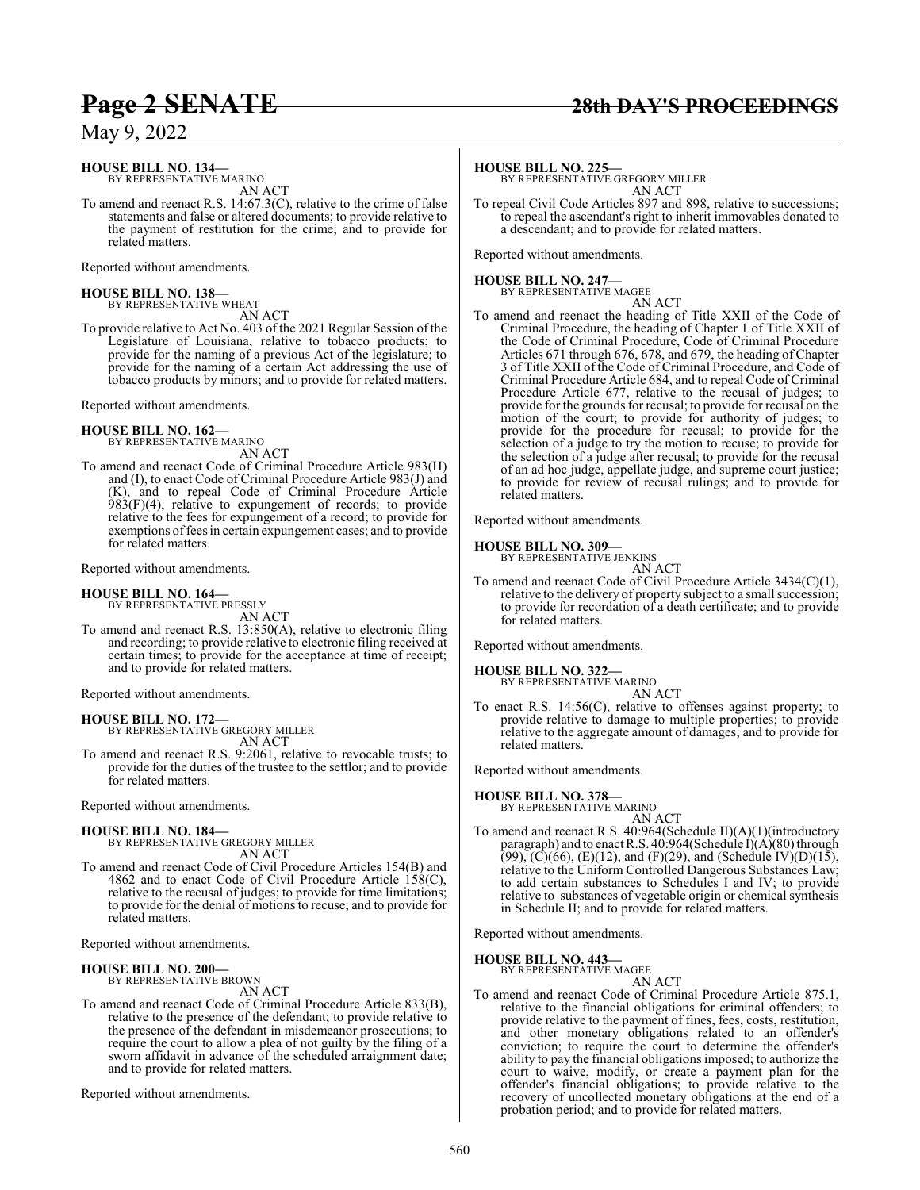### **Page 2 SENATE 28th DAY'S PROCEEDINGS**

May 9, 2022

## **HOUSE BILL NO. 134—** BY REPRESENTATIVE MARINO

AN ACT

To amend and reenact R.S. 14:67.3(C), relative to the crime of false statements and false or altered documents; to provide relative to the payment of restitution for the crime; and to provide for related matters.

Reported without amendments.

## **HOUSE BILL NO. 138—** BY REPRESENTATIVE WHEAT

AN ACT

To provide relative to Act No. 403 of the 2021 Regular Session ofthe Legislature of Louisiana, relative to tobacco products; to provide for the naming of a previous Act of the legislature; to provide for the naming of a certain Act addressing the use of tobacco products by minors; and to provide for related matters.

Reported without amendments.

#### **HOUSE BILL NO. 162—**

BY REPRESENTATIVE MARINO AN ACT

To amend and reenact Code of Criminal Procedure Article 983(H) and (I), to enact Code of Criminal Procedure Article 983(J) and (K), and to repeal Code of Criminal Procedure Article  $983(F)(4)$ , relative to expungement of records; to provide relative to the fees for expungement of a record; to provide for exemptions of fees in certain expungement cases; and to provide for related matters.

Reported without amendments.

## **HOUSE BILL NO. 164—** BY REPRESENTATIVE PRESSLY

AN ACT

To amend and reenact R.S. 13:850(A), relative to electronic filing and recording; to provide relative to electronic filing received at certain times; to provide for the acceptance at time of receipt; and to provide for related matters.

Reported without amendments.

**HOUSE BILL NO. 172—** BY REPRESENTATIVE GREGORY MILLER AN ACT

To amend and reenact R.S. 9:2061, relative to revocable trusts; to provide for the duties of the trustee to the settlor; and to provide for related matters.

Reported without amendments.

## **HOUSE BILL NO. 184—** BY REPRESENTATIVE GREGORY MILLER

AN ACT To amend and reenact Code of Civil Procedure Articles 154(B) and 4862 and to enact Code of Civil Procedure Article 158(C), relative to the recusal of judges; to provide for time limitations; to provide for the denial of motions to recuse; and to provide for related matters.

Reported without amendments.

#### **HOUSE BILL NO. 200—**

BY REPRESENTATIVE BROWN

AN ACT

To amend and reenact Code of Criminal Procedure Article 833(B), relative to the presence of the defendant; to provide relative to the presence of the defendant in misdemeanor prosecutions; to require the court to allow a plea of not guilty by the filing of a sworn affidavit in advance of the scheduled arraignment date; and to provide for related matters.

Reported without amendments.

**HOUSE BILL NO. 225—** BY REPRESENTATIVE GREGORY MILLER AN ACT

To repeal Civil Code Articles 897 and 898, relative to successions; to repeal the ascendant's right to inherit immovables donated to a descendant; and to provide for related matters.

Reported without amendments.

#### **HOUSE BILL NO. 247—**

BY REPRESENTATIVE MAGEE AN ACT

To amend and reenact the heading of Title XXII of the Code of Criminal Procedure, the heading of Chapter 1 of Title XXII of the Code of Criminal Procedure, Code of Criminal Procedure Articles 671 through 676, 678, and 679, the heading of Chapter 3 of Title XXII of the Code of Criminal Procedure, and Code of Criminal Procedure Article 684, and to repeal Code of Criminal Procedure Article 677, relative to the recusal of judges; to provide for the grounds for recusal; to provide for recusal on the motion of the court; to provide for authority of judges; to provide for the procedure for recusal; to provide for the selection of a judge to try the motion to recuse; to provide for the selection of a judge after recusal; to provide for the recusal of an ad hoc judge, appellate judge, and supreme court justice; to provide for review of recusal rulings; and to provide for related matters.

Reported without amendments.

#### **HOUSE BILL NO. 309—**

BY REPRESENTATIVE JENKINS AN ACT

To amend and reenact Code of Civil Procedure Article 3434(C)(1), relative to the delivery of property subject to a small succession; to provide for recordation of a death certificate; and to provide for related matters.

Reported without amendments.

**HOUSE BILL NO. 322—** BY REPRESENTATIVE MARINO

```
AN ACT
```
To enact R.S. 14:56(C), relative to offenses against property; to provide relative to damage to multiple properties; to provide relative to the aggregate amount of damages; and to provide for related matters.

Reported without amendments.

### **HOUSE BILL NO. 378—**

BY REPRESENTATIVE MARINO

AN ACT To amend and reenact R.S. 40:964(Schedule II)(A)(1)(introductory paragraph) and to enact R.S. 40:964(Schedule I)(A)(80) through  $(99)$ ,  $(C)(66)$ ,  $(E)(12)$ , and  $(F)(29)$ , and  $(Schedule IV)(D)(15)$ , relative to the Uniform Controlled Dangerous Substances Law; to add certain substances to Schedules I and IV; to provide relative to substances of vegetable origin or chemical synthesis in Schedule II; and to provide for related matters.

Reported without amendments.

#### **HOUSE BILL NO. 443—**

BY REPRESENTATIVE MAGEE AN ACT

To amend and reenact Code of Criminal Procedure Article 875.1, relative to the financial obligations for criminal offenders; to provide relative to the payment of fines, fees, costs, restitution, and other monetary obligations related to an offender's conviction; to require the court to determine the offender's ability to pay the financial obligations imposed; to authorize the court to waive, modify, or create a payment plan for the offender's financial obligations; to provide relative to the recovery of uncollected monetary obligations at the end of a probation period; and to provide for related matters.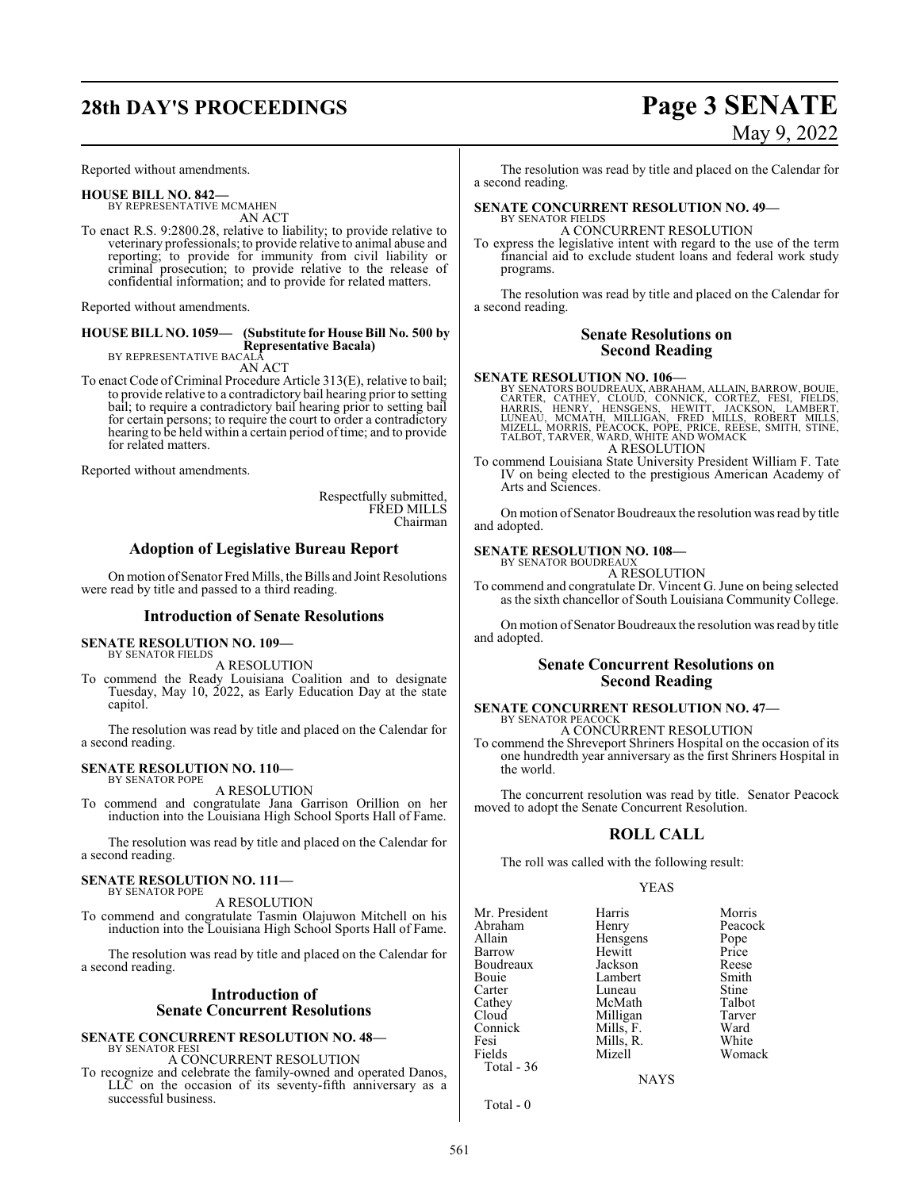## **28th DAY'S PROCEEDINGS Page 3 SENATE**

Reported without amendments.

**HOUSE BILL NO. 842—** BY REPRESENTATIVE MCMAHEN AN ACT

To enact R.S. 9:2800.28, relative to liability; to provide relative to veterinary professionals; to provide relative to animal abuse and reporting; to provide for immunity from civil liability or criminal prosecution; to provide relative to the release of confidential information; and to provide for related matters.

Reported without amendments.

### **HOUSE BILL NO. 1059— (Substitute for House Bill No. 500 by Representative Bacala)** BY REPRESENTATIVE BACALA

AN ACT

To enact Code of Criminal Procedure Article 313(E), relative to bail; to provide relative to a contradictory bail hearing prior to setting bail; to require a contradictory bail hearing prior to setting bail for certain persons; to require the court to order a contradictory hearing to be held within a certain period oftime; and to provide for related matters.

Reported without amendments.

Respectfully submitted, FRED MILLS Chairman

#### **Adoption of Legislative Bureau Report**

On motion of Senator Fred Mills, the Bills and Joint Resolutions were read by title and passed to a third reading.

#### **Introduction of Senate Resolutions**

#### **SENATE RESOLUTION NO. 109—**

BY SENATOR FIELDS

A RESOLUTION To commend the Ready Louisiana Coalition and to designate Tuesday, May 10, 2022, as Early Education Day at the state capitol.

The resolution was read by title and placed on the Calendar for a second reading.

#### **SENATE RESOLUTION NO. 110—** BY SENATOR POPE

A RESOLUTION

To commend and congratulate Jana Garrison Orillion on her induction into the Louisiana High School Sports Hall of Fame.

The resolution was read by title and placed on the Calendar for a second reading.

#### **SENATE RESOLUTION NO. 111—** BY SENATOR POPE

A RESOLUTION

To commend and congratulate Tasmin Olajuwon Mitchell on his induction into the Louisiana High School Sports Hall of Fame.

The resolution was read by title and placed on the Calendar for a second reading.

### **Introduction of Senate Concurrent Resolutions**

### **SENATE CONCURRENT RESOLUTION NO. 48—**

BY SENATOR FESI A CONCURRENT RESOLUTION

To recognize and celebrate the family-owned and operated Danos, LLC on the occasion of its seventy-fifth anniversary as a successful business.

# May 9, 2022

The resolution was read by title and placed on the Calendar for a second reading.

#### **SENATE CONCURRENT RESOLUTION NO. 49—** BY SENATOR FIELDS

A CONCURRENT RESOLUTION

To express the legislative intent with regard to the use of the term financial aid to exclude student loans and federal work study programs.

The resolution was read by title and placed on the Calendar for a second reading.

### **Senate Resolutions on Second Reading**

#### **SENATE RESOLUTION NO. 106—**

BY SENATORS BOUDREAUX, ABRAHAM, ALLAIN, BARROW, BOUIE,<br>CARTER, CATHEY, CLOUD, CONNICK, CORTEZ, FESI, FIELDS,<br>HARRIS, HENRY, HENSGENS, HEWITT, JACKSON, LAMBERT,<br>LUNEAU, MORNIS, PÉACOCK, POPE, PRICE, REÉSE, SMITH, STINE,<br>MZE A RESOLUTION

To commend Louisiana State University President William F. Tate IV on being elected to the prestigious American Academy of Arts and Sciences.

On motion of Senator Boudreaux the resolution was read by title and adopted.

#### **SENATE RESOLUTION NO. 108—** BY SENATOR BOUDREAUX

A RESOLUTION

To commend and congratulate Dr. Vincent G. June on being selected as the sixth chancellor of South Louisiana Community College.

On motion of Senator Boudreaux the resolution was read by title and adopted.

#### **Senate Concurrent Resolutions on Second Reading**

## **SENATE CONCURRENT RESOLUTION NO. 47—** BY SENATOR PEACOCK

A CONCURRENT RESOLUTION

To commend the Shreveport Shriners Hospital on the occasion of its one hundredth year anniversary as the first Shriners Hospital in the world.

The concurrent resolution was read by title. Senator Peacock moved to adopt the Senate Concurrent Resolution.

### **ROLL CALL**

The roll was called with the following result:

#### YEAS

| Mr. President | Harris    | Morris  |
|---------------|-----------|---------|
|               |           |         |
| Abraham       | Henry     | Peacock |
| Allain        | Hensgens  | Pope    |
| Barrow        | Hewitt    | Price   |
| Boudreaux     | Jackson   | Reese   |
| Bouie         | Lambert   | Smith   |
| Carter        | Luneau    | Stine   |
| Cathey        | McMath    | Talbot  |
| Cloud         | Milligan  | Tarver  |
| Connick       | Mills, F. | Ward    |
| Fesi          | Mills, R. | White   |
| Fields        | Mizell    | Womack  |
| Total - 36    |           |         |
|               |           |         |

**NAYS** 

Total - 0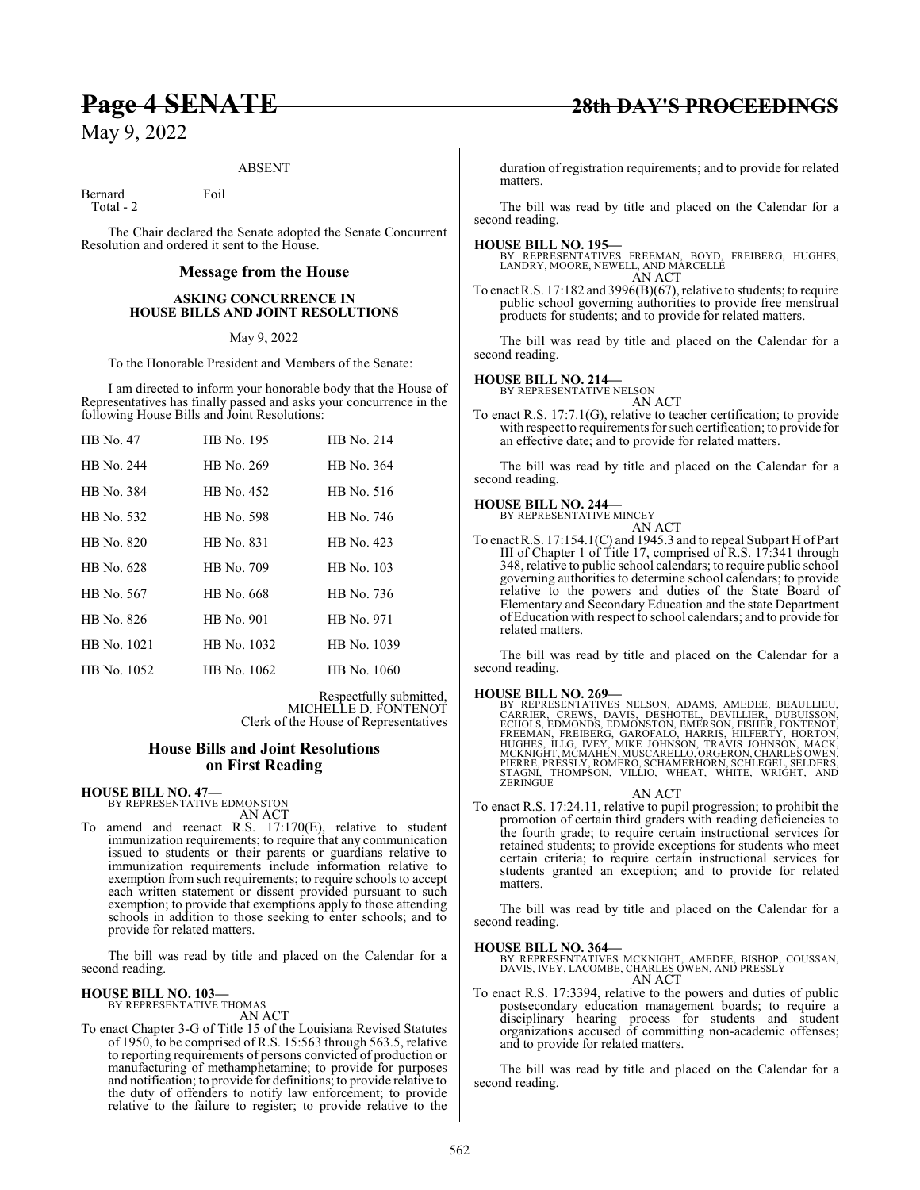#### ABSENT

Bernard Foil Total - 2

The Chair declared the Senate adopted the Senate Concurrent Resolution and ordered it sent to the House.

#### **Message from the House**

#### **ASKING CONCURRENCE IN HOUSE BILLS AND JOINT RESOLUTIONS**

May 9, 2022

To the Honorable President and Members of the Senate:

I am directed to inform your honorable body that the House of Representatives has finally passed and asks your concurrence in the following House Bills and Joint Resolutions:

| HB No. 47   | HB No. 195  | HB No. 214  |
|-------------|-------------|-------------|
| HB No. 244  | HB No. 269  | HB No. 364  |
| HB No. 384  | HB No. 452  | HB No. 516  |
| HB No. 532  | HB No. 598  | HB No. 746  |
| HB No. 820  | HB No. 831  | HB No. 423  |
| HB No. 628  | HB No. 709  | HB No. 103  |
| HB No. 567  | HB No. 668  | HB No. 736  |
| HB No. 826  | HB No. 901  | HB No. 971  |
| HB No. 1021 | HB No. 1032 | HB No. 1039 |
| HB No. 1052 | HB No. 1062 | HB No. 1060 |

Respectfully submitted, MICHELLE D. FONTENOT Clerk of the House of Representatives

#### **House Bills and Joint Resolutions on First Reading**

**HOUSE BILL NO. 47—** BY REPRESENTATIVE EDMONSTON

AN ACT To amend and reenact R.S. 17:170(E), relative to student immunization requirements; to require that any communication issued to students or their parents or guardians relative to immunization requirements include information relative to exemption from such requirements; to require schools to accept each written statement or dissent provided pursuant to such exemption; to provide that exemptions apply to those attending schools in addition to those seeking to enter schools; and to provide for related matters.

The bill was read by title and placed on the Calendar for a second reading.

#### **HOUSE BILL NO. 103—**

BY REPRESENTATIVE THOMAS

AN ACT

To enact Chapter 3-G of Title 15 of the Louisiana Revised Statutes of 1950, to be comprised of R.S. 15:563 through 563.5, relative to reporting requirements of persons convicted of production or manufacturing of methamphetamine; to provide for purposes and notification; to provide for definitions; to provide relative to the duty of offenders to notify law enforcement; to provide relative to the failure to register; to provide relative to the

duration of registration requirements; and to provide for related matters.

The bill was read by title and placed on the Calendar for a second reading.

#### **HOUSE BILL NO. 195—**

BY REPRESENTATIVES FREEMAN, BOYD, FREIBERG, HUGHES, LANDRY, MOORE, NEWELL, AND MARCELLE AN ACT

To enact R.S. 17:182 and 3996(B)(67), relative to students; to require public school governing authorities to provide free menstrual products for students; and to provide for related matters.

The bill was read by title and placed on the Calendar for a second reading.

#### **HOUSE BILL NO. 214—**

BY REPRESENTATIVE NELSON

AN ACT To enact R.S. 17:7.1(G), relative to teacher certification; to provide with respect to requirements for such certification; to provide for an effective date; and to provide for related matters.

The bill was read by title and placed on the Calendar for a second reading.

#### **HOUSE BILL NO. 244—**

BY REPRESENTATIVE MINCEY AN ACT

To enact R.S. 17:154.1(C) and 1945.3 and to repeal Subpart H of Part III of Chapter 1 of Title 17, comprised of R.S. 17:341 through 348, relative to public school calendars; to require public school governing authorities to determine school calendars; to provide relative to the powers and duties of the State Board of Elementary and Secondary Education and the state Department of Education with respect to school calendars; and to provide for related matters.

The bill was read by title and placed on the Calendar for a second reading.

#### **HOUSE BILL NO. 269—**

BY REPRESENTATIVES NELSON, ADAMS, AMEDEE, BEAULLIEU,<br>CARRIER, CREWS, DAVIS, DESHOTEL, DEVILLIER, DUBUISSON,<br>ECHOLS, EDMONDS, EDMONSTON, EMERSON, FISHER, FONTENOT,<br>FREEMAN, FREIBERG, GAROFALO, HARRIS, HILFERTY, HORTON,<br>HUGH STAGNI, THOMPSON, VILLIO, WHEAT, WHITE, WRIGHT, AND ZERINGUE

AN ACT To enact R.S. 17:24.11, relative to pupil progression; to prohibit the promotion of certain third graders with reading deficiencies to the fourth grade; to require certain instructional services for retained students; to provide exceptions for students who meet certain criteria; to require certain instructional services for students granted an exception; and to provide for related matters.

The bill was read by title and placed on the Calendar for a second reading.

#### **HOUSE BILL NO. 364—**

BY REPRESENTATIVES MCKNIGHT, AMEDEE, BISHOP, COUSSAN, DAVIS, IVEY, LACOMBE, CHARLES OWEN, AND PRESSLY AN ACT

To enact R.S. 17:3394, relative to the powers and duties of public postsecondary education management boards; to require a disciplinary hearing process for students and student organizations accused of committing non-academic offenses; and to provide for related matters.

The bill was read by title and placed on the Calendar for a second reading.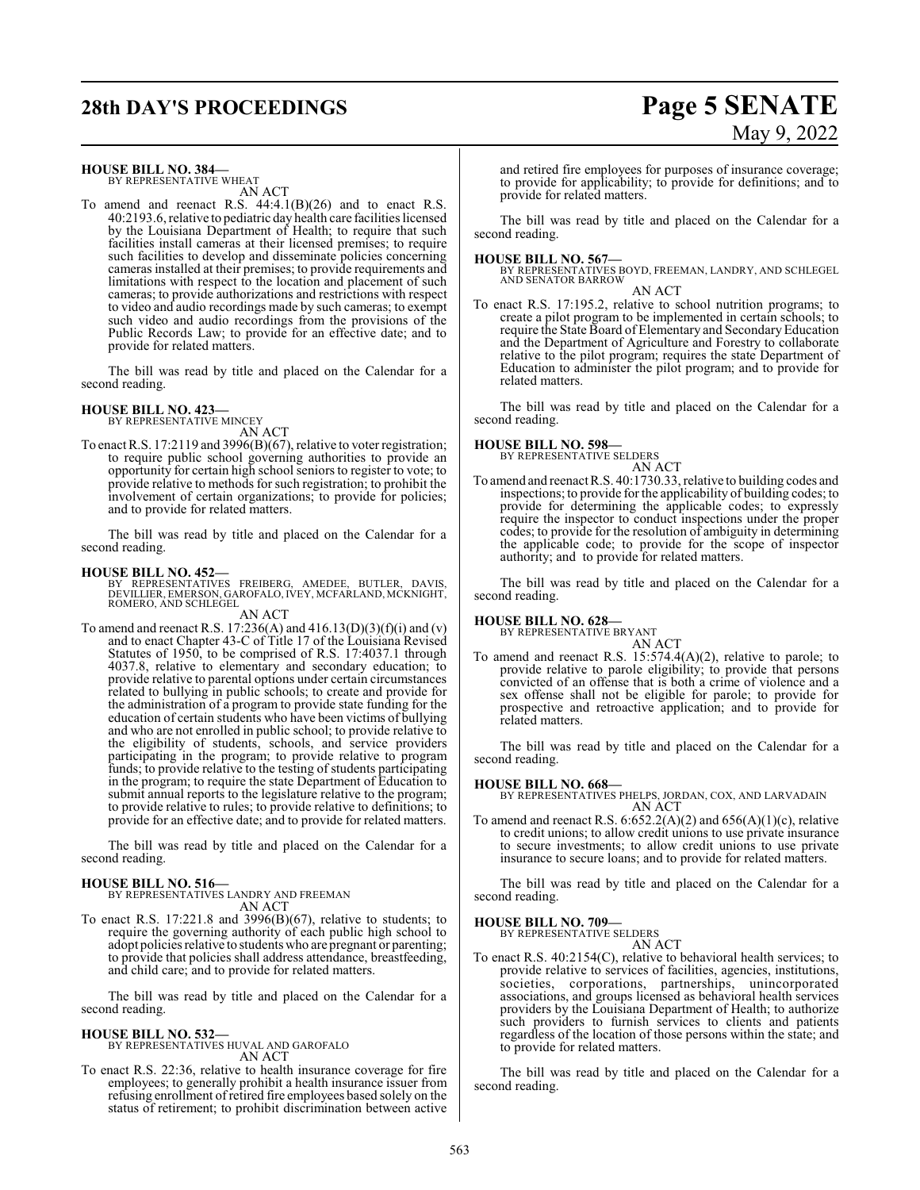## **28th DAY'S PROCEEDINGS Page 5 SENATE**

# May 9, 2022

#### **HOUSE BILL NO. 384—**

BY REPRESENTATIVE WHEAT AN ACT

To amend and reenact R.S.  $44:4.1(B)(26)$  and to enact R.S. 40:2193.6, relative to pediatric day health care facilities licensed by the Louisiana Department of Health; to require that such facilities install cameras at their licensed premises; to require such facilities to develop and disseminate policies concerning cameras installed at their premises; to provide requirements and limitations with respect to the location and placement of such cameras; to provide authorizations and restrictions with respect to video and audio recordings made by such cameras; to exempt such video and audio recordings from the provisions of the Public Records Law; to provide for an effective date; and to provide for related matters.

The bill was read by title and placed on the Calendar for a second reading.

#### **HOUSE BILL NO. 423—** BY REPRESENTATIVE MINCEY

AN ACT

To enact R.S. 17:2119 and 3996(B)(67), relative to voter registration; to require public school governing authorities to provide an opportunity for certain high school seniors to register to vote; to provide relative to methods forsuch registration; to prohibit the involvement of certain organizations; to provide for policies; and to provide for related matters.

The bill was read by title and placed on the Calendar for a second reading.

#### **HOUSE BILL NO. 452—**

BY REPRESENTATIVES FREIBERG, AMEDEE, BUTLER, DAVIS,<br>DEVILLIER,EMERSON,GAROFALO,IVEY,MCFARLAND,MCKNIGHT,<br>ROMERO,AND SCHLEGEL

AN ACT

To amend and reenact R.S. 17:236(A) and 416.13(D)(3)(f)(i) and (v) and to enact Chapter 43-C of Title 17 of the Louisiana Revised Statutes of 1950, to be comprised of R.S. 17:4037.1 through 4037.8, relative to elementary and secondary education; to provide relative to parental options under certain circumstances related to bullying in public schools; to create and provide for the administration of a program to provide state funding for the education of certain students who have been victims of bullying and who are not enrolled in public school; to provide relative to the eligibility of students, schools, and service providers participating in the program; to provide relative to program funds; to provide relative to the testing of students participating in the program; to require the state Department of Education to submit annual reports to the legislature relative to the program; to provide relative to rules; to provide relative to definitions; to provide for an effective date; and to provide for related matters.

The bill was read by title and placed on the Calendar for a second reading.

#### **HOUSE BILL NO. 516—**

BY REPRESENTATIVES LANDRY AND FREEMAN AN ACT

To enact R.S. 17:221.8 and 3996(B)(67), relative to students; to require the governing authority of each public high school to adopt policies relative to students who are pregnant or parenting; to provide that policies shall address attendance, breastfeeding, and child care; and to provide for related matters.

The bill was read by title and placed on the Calendar for a second reading.

#### **HOUSE BILL NO. 532—**

BY REPRESENTATIVES HUVAL AND GAROFALO AN ACT

To enact R.S. 22:36, relative to health insurance coverage for fire employees; to generally prohibit a health insurance issuer from refusing enrollment ofretired fire employees based solely on the status of retirement; to prohibit discrimination between active

and retired fire employees for purposes of insurance coverage; to provide for applicability; to provide for definitions; and to provide for related matters.

The bill was read by title and placed on the Calendar for a second reading.

**HOUSE BILL NO. 567—** BY REPRESENTATIVES BOYD, FREEMAN, LANDRY, AND SCHLEGEL AND SENATOR BARROW

AN ACT To enact R.S. 17:195.2, relative to school nutrition programs; to create a pilot program to be implemented in certain schools; to require the State Board of Elementary and SecondaryEducation and the Department of Agriculture and Forestry to collaborate relative to the pilot program; requires the state Department of Education to administer the pilot program; and to provide for related matters.

The bill was read by title and placed on the Calendar for a second reading.

#### **HOUSE BILL NO. 598—**

BY REPRESENTATIVE SELDERS

- AN ACT
- To amend and reenact R.S. 40:1730.33, relative to building codes and inspections; to provide for the applicability of building codes; to provide for determining the applicable codes; to expressly require the inspector to conduct inspections under the proper codes; to provide for the resolution of ambiguity in determining the applicable code; to provide for the scope of inspector authority; and to provide for related matters.

The bill was read by title and placed on the Calendar for a second reading.

## **HOUSE BILL NO. 628—** BY REPRESENTATIVE BRYANT

AN ACT

To amend and reenact R.S. 15:574.4(A)(2), relative to parole; to provide relative to parole eligibility; to provide that persons convicted of an offense that is both a crime of violence and a sex offense shall not be eligible for parole; to provide for prospective and retroactive application; and to provide for related matters.

The bill was read by title and placed on the Calendar for a second reading.

**HOUSE BILL NO. 668—** BY REPRESENTATIVES PHELPS, JORDAN, COX, AND LARVADAIN AN ACT

To amend and reenact R.S.  $6.652.2(A)(2)$  and  $656(A)(1)(c)$ , relative to credit unions; to allow credit unions to use private insurance to secure investments; to allow credit unions to use private insurance to secure loans; and to provide for related matters.

The bill was read by title and placed on the Calendar for a second reading.

#### **HOUSE BILL NO. 709—**

BY REPRESENTATIVE SELDERS AN ACT

To enact R.S. 40:2154(C), relative to behavioral health services; to provide relative to services of facilities, agencies, institutions, societies, corporations, partnerships, unincorporated associations, and groups licensed as behavioral health services providers by the Louisiana Department of Health; to authorize such providers to furnish services to clients and patients regardless of the location of those persons within the state; and to provide for related matters.

The bill was read by title and placed on the Calendar for a second reading.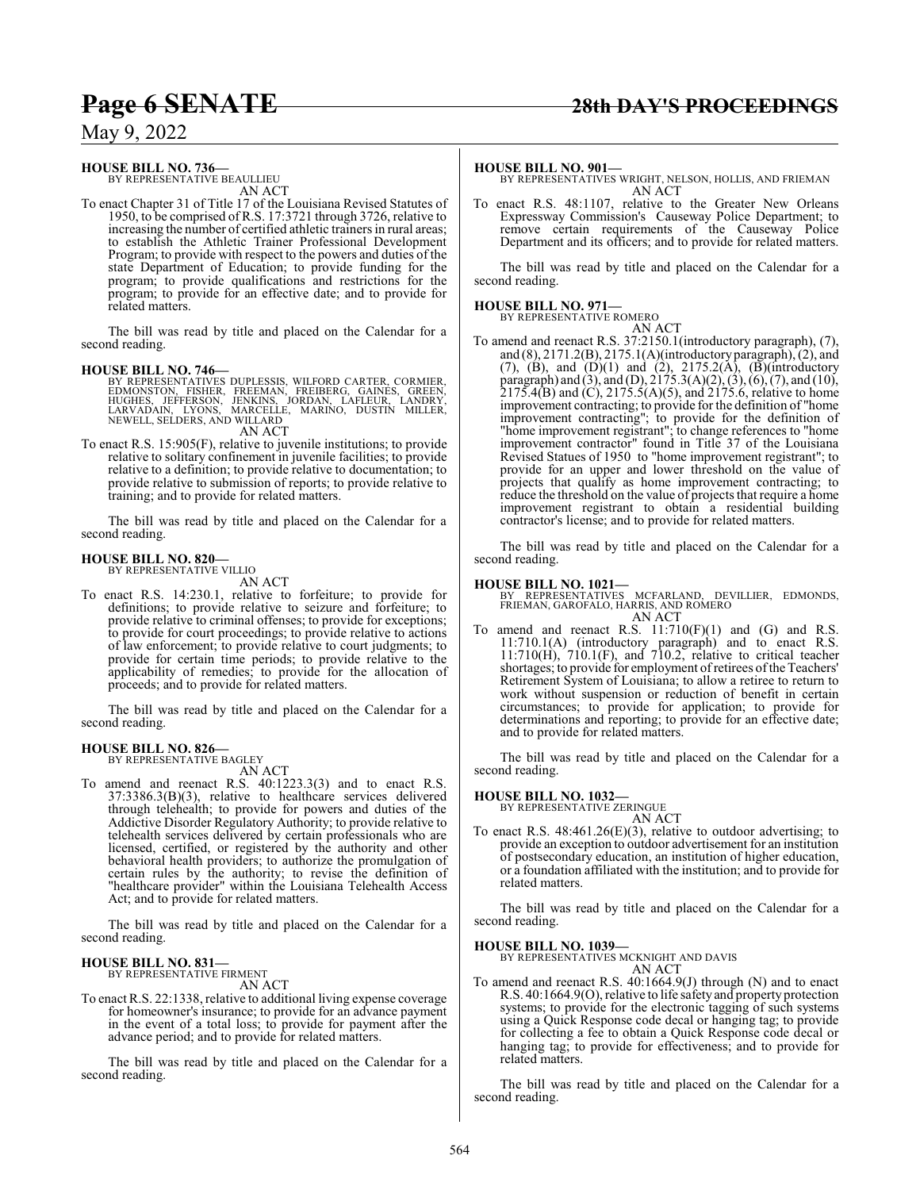### **HOUSE BILL NO. 736—** BY REPRESENTATIVE BEAULLIEU

AN ACT

To enact Chapter 31 of Title 17 of the Louisiana Revised Statutes of 1950, to be comprised of R.S. 17:3721 through 3726, relative to increasing the number of certified athletic trainers in rural areas; to establish the Athletic Trainer Professional Development Program; to provide with respect to the powers and duties of the state Department of Education; to provide funding for the program; to provide qualifications and restrictions for the program; to provide for an effective date; and to provide for related matters.

The bill was read by title and placed on the Calendar for a second reading.

**HOUSE BILL NO. 746—** BY REPRESENTATIVES DUPLESSIS, WILFORD CARTER, CORMIER, EDMONSTON, FISHER, FREEMAN, FREIBERG, GAINES, GREEN,<br>HUGHES, JEFFERSON, JENKINS, JORDAN, LAFLEUR, LANDRY,<br>LARVADAIN, LYONS, MARCELLE, MARINO, DUSTIN MILLER, NEWELL, SELDERS, AND WILLARD AN ACT

To enact R.S. 15:905(F), relative to juvenile institutions; to provide relative to solitary confinement in juvenile facilities; to provide relative to a definition; to provide relative to documentation; to provide relative to submission of reports; to provide relative to training; and to provide for related matters.

The bill was read by title and placed on the Calendar for a second reading.

#### **HOUSE BILL NO. 820—** BY REPRESENTATIVE VILLIO

AN ACT

To enact R.S. 14:230.1, relative to forfeiture; to provide for definitions; to provide relative to seizure and forfeiture; to provide relative to criminal offenses; to provide for exceptions; to provide for court proceedings; to provide relative to actions of law enforcement; to provide relative to court judgments; to provide for certain time periods; to provide relative to the applicability of remedies; to provide for the allocation of proceeds; and to provide for related matters.

The bill was read by title and placed on the Calendar for a second reading.

#### **HOUSE BILL NO. 826—**

BY REPRESENTATIVE BAGLEY AN ACT

To amend and reenact R.S. 40:1223.3(3) and to enact R.S. 37:3386.3(B)(3), relative to healthcare services delivered through telehealth; to provide for powers and duties of the Addictive Disorder Regulatory Authority; to provide relative to telehealth services delivered by certain professionals who are licensed, certified, or registered by the authority and other behavioral health providers; to authorize the promulgation of certain rules by the authority; to revise the definition of "healthcare provider" within the Louisiana Telehealth Access Act; and to provide for related matters.

The bill was read by title and placed on the Calendar for a second reading.

#### **HOUSE BILL NO. 831—** BY REPRESENTATIVE FIRMENT

AN ACT

To enact R.S. 22:1338, relative to additional living expense coverage for homeowner's insurance; to provide for an advance payment in the event of a total loss; to provide for payment after the advance period; and to provide for related matters.

The bill was read by title and placed on the Calendar for a second reading.

**HOUSE BILL NO. 901—** BY REPRESENTATIVES WRIGHT, NELSON, HOLLIS, AND FRIEMAN AN ACT

To enact R.S. 48:1107, relative to the Greater New Orleans Expressway Commission's Causeway Police Department; to remove certain requirements of the Causeway Police Department and its officers; and to provide for related matters.

The bill was read by title and placed on the Calendar for a second reading.

#### **HOUSE BILL NO. 971—**

BY REPRESENTATIVE ROMERO

AN ACT To amend and reenact R.S. 37:2150.1(introductory paragraph), (7), and (8), 2171.2(B), 2175.1(A)(introductory paragraph), (2), and (7), (B), and  $(D)(1)$  and  $(2)$ , 2175.2(A),  $(D)(introducing$ paragraph) and (3), and (D), 2175.3(A)(2), (3), (6), (7), and (10),  $2175.4(B)$  and (C),  $2175.5(A)(5)$ , and  $2175.6$ , relative to home improvement contracting; to provide for the definition of "home improvement contracting"; to provide for the definition of "home improvement registrant"; to change references to "home improvement contractor" found in Title 37 of the Louisiana Revised Statues of 1950 to "home improvement registrant"; to provide for an upper and lower threshold on the value of projects that qualify as home improvement contracting; to reduce the threshold on the value of projects that require a home improvement registrant to obtain a residential building contractor's license; and to provide for related matters.

The bill was read by title and placed on the Calendar for a second reading.

#### **HOUSE BILL NO. 1021—**

BY REPRESENTATIVES MCFARLAND, DEVILLIER, EDMONDS, FRIEMAN, GAROFALO, HARRIS, AND ROMERO AN ACT

To amend and reenact R.S.  $11:710(F)(1)$  and  $(G)$  and R.S. 11:710.1(A) (introductory paragraph) and to enact R.S. 11:710(H), 710.1(F), and 710.2, relative to critical teacher shortages; to provide for employment of retirees of the Teachers' Retirement System of Louisiana; to allow a retiree to return to work without suspension or reduction of benefit in certain circumstances; to provide for application; to provide for determinations and reporting; to provide for an effective date; and to provide for related matters.

The bill was read by title and placed on the Calendar for a second reading.

### **HOUSE BILL NO. 1032—**

BY REPRESENTATIVE ZERINGUE AN ACT

To enact R.S. 48:461.26(E)(3), relative to outdoor advertising; to provide an exception to outdoor advertisement for an institution of postsecondary education, an institution of higher education, or a foundation affiliated with the institution; and to provide for related matters.

The bill was read by title and placed on the Calendar for a second reading.

#### **HOUSE BILL NO. 1039—**

BY REPRESENTATIVES MCKNIGHT AND DAVIS AN ACT

To amend and reenact R.S. 40:1664.9(J) through (N) and to enact R.S. 40:1664.9(O), relative to life safetyand property protection systems; to provide for the electronic tagging of such systems using a Quick Response code decal or hanging tag; to provide for collecting a fee to obtain a Quick Response code decal or hanging tag; to provide for effectiveness; and to provide for related matters.

The bill was read by title and placed on the Calendar for a second reading.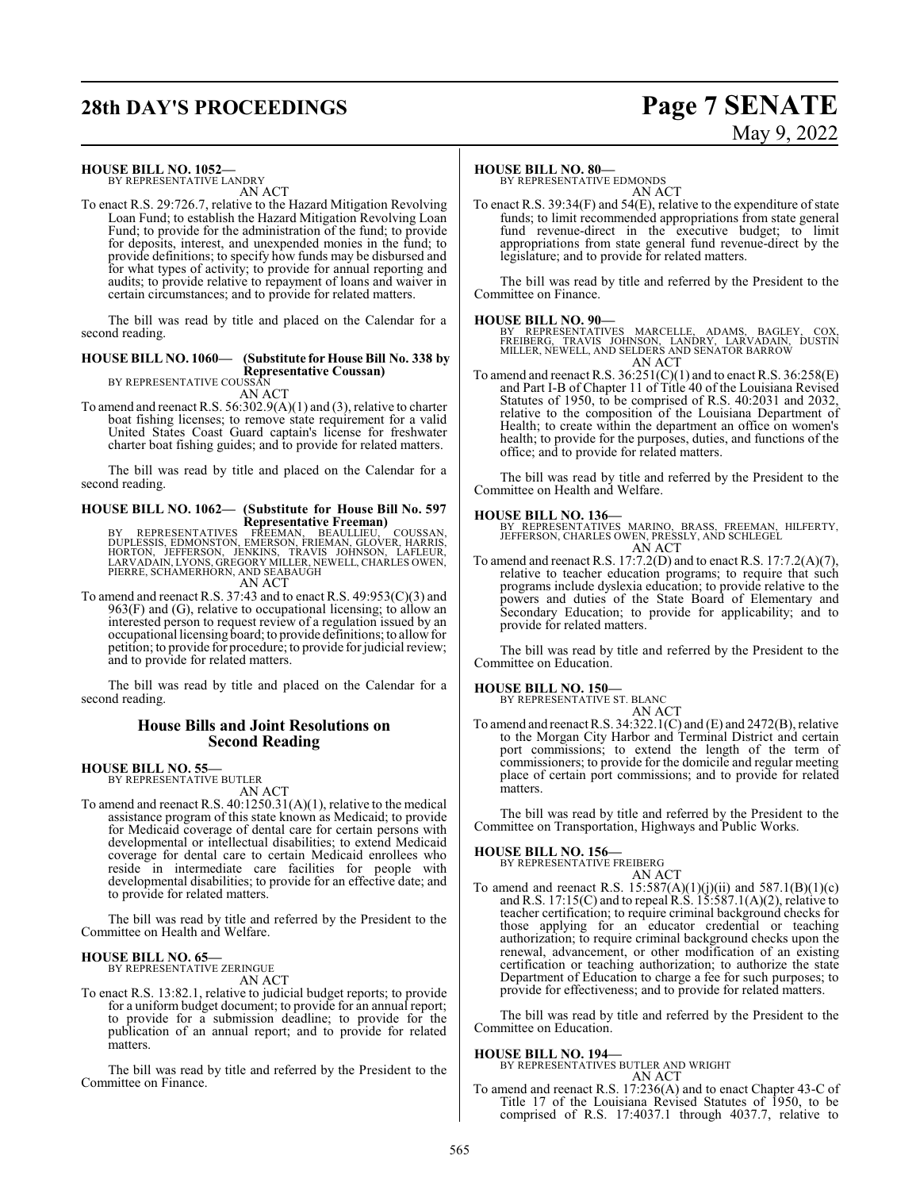## **28th DAY'S PROCEEDINGS Page 7 SENATE**

# May 9, 2022

#### **HOUSE BILL NO. 1052—**

BY REPRESENTATIVE LANDRY AN ACT

To enact R.S. 29:726.7, relative to the Hazard Mitigation Revolving Loan Fund; to establish the Hazard Mitigation Revolving Loan Fund; to provide for the administration of the fund; to provide for deposits, interest, and unexpended monies in the fund; to provide definitions; to specify how funds may be disbursed and for what types of activity; to provide for annual reporting and audits; to provide relative to repayment of loans and waiver in certain circumstances; and to provide for related matters.

The bill was read by title and placed on the Calendar for a second reading.

#### **HOUSE BILL NO. 1060— (Substitute for House Bill No. 338 by Representative Coussan)**

BY REPRESENTATIVE COUSSAN AN ACT

To amend and reenact R.S. 56:302.9(A)(1) and (3), relative to charter boat fishing licenses; to remove state requirement for a valid United States Coast Guard captain's license for freshwater charter boat fishing guides; and to provide for related matters.

The bill was read by title and placed on the Calendar for a second reading.

## **HOUSE BILL NO. 1062— (Substitute for House Bill No. 597**

**Representative Freeman)**<br>
BY REPRESENTATIVES FREEMAN, BEAULLIEU, COUSSAN,<br>
DUPLESSIS, EDMONSTON, EMERSON, FRIEMAN, GLOVER, HARRIS,<br>
HORTON, JEFFERSON, JENKINS, TRAVIS JOHNSON, LAFLEUR,<br>
LARVADAIN, LYONS, GREGORY MILLER, N

To amend and reenact R.S. 37:43 and to enact R.S. 49:953(C)(3) and 963(F) and (G), relative to occupational licensing; to allow an interested person to request review of a regulation issued by an occupational licensing board; to provide definitions; to allowfor petition; to provide for procedure; to provide for judicial review; and to provide for related matters.

The bill was read by title and placed on the Calendar for a second reading.

#### **House Bills and Joint Resolutions on Second Reading**

#### **HOUSE BILL NO. 55—**

BY REPRESENTATIVE BUTLER

AN ACT

To amend and reenact R.S. 40:1250.31(A)(1), relative to the medical assistance program of this state known as Medicaid; to provide for Medicaid coverage of dental care for certain persons with developmental or intellectual disabilities; to extend Medicaid coverage for dental care to certain Medicaid enrollees who reside in intermediate care facilities for people with developmental disabilities; to provide for an effective date; and to provide for related matters.

The bill was read by title and referred by the President to the Committee on Health and Welfare.

### **HOUSE BILL NO. 65—**

BY REPRESENTATIVE ZERINGUE AN ACT

To enact R.S. 13:82.1, relative to judicial budget reports; to provide for a uniform budget document; to provide for an annual report; to provide for a submission deadline; to provide for the publication of an annual report; and to provide for related matters.

The bill was read by title and referred by the President to the Committee on Finance.

#### **HOUSE BILL NO. 80—**

BY REPRESENTATIVE EDMONDS AN ACT

To enact R.S.  $39:34(F)$  and  $54(E)$ , relative to the expenditure of state funds; to limit recommended appropriations from state general fund revenue-direct in the executive budget; to limit appropriations from state general fund revenue-direct by the legislature; and to provide for related matters.

The bill was read by title and referred by the President to the Committee on Finance.

#### **HOUSE BILL NO. 90—**

BY REPRESENTATIVES MARCELLE, ADAMS, BAGLEY, COX,<br>FREIBERG, TRAVIS JOHNSON, LANDRY, LARVADAIN, DUSTIN<br>MILLER,NEWELL,AND SELDERS AND SENATOR BARROW AN ACT

To amend and reenact R.S.  $36:251(C)(1)$  and to enact R.S.  $36:258(E)$ and Part I-B of Chapter 11 of Title 40 of the Louisiana Revised Statutes of 1950, to be comprised of R.S. 40:2031 and 2032, relative to the composition of the Louisiana Department of Health; to create within the department an office on women's health; to provide for the purposes, duties, and functions of the office; and to provide for related matters.

The bill was read by title and referred by the President to the Committee on Health and Welfare.

#### **HOUSE BILL NO. 136—**

BY REPRESENTATIVES MARINO, BRASS, FREEMAN, HILFERTY, JEFFERSON, CHARLES OWEN, PRESSLY, AND SCHLEGEL AN ACT

To amend and reenact R.S. 17:7.2(D) and to enact R.S. 17:7.2(A)(7), relative to teacher education programs; to require that such programs include dyslexia education; to provide relative to the powers and duties of the State Board of Elementary and Secondary Education; to provide for applicability; and to provide for related matters.

The bill was read by title and referred by the President to the Committee on Education.

#### **HOUSE BILL NO. 150—**

BY REPRESENTATIVE ST. BLANC AN ACT

To amend and reenact R.S. 34:322.1(C) and (E) and 2472(B), relative to the Morgan City Harbor and Terminal District and certain port commissions; to extend the length of the term of commissioners; to provide for the domicile and regular meeting place of certain port commissions; and to provide for related matters.

The bill was read by title and referred by the President to the Committee on Transportation, Highways and Public Works.

#### **HOUSE BILL NO. 156—**

BY REPRESENTATIVE FREIBERG

AN ACT To amend and reenact R.S.  $15:587(A)(1)(j)(ii)$  and  $587.1(B)(1)(c)$ and R.S. 17:15(C) and to repeal R.S. 15:587.1(A)(2), relative to teacher certification; to require criminal background checks for those applying for an educator credential or teaching authorization; to require criminal background checks upon the renewal, advancement, or other modification of an existing certification or teaching authorization; to authorize the state Department of Education to charge a fee for such purposes; to provide for effectiveness; and to provide for related matters.

The bill was read by title and referred by the President to the Committee on Education.

#### **HOUSE BILL NO. 194—**

BY REPRESENTATIVES BUTLER AND WRIGHT AN ACT

To amend and reenact R.S. 17:236(A) and to enact Chapter 43-C of Title 17 of the Louisiana Revised Statutes of 1950, to be comprised of R.S. 17:4037.1 through 4037.7, relative to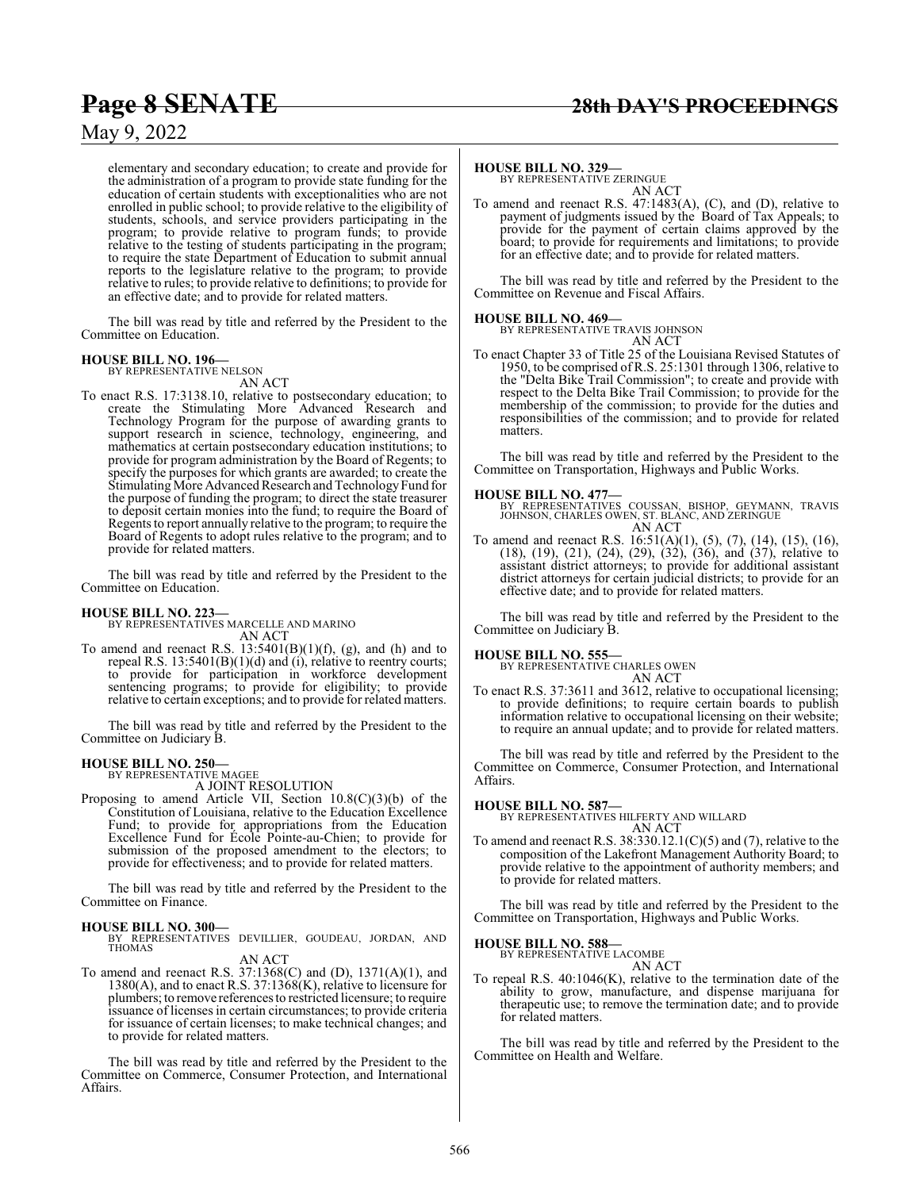elementary and secondary education; to create and provide for the administration of a program to provide state funding for the education of certain students with exceptionalities who are not enrolled in public school; to provide relative to the eligibility of students, schools, and service providers participating in the program; to provide relative to program funds; to provide relative to the testing of students participating in the program; to require the state Department of Education to submit annual reports to the legislature relative to the program; to provide relative to rules; to provide relative to definitions; to provide for an effective date; and to provide for related matters.

The bill was read by title and referred by the President to the Committee on Education.

#### **HOUSE BILL NO. 196—** BY REPRESENTATIVE NELSON

AN ACT

To enact R.S. 17:3138.10, relative to postsecondary education; to create the Stimulating More Advanced Research and Technology Program for the purpose of awarding grants to support research in science, technology, engineering, and mathematics at certain postsecondary education institutions; to provide for program administration by the Board of Regents; to specify the purposes for which grants are awarded; to create the Stimulating More Advanced Research and Technology Fund for the purpose of funding the program; to direct the state treasurer to deposit certain monies into the fund; to require the Board of Regents to report annually relative to the program; to require the Board of Regents to adopt rules relative to the program; and to provide for related matters.

The bill was read by title and referred by the President to the Committee on Education.

**HOUSE BILL NO. 223—** BY REPRESENTATIVES MARCELLE AND MARINO AN ACT

To amend and reenact R.S.  $13:5401(B)(1)(f)$ , (g), and (h) and to repeal R.S. 13:5401(B)(1)(d) and (i), relative to reentry courts; to provide for participation in workforce development sentencing programs; to provide for eligibility; to provide relative to certain exceptions; and to provide for related matters.

The bill was read by title and referred by the President to the Committee on Judiciary B.

## **HOUSE BILL NO. 250—** BY REPRESENTATIVE MAGEE

A JOINT RESOLUTION

Proposing to amend Article VII, Section 10.8(C)(3)(b) of the Constitution of Louisiana, relative to the Education Excellence Fund; to provide for appropriations from the Education Excellence Fund for École Pointe-au-Chien; to provide for submission of the proposed amendment to the electors; to provide for effectiveness; and to provide for related matters.

The bill was read by title and referred by the President to the Committee on Finance.

**HOUSE BILL NO. 300—** BY REPRESENTATIVES DEVILLIER, GOUDEAU, JORDAN, AND THOMAS

#### AN ACT

To amend and reenact R.S. 37:1368(C) and (D), 1371(A)(1), and 1380(A), and to enact R.S. 37:1368(K), relative to licensure for plumbers; to remove references to restricted licensure; to require issuance of licenses in certain circumstances; to provide criteria for issuance of certain licenses; to make technical changes; and to provide for related matters.

The bill was read by title and referred by the President to the Committee on Commerce, Consumer Protection, and International Affairs.

**HOUSE BILL NO. 329—** BY REPRESENTATIVE ZERINGUE AN ACT

To amend and reenact R.S. 47:1483(A), (C), and (D), relative to payment of judgments issued by the Board of Tax Appeals; to provide for the payment of certain claims approved by the board; to provide for requirements and limitations; to provide for an effective date; and to provide for related matters.

The bill was read by title and referred by the President to the Committee on Revenue and Fiscal Affairs.

**HOUSE BILL NO. 469—** BY REPRESENTATIVE TRAVIS JOHNSON AN ACT

To enact Chapter 33 of Title 25 of the Louisiana Revised Statutes of 1950, to be comprised of R.S. 25:1301 through 1306, relative to the "Delta Bike Trail Commission"; to create and provide with respect to the Delta Bike Trail Commission; to provide for the membership of the commission; to provide for the duties and responsibilities of the commission; and to provide for related matters.

The bill was read by title and referred by the President to the Committee on Transportation, Highways and Public Works.

#### **HOUSE BILL NO. 477—**

BY REPRESENTATIVES COUSSAN, BISHOP, GEYMANN, TRAVIS JOHNSON, CHARLES OWEN, ST. BLANC, AND ZERINGUE AN ACT

To amend and reenact R.S. 16:51(A)(1), (5), (7), (14), (15), (16), (18), (19), (21), (24), (29), (32), (36), and (37), relative to assistant district attorneys; to provide for additional assistant district attorneys for certain judicial districts; to provide for an effective date; and to provide for related matters.

The bill was read by title and referred by the President to the Committee on Judiciary B.

#### **HOUSE BILL NO. 555—**

BY REPRESENTATIVE CHARLES OWEN AN ACT

To enact R.S. 37:3611 and 3612, relative to occupational licensing; to provide definitions; to require certain boards to publish information relative to occupational licensing on their website; to require an annual update; and to provide for related matters.

The bill was read by title and referred by the President to the Committee on Commerce, Consumer Protection, and International Affairs.

#### **HOUSE BILL NO. 587—**

BY REPRESENTATIVES HILFERTY AND WILLARD AN ACT

To amend and reenact R.S. 38:330.12.1(C)(5) and (7), relative to the composition of the Lakefront Management Authority Board; to provide relative to the appointment of authority members; and to provide for related matters.

The bill was read by title and referred by the President to the Committee on Transportation, Highways and Public Works.

#### **HOUSE BILL NO. 588—**

BY REPRESENTATIVE LACOMBE AN ACT

To repeal R.S. 40:1046(K), relative to the termination date of the ability to grow, manufacture, and dispense marijuana for therapeutic use; to remove the termination date; and to provide for related matters.

The bill was read by title and referred by the President to the Committee on Health and Welfare.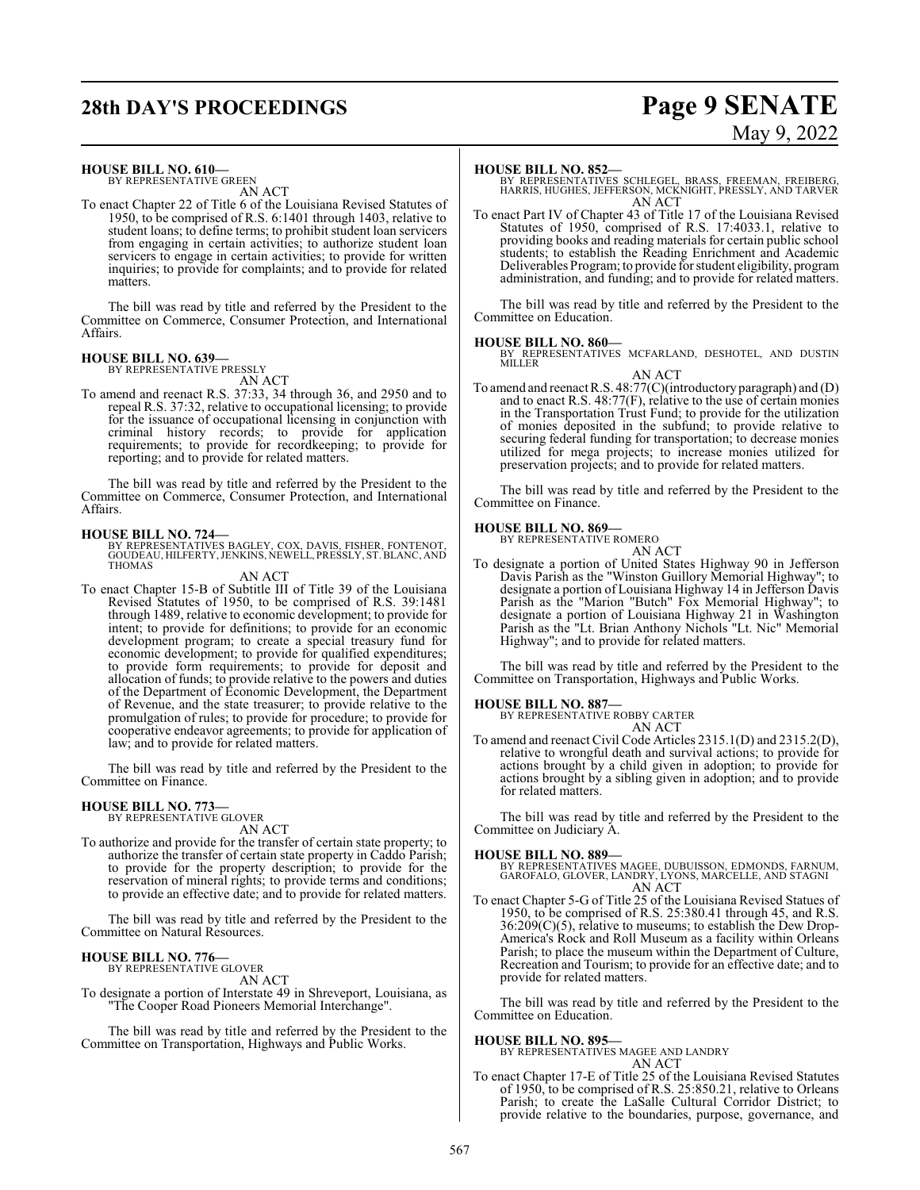## **28th DAY'S PROCEEDINGS Page 9 SENATE**

# May 9, 2022

#### **HOUSE BILL NO. 610—**

BY REPRESENTATIVE GREEN AN ACT

To enact Chapter 22 of Title 6 of the Louisiana Revised Statutes of 1950, to be comprised of R.S. 6:1401 through 1403, relative to student loans; to define terms; to prohibit student loan servicers from engaging in certain activities; to authorize student loan servicers to engage in certain activities; to provide for written inquiries; to provide for complaints; and to provide for related matters.

The bill was read by title and referred by the President to the Committee on Commerce, Consumer Protection, and International Affairs.

### **HOUSE BILL NO. 639—** BY REPRESENTATIVE PRESSLY

AN ACT To amend and reenact R.S. 37:33, 34 through 36, and 2950 and to repeal R.S. 37:32, relative to occupational licensing; to provide for the issuance of occupational licensing in conjunction with criminal history records; to provide for application requirements; to provide for recordkeeping; to provide for reporting; and to provide for related matters.

The bill was read by title and referred by the President to the Committee on Commerce, Consumer Protection, and International Affairs.

#### **HOUSE BILL NO. 724—**

BY REPRESENTATIVES BAGLEY, COX, DAVIS, FISHER, FONTENOT, GOUDEAU, HILFERTY, JENKINS, NEWELL, PRESSLY, ST.BLANC, AND THOMAS

#### AN ACT

To enact Chapter 15-B of Subtitle III of Title 39 of the Louisiana Revised Statutes of 1950, to be comprised of R.S. 39:1481 through 1489, relative to economic development; to provide for intent; to provide for definitions; to provide for an economic development program; to create a special treasury fund for economic development; to provide for qualified expenditures; to provide form requirements; to provide for deposit and allocation of funds; to provide relative to the powers and duties of the Department of Economic Development, the Department of Revenue, and the state treasurer; to provide relative to the promulgation of rules; to provide for procedure; to provide for cooperative endeavor agreements; to provide for application of law; and to provide for related matters.

The bill was read by title and referred by the President to the Committee on Finance.

### **HOUSE BILL NO. 773—** BY REPRESENTATIVE GLOVER

AN ACT

To authorize and provide for the transfer of certain state property; to authorize the transfer of certain state property in Caddo Parish; to provide for the property description; to provide for the reservation of mineral rights; to provide terms and conditions; to provide an effective date; and to provide for related matters.

The bill was read by title and referred by the President to the Committee on Natural Resources.

### **HOUSE BILL NO. 776—** BY REPRESENTATIVE GLOVER

AN ACT

To designate a portion of Interstate 49 in Shreveport, Louisiana, as "The Cooper Road Pioneers Memorial Interchange".

The bill was read by title and referred by the President to the Committee on Transportation, Highways and Public Works.

#### **HOUSE BILL NO. 852—**

BY REPRESENTATIVES SCHLEGEL, BRASS, FREEMAN, FREIBERG, HARRIS, HUGHES, JEFFERSON, MCKNIGHT, PRESSLY, AND TARVER AN ACT

To enact Part IV of Chapter 43 of Title 17 of the Louisiana Revised Statutes of 1950, comprised of R.S. 17:4033.1, relative to providing books and reading materials for certain public school students; to establish the Reading Enrichment and Academic Deliverables Program; to provide for student eligibility, program administration, and funding; and to provide for related matters.

The bill was read by title and referred by the President to the Committee on Education.

**HOUSE BILL NO. 860—** BY REPRESENTATIVES MCFARLAND, DESHOTEL, AND DUSTIN MILLER AN ACT

To amend and reenact R.S. 48:77(C)(introductory paragraph) and (D) and to enact R.S. 48:77(F), relative to the use of certain monies in the Transportation Trust Fund; to provide for the utilization of monies deposited in the subfund; to provide relative to securing federal funding for transportation; to decrease monies utilized for mega projects; to increase monies utilized for preservation projects; and to provide for related matters.

The bill was read by title and referred by the President to the Committee on Finance.

#### **HOUSE BILL NO. 869—**



To designate a portion of United States Highway 90 in Jefferson Davis Parish as the "Winston Guillory Memorial Highway"; to designate a portion of Louisiana Highway 14 in Jefferson Davis Parish as the "Marion "Butch" Fox Memorial Highway"; to designate a portion of Louisiana Highway 21 in Washington Parish as the "Lt. Brian Anthony Nichols "Lt. Nic" Memorial Highway"; and to provide for related matters.

The bill was read by title and referred by the President to the Committee on Transportation, Highways and Public Works.

**HOUSE BILL NO. 887—** BY REPRESENTATIVE ROBBY CARTER AN ACT

To amend and reenact Civil Code Articles 2315.1(D) and 2315.2(D), relative to wrongful death and survival actions; to provide for actions brought by a child given in adoption; to provide for actions brought by a sibling given in adoption; and to provide for related matters.

The bill was read by title and referred by the President to the Committee on Judiciary A.

#### **HOUSE BILL NO. 889—**

BY REPRESENTATIVES MAGEE, DUBUISSON, EDMONDS, FARNUM, GAROFALO, GLOVER, LANDRY, LYONS, MARCELLE, AND STAGNI AN ACT

To enact Chapter 5-G of Title 25 of the Louisiana Revised Statues of 1950, to be comprised of R.S. 25:380.41 through 45, and R.S. 36:209(C)(5), relative to museums; to establish the Dew Drop-America's Rock and Roll Museum as a facility within Orleans Parish; to place the museum within the Department of Culture, Recreation and Tourism; to provide for an effective date; and to provide for related matters.

The bill was read by title and referred by the President to the Committee on Education.

#### **HOUSE BILL NO. 895—**

BY REPRESENTATIVES MAGEE AND LANDRY

#### AN ACT

To enact Chapter 17-E of Title 25 of the Louisiana Revised Statutes of 1950, to be comprised of R.S. 25:850.21, relative to Orleans Parish; to create the LaSalle Cultural Corridor District; to provide relative to the boundaries, purpose, governance, and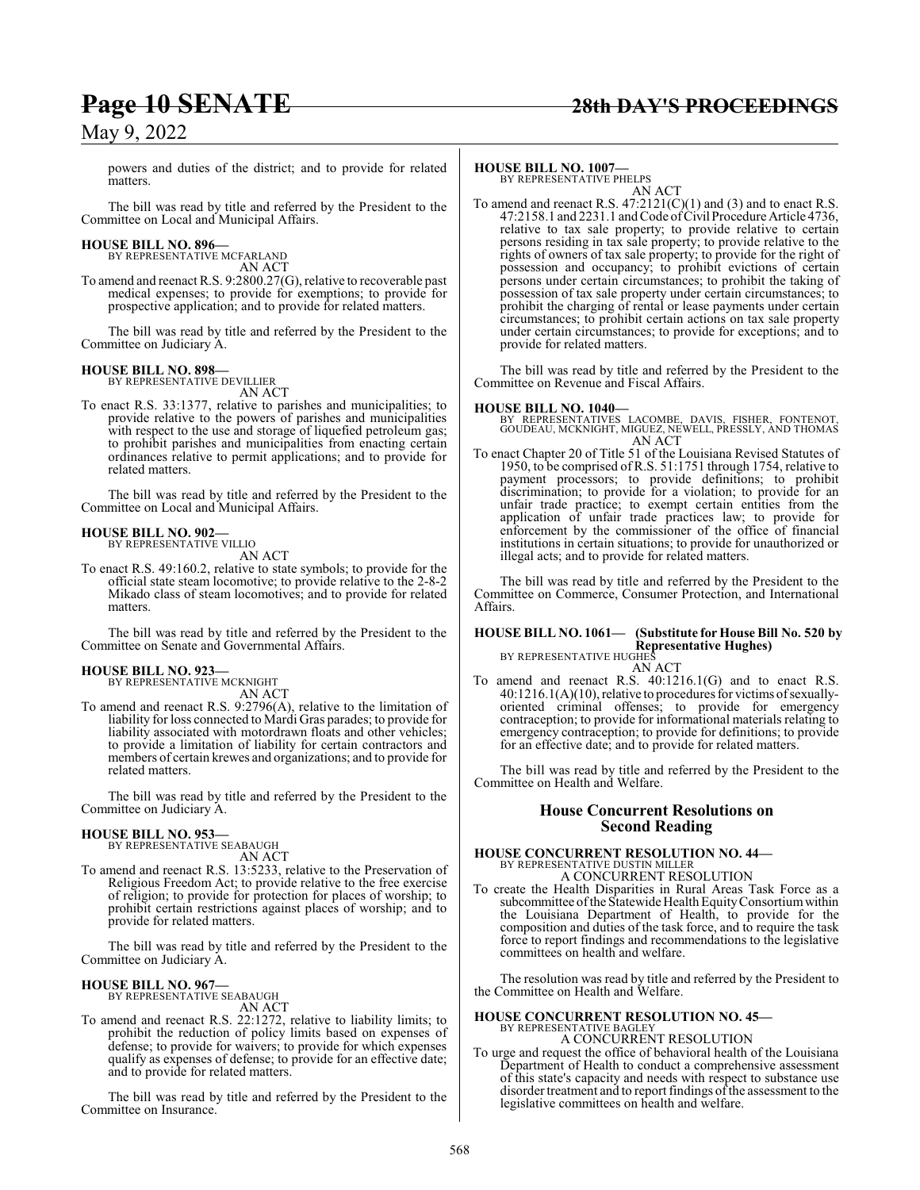powers and duties of the district; and to provide for related matters.

The bill was read by title and referred by the President to the Committee on Local and Municipal Affairs.

#### **HOUSE BILL NO. 896—**

BY REPRESENTATIVE MCFARLAND AN ACT

To amend and reenact R.S. 9:2800.27(G), relative to recoverable past medical expenses; to provide for exemptions; to provide for prospective application; and to provide for related matters.

The bill was read by title and referred by the President to the Committee on Judiciary A.

#### **HOUSE BILL NO. 898—**

BY REPRESENTATIVE DEVILLIER AN ACT

To enact R.S. 33:1377, relative to parishes and municipalities; to provide relative to the powers of parishes and municipalities with respect to the use and storage of liquefied petroleum gas; to prohibit parishes and municipalities from enacting certain ordinances relative to permit applications; and to provide for related matters.

The bill was read by title and referred by the President to the Committee on Local and Municipal Affairs.

## **HOUSE BILL NO. 902—** BY REPRESENTATIVE VILLIO

AN ACT

To enact R.S. 49:160.2, relative to state symbols; to provide for the official state steam locomotive; to provide relative to the 2-8-2 Mikado class of steam locomotives; and to provide for related matters.

The bill was read by title and referred by the President to the Committee on Senate and Governmental Affairs.

#### **HOUSE BILL NO. 923—**

BY REPRESENTATIVE MCKNIGHT

AN ACT To amend and reenact R.S. 9:2796(A), relative to the limitation of liability for loss connected to Mardi Gras parades; to provide for liability associated with motordrawn floats and other vehicles; to provide a limitation of liability for certain contractors and members of certain krewes and organizations; and to provide for related matters.

The bill was read by title and referred by the President to the Committee on Judiciary A.

#### **HOUSE BILL NO. 953—**

BY REPRESENTATIVE SEABAUGH AN ACT

To amend and reenact R.S. 13:5233, relative to the Preservation of Religious Freedom Act; to provide relative to the free exercise of religion; to provide for protection for places of worship; to prohibit certain restrictions against places of worship; and to provide for related matters.

The bill was read by title and referred by the President to the Committee on Judiciary A.

## **HOUSE BILL NO. 967—** BY REPRESENTATIVE SEABAUGH

AN ACT

To amend and reenact R.S. 22:1272, relative to liability limits; to prohibit the reduction of policy limits based on expenses of defense; to provide for waivers; to provide for which expenses qualify as expenses of defense; to provide for an effective date; and to provide for related matters.

The bill was read by title and referred by the President to the Committee on Insurance.

### **HOUSE BILL NO. 1007—** BY REPRESENTATIVE PHELPS

AN ACT

To amend and reenact R.S.  $47:2121(C)(1)$  and (3) and to enact R.S. 47:2158.1 and 2231.1 and Code of Civil Procedure Article 4736, relative to tax sale property; to provide relative to certain persons residing in tax sale property; to provide relative to the rights of owners of tax sale property; to provide for the right of possession and occupancy; to prohibit evictions of certain persons under certain circumstances; to prohibit the taking of possession of tax sale property under certain circumstances; to prohibit the charging of rental or lease payments under certain circumstances; to prohibit certain actions on tax sale property under certain circumstances; to provide for exceptions; and to provide for related matters.

The bill was read by title and referred by the President to the Committee on Revenue and Fiscal Affairs.

#### **HOUSE BILL NO. 1040—**

BY REPRESENTATIVES LACOMBE, DAVIS, FISHER, FONTENOT, GOUDEAU, MCKNIGHT, MIGUEZ, NEWELL, PRESSLY, AND THOMAS AN ACT

To enact Chapter 20 of Title 51 of the Louisiana Revised Statutes of 1950, to be comprised of R.S. 51:1751 through 1754, relative to payment processors; to provide definitions; to prohibit discrimination; to provide for a violation; to provide for an unfair trade practice; to exempt certain entities from the application of unfair trade practices law; to provide for enforcement by the commissioner of the office of financial institutions in certain situations; to provide for unauthorized or illegal acts; and to provide for related matters.

The bill was read by title and referred by the President to the Committee on Commerce, Consumer Protection, and International Affairs.

#### **HOUSE BILL NO. 1061— (Substitute for House Bill No. 520 by Representative Hughes)** BY REPRESENTATIVE HUGHES

AN ACT

To amend and reenact R.S. 40:1216.1(G) and to enact R.S. 40:1216.1(A)(10), relative to procedures for victims ofsexuallyoriented criminal offenses; to provide for emergency contraception; to provide for informational materials relating to emergency contraception; to provide for definitions; to provide for an effective date; and to provide for related matters.

The bill was read by title and referred by the President to the Committee on Health and Welfare.

### **House Concurrent Resolutions on Second Reading**

### **HOUSE CONCURRENT RESOLUTION NO. 44—** BY REPRESENTATIVE DUSTIN MILLER A CONCURRENT RESOLUTION

To create the Health Disparities in Rural Areas Task Force as a subcommittee of the Statewide Health Equity Consortium within the Louisiana Department of Health, to provide for the composition and duties of the task force, and to require the task force to report findings and recommendations to the legislative committees on health and welfare.

The resolution was read by title and referred by the President to the Committee on Health and Welfare.

#### **HOUSE CONCURRENT RESOLUTION NO. 45—** BY REPRESENTATIVE BAGLEY

A CONCURRENT RESOLUTION

To urge and request the office of behavioral health of the Louisiana Department of Health to conduct a comprehensive assessment of this state's capacity and needs with respect to substance use disorder treatment and to report findings of the assessment to the legislative committees on health and welfare.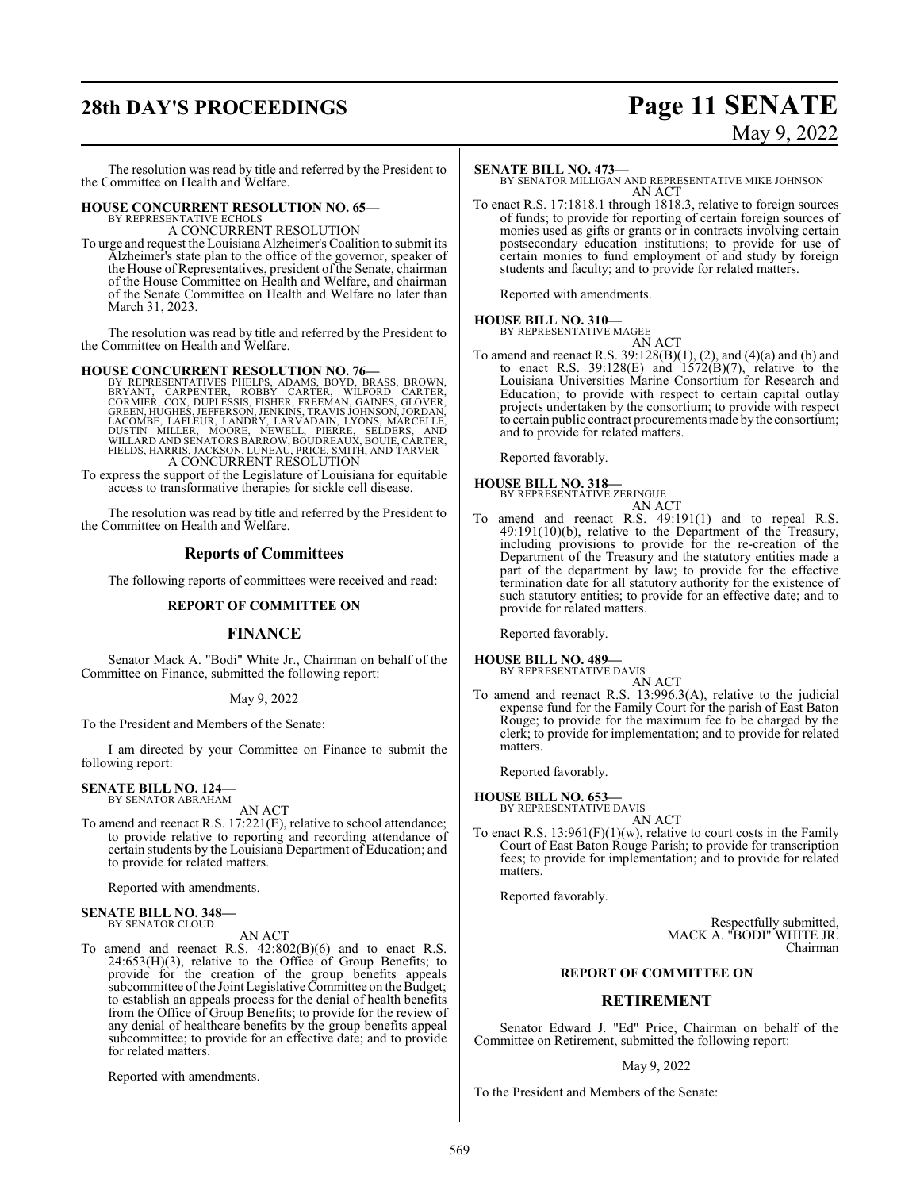## **28th DAY'S PROCEEDINGS Page 11 SENATE**

# May 9, 2022

The resolution was read by title and referred by the President to the Committee on Health and Welfare.

### **HOUSE CONCURRENT RESOLUTION NO. 65—**

BY REPRESENTATIVE ECHOLS A CONCURRENT RESOLUTION

To urge and request the Louisiana Alzheimer's Coalition to submit its Alzheimer's state plan to the office of the governor, speaker of the House of Representatives, president of the Senate, chairman of the House Committee on Health and Welfare, and chairman of the Senate Committee on Health and Welfare no later than March 31, 2023.

The resolution was read by title and referred by the President to the Committee on Health and Welfare.

#### **HOUSE CONCURRENT RESOLUTION NO. 76—**

BY REPRESENTATIVES PHELPS, ADAMS, BOYD, BRASS, BROWN, CORNERYANT, CARPENTER, ROBBY CARTER, WILFORD CARTER, SCRIMING CORMIER, COX, DUPLESSIS, FISHER, FREEMAN, GAINES, GLOVER, GACCORMIER, LACOMBAN, LANDES, JEAN LACOMBE, LAEL

To express the support of the Legislature of Louisiana for equitable access to transformative therapies for sickle cell disease.

The resolution was read by title and referred by the President to the Committee on Health and Welfare.

### **Reports of Committees**

The following reports of committees were received and read:

#### **REPORT OF COMMITTEE ON**

#### **FINANCE**

Senator Mack A. "Bodi" White Jr., Chairman on behalf of the Committee on Finance, submitted the following report:

May 9, 2022

To the President and Members of the Senate:

I am directed by your Committee on Finance to submit the following report:

#### **SENATE BILL NO. 124—**

BY SENATOR ABRAHAM

AN ACT To amend and reenact R.S. 17:221(E), relative to school attendance; to provide relative to reporting and recording attendance of certain students by the Louisiana Department of Education; and to provide for related matters.

Reported with amendments.

#### **SENATE BILL NO. 348—** BY SENATOR CLOUD

AN ACT

To amend and reenact R.S. 42:802(B)(6) and to enact R.S.  $24:653(H)(3)$ , relative to the Office of Group Benefits; to provide for the creation of the group benefits appeals subcommittee of the Joint Legislative Committee on the Budget; to establish an appeals process for the denial of health benefits from the Office of Group Benefits; to provide for the review of any denial of healthcare benefits by the group benefits appeal subcommittee; to provide for an effective date; and to provide for related matters.

Reported with amendments.

#### **SENATE BILL NO. 473—**

BY SENATOR MILLIGAN AND REPRESENTATIVE MIKE JOHNSON AN ACT

To enact R.S. 17:1818.1 through 1818.3, relative to foreign sources of funds; to provide for reporting of certain foreign sources of monies used as gifts or grants or in contracts involving certain postsecondary education institutions; to provide for use of certain monies to fund employment of and study by foreign students and faculty; and to provide for related matters.

Reported with amendments.

### **HOUSE BILL NO. 310—**

BY REPRESENTATIVE MAGEE AN ACT

To amend and reenact R.S. 39:128(B)(1), (2), and (4)(a) and (b) and to enact R.S.  $39:128(E)$  and  $1572(B)(7)$ , relative to the Louisiana Universities Marine Consortium for Research and Education; to provide with respect to certain capital outlay projects undertaken by the consortium; to provide with respect to certain public contract procurements made by the consortium; and to provide for related matters.

Reported favorably.

### **HOUSE BILL NO. 318—** BY REPRESENTATIVE ZERINGUE



To amend and reenact R.S. 49:191(1) and to repeal R.S. 49:191(10)(b), relative to the Department of the Treasury, including provisions to provide for the re-creation of the Department of the Treasury and the statutory entities made a part of the department by law; to provide for the effective termination date for all statutory authority for the existence of such statutory entities; to provide for an effective date; and to provide for related matters.

Reported favorably.

#### **HOUSE BILL NO. 489—** BY REPRESENTATIVE DAVIS

AN ACT

To amend and reenact R.S. 13:996.3(A), relative to the judicial expense fund for the Family Court for the parish of East Baton Rouge; to provide for the maximum fee to be charged by the clerk; to provide for implementation; and to provide for related matters.

Reported favorably.

**HOUSE BILL NO. 653—**

BY REPRESENTATIVE DAVIS AN ACT

To enact R.S.  $13:961(F)(1)(w)$ , relative to court costs in the Family Court of East Baton Rouge Parish; to provide for transcription fees; to provide for implementation; and to provide for related matters.

Reported favorably.

Respectfully submitted, MACK A. "BODI" WHITE JR. Chairman

#### **REPORT OF COMMITTEE ON**

### **RETIREMENT**

Senator Edward J. "Ed" Price, Chairman on behalf of the Committee on Retirement, submitted the following report:

#### May 9, 2022

To the President and Members of the Senate: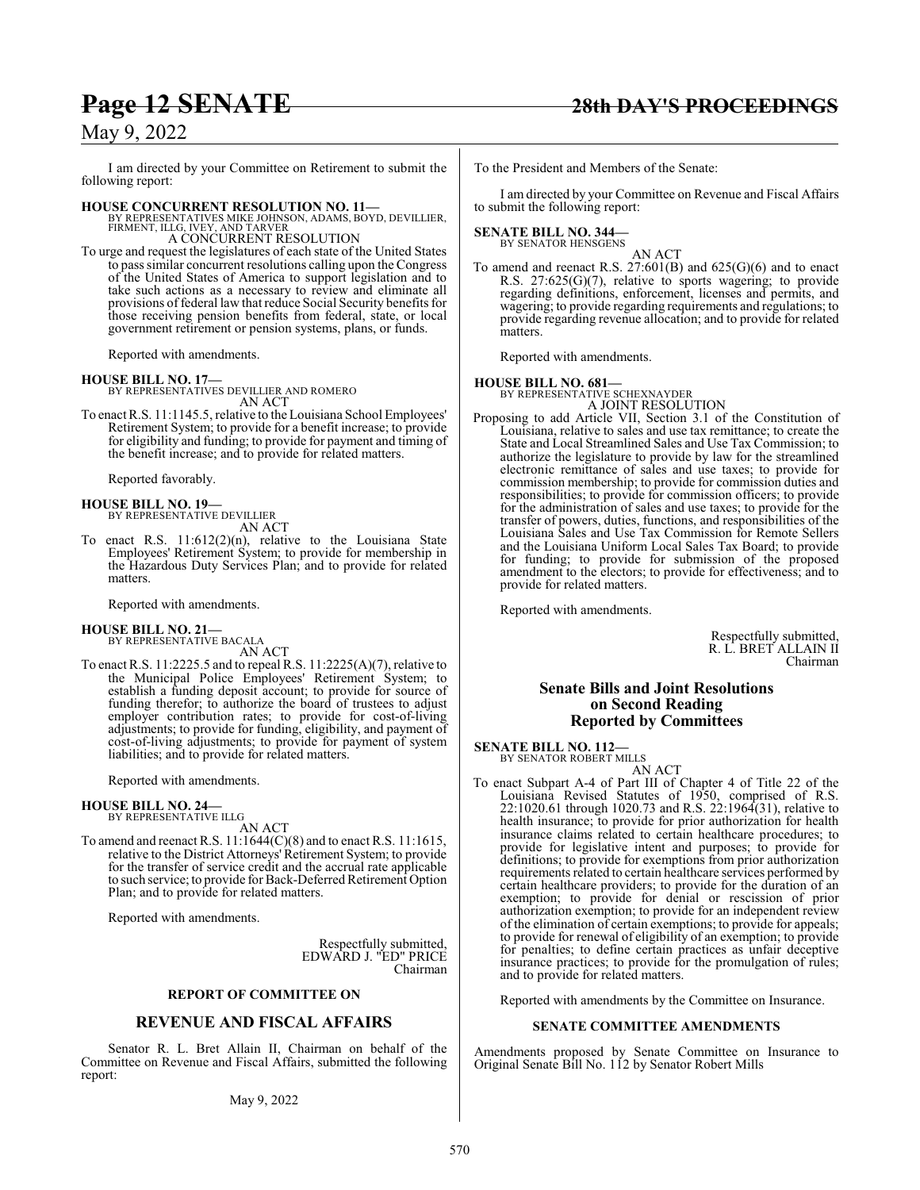I am directed by your Committee on Retirement to submit the following report:

#### **HOUSE CONCURRENT RESOLUTION NO. 11—**

BY REPRESENTATIVES MIKE JOHNSON, ADAMS, BOYD, DEVILLIER, FIRMENT, ILLG, IVEY, AND TARVER A CONCURRENT RESOLUTION

To urge and request the legislatures of each state of the United States to pass similar concurrent resolutions calling upon the Congress of the United States of America to support legislation and to take such actions as a necessary to review and eliminate all provisions offederal law that reduce Social Security benefits for those receiving pension benefits from federal, state, or local government retirement or pension systems, plans, or funds.

Reported with amendments.

#### **HOUSE BILL NO. 17—**

BY REPRESENTATIVES DEVILLIER AND ROMERO AN ACT

To enact R.S. 11:1145.5, relative to the Louisiana School Employees' Retirement System; to provide for a benefit increase; to provide for eligibility and funding; to provide for payment and timing of the benefit increase; and to provide for related matters.

Reported favorably.

#### **HOUSE BILL NO. 19—** BY REPRESENTATIVE DEVILLIER

AN ACT

To enact R.S. 11:612(2)(n), relative to the Louisiana State Employees' Retirement System; to provide for membership in the Hazardous Duty Services Plan; and to provide for related matters.

Reported with amendments.

### **HOUSE BILL NO. 21—**

BY REPRESENTATIVE BACALA AN ACT

To enact R.S. 11:2225.5 and to repeal R.S. 11:2225(A)(7), relative to the Municipal Police Employees' Retirement System; to establish a funding deposit account; to provide for source of funding therefor; to authorize the board of trustees to adjust employer contribution rates; to provide for cost-of-living adjustments; to provide for funding, eligibility, and payment of cost-of-living adjustments; to provide for payment of system liabilities; and to provide for related matters.

Reported with amendments.

#### **HOUSE BILL NO. 24—** BY REPRESENTATIVE ILLG

AN ACT

To amend and reenact R.S. 11:1644(C)(8) and to enact R.S. 11:1615, relative to the District Attorneys' Retirement System; to provide for the transfer of service credit and the accrual rate applicable to such service; to provide for Back-Deferred Retirement Option Plan; and to provide for related matters.

Reported with amendments.

Respectfully submitted, EDWARD J. "ED" PRICE Chairman

#### **REPORT OF COMMITTEE ON**

### **REVENUE AND FISCAL AFFAIRS**

Senator R. L. Bret Allain II, Chairman on behalf of the Committee on Revenue and Fiscal Affairs, submitted the following report:

To the President and Members of the Senate:

I am directed by your Committee on Revenue and Fiscal Affairs to submit the following report:

## **SENATE BILL NO. 344—** BY SENATOR HENSGENS

AN ACT

To amend and reenact R.S. 27:601(B) and 625(G)(6) and to enact R.S. 27:625(G)(7), relative to sports wagering; to provide regarding definitions, enforcement, licenses and permits, and wagering; to provide regarding requirements and regulations; to provide regarding revenue allocation; and to provide for related matters.

Reported with amendments.

#### **HOUSE BILL NO. 681—**

BY REPRESENTATIVE SCHEXNAYDER A JOINT RESOLUTION

Proposing to add Article VII, Section 3.1 of the Constitution of Louisiana, relative to sales and use tax remittance; to create the State and Local Streamlined Sales and Use Tax Commission; to authorize the legislature to provide by law for the streamlined electronic remittance of sales and use taxes; to provide for commission membership; to provide for commission duties and responsibilities; to provide for commission officers; to provide for the administration of sales and use taxes; to provide for the transfer of powers, duties, functions, and responsibilities of the Louisiana Sales and Use Tax Commission for Remote Sellers and the Louisiana Uniform Local Sales Tax Board; to provide for funding; to provide for submission of the proposed amendment to the electors; to provide for effectiveness; and to provide for related matters.

Reported with amendments.

Respectfully submitted, R. L. BRET ALLAIN II Chairman

#### **Senate Bills and Joint Resolutions on Second Reading Reported by Committees**

**SENATE BILL NO. 112—** BY SENATOR ROBERT MILLS

AN ACT

To enact Subpart A-4 of Part III of Chapter 4 of Title 22 of the Louisiana Revised Statutes of 1950, comprised of R.S. 22:1020.61 through 1020.73 and R.S. 22:1964(31), relative to health insurance; to provide for prior authorization for health insurance claims related to certain healthcare procedures; to provide for legislative intent and purposes; to provide for definitions; to provide for exemptions from prior authorization requirements related to certain healthcare services performed by certain healthcare providers; to provide for the duration of an exemption; to provide for denial or rescission of prior authorization exemption; to provide for an independent review of the elimination of certain exemptions; to provide for appeals; to provide for renewal of eligibility of an exemption; to provide for penalties; to define certain practices as unfair deceptive insurance practices; to provide for the promulgation of rules; and to provide for related matters.

Reported with amendments by the Committee on Insurance.

#### **SENATE COMMITTEE AMENDMENTS**

Amendments proposed by Senate Committee on Insurance to Original Senate Bill No. 112 by Senator Robert Mills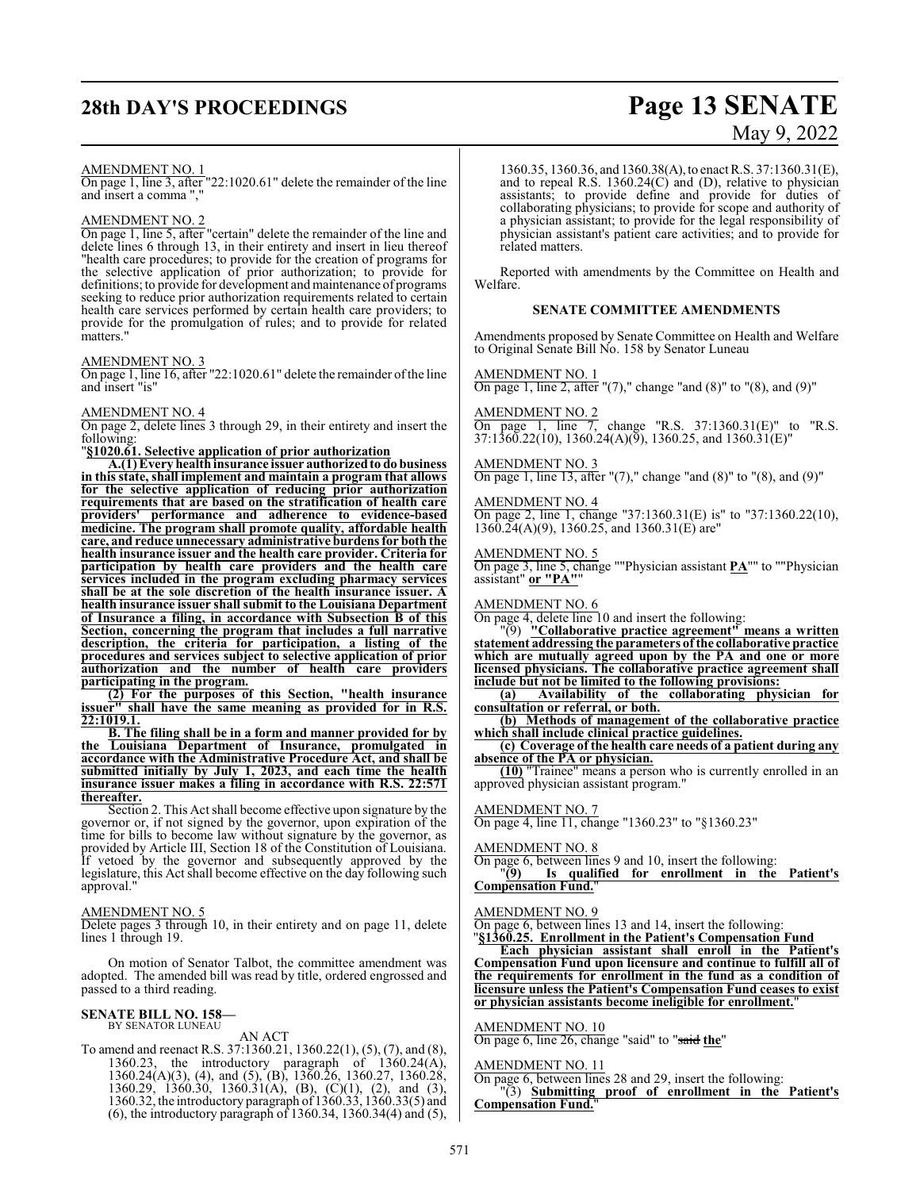## **28th DAY'S PROCEEDINGS Page 13 SENATE**

# May 9, 2022

#### AMENDMENT NO. 1

On page 1, line 3, after "22:1020.61" delete the remainder of the line and insert a comma ","

#### AMENDMENT NO. 2

On page 1, line 5, after "certain" delete the remainder of the line and delete lines 6 through 13, in their entirety and insert in lieu thereof "health care procedures; to provide for the creation of programs for the selective application of prior authorization; to provide for definitions; to provide for development and maintenance of programs seeking to reduce prior authorization requirements related to certain health care services performed by certain health care providers; to provide for the promulgation of rules; and to provide for related matters."

#### AMENDMENT NO. 3

On page 1, line 16, after "22:1020.61" delete the remainder ofthe line and insert "is"

### AMENDMENT NO. 4

On page 2, delete lines 3 through 29, in their entirety and insert the following:

"**§1020.61. Selective application of prior authorization**

**A.(1) Every health insurance issuer authorizedto do business in this state, shall implement and maintain a program that allows for the selective application of reducing prior authorization requirements that are based on the stratification of health care providers' performance and adherence to evidence-based medicine. The program shall promote quality, affordable health care, and reduce unnecessary administrative burdens for both the health insurance issuer and the health care provider. Criteria for participation by health care providers and the health care services included in the program excluding pharmacy services shall be at the sole discretion of the health insurance issuer. A health insurance issuer shall submit to the Louisiana Department of Insurance a filing, in accordance with Subsection B of this Section, concerning the program that includes a full narrative description, the criteria for participation, a listing of the procedures and services subject to selective application of prior authorization and the number of health care providers participating in the program.** 

**(2) For the purposes of this Section, "health insurance issuer" shall have the same meaning as provided for in R.S. 22:1019.1.**

**B. The filing shall be in a form and manner provided for by the Louisiana Department of Insurance, promulgated in accordance with the Administrative Procedure Act, and shall be submitted initially by July 1, 2023, and each time the health insurance issuer makes a filing in accordance with R.S. thereafter.**

Section 2. This Act shall become effective upon signature by the governor or, if not signed by the governor, upon expiration of the time for bills to become law without signature by the governor, as provided by Article III, Section 18 of the Constitution of Louisiana. If vetoed by the governor and subsequently approved by the legislature, this Act shall become effective on the day following such approval."

#### AMENDMENT NO. 5

Delete pages 3 through 10, in their entirety and on page 11, delete lines 1 through 19.

On motion of Senator Talbot, the committee amendment was adopted. The amended bill was read by title, ordered engrossed and passed to a third reading.

#### **SENATE BILL NO. 158—** BY SENATOR LUNEAU

AN ACT

To amend and reenact R.S. 37:1360.21, 1360.22(1), (5), (7), and (8), 1360.23, the introductory paragraph of 1360.24(A), 1360.23, the introductory paragraph of 1360.24(A), 1360.24(A)(3), (4), and (5), (B), 1360.26, 1360.27, 1360.28, 1360.29, 1360.30, 1360.31(A), (B), (C)(1), (2), and (3), 1360.32, the introductory paragraph of 1360.33, 1360.33(5) and (6), the introductory paragraph of 1360.34, 1360.34(4) and (5),

1360.35, 1360.36, and 1360.38(A),to enact R.S. 37:1360.31(E), and to repeal R.S. 1360.24(C) and (D), relative to physician assistants; to provide define and provide for duties of collaborating physicians; to provide for scope and authority of a physician assistant; to provide for the legal responsibility of physician assistant's patient care activities; and to provide for related matters.

Reported with amendments by the Committee on Health and Welfare.

#### **SENATE COMMITTEE AMENDMENTS**

Amendments proposed by Senate Committee on Health and Welfare to Original Senate Bill No. 158 by Senator Luneau

AMENDMENT NO. 1 On page 1, line 2, after " $(7)$ ," change "and  $(8)$ " to " $(8)$ , and  $(9)$ "

AMENDMENT NO. 2 On page 1, line 7, change "R.S. 37:1360.31(E)" to "R.S. 37:1360.22(10), 1360.24(A)(9), 1360.25, and 1360.31(E)"

AMENDMENT NO. 3 On page 1, line 13, after " $(7)$ ," change "and  $(8)$ " to " $(8)$ , and  $(9)$ "

AMENDMENT NO. 4 On page 2, line 1, change "37:1360.31(E) is" to "37:1360.22(10), 1360.24(A)(9), 1360.25, and 1360.31(E) are"

#### AMENDMENT NO. 5

On page 3, line 5, change ""Physician assistant **PA**"" to ""Physician assistant" **or "PA"**"

AMENDMENT NO. 6

On page 4, delete line 10 and insert the following:

"(9) **"Collaborative practice agreement" means a written statement addressing the parameters ofthe collaborative practice which are mutually agreed upon by the PA and one or more licensed physicians. The collaborative practice agreement shall include but not be limited to the following provisions:**

**(a) Availability of the collaborating physician for consultation or referral, or both.**

**(b) Methods of management of the collaborative practice which shall include clinical practice guidelines.**

**(c) Coverage of the health care needs of a patient during any absence of the PA or physician.**

**(10)** "Trainee" means a person who is currently enrolled in an approved physician assistant program."

AMENDMENT NO. 7

On page 4, line 11, change "1360.23" to "§1360.23"

#### AMENDMENT NO. 8

On page 6, between lines 9 and 10, insert the following:

"**(9) Is qualified for enrollment in the Patient's Compensation Fund.**"

#### AMENDMENT NO. 9

On page 6, between lines 13 and 14, insert the following: "**§1360.25. Enrollment in the Patient's Compensation Fund**

**Each physician assistant shall enroll in the Patient's Compensation Fund upon licensure and continue to fulfill all of the requirements for enrollment in the fund as a condition of licensure unless the Patient's Compensation Fund ceases to exist or physician assistants become ineligible for enrollment.**"

#### AMENDMENT NO. 10

On page 6, line 26, change "said" to "said **the**"

#### AMENDMENT NO. 11

On page 6, between lines 28 and 29, insert the following: "(3) **Submitting proof of enrollment in the Patient's**

**Compensation Fund.**"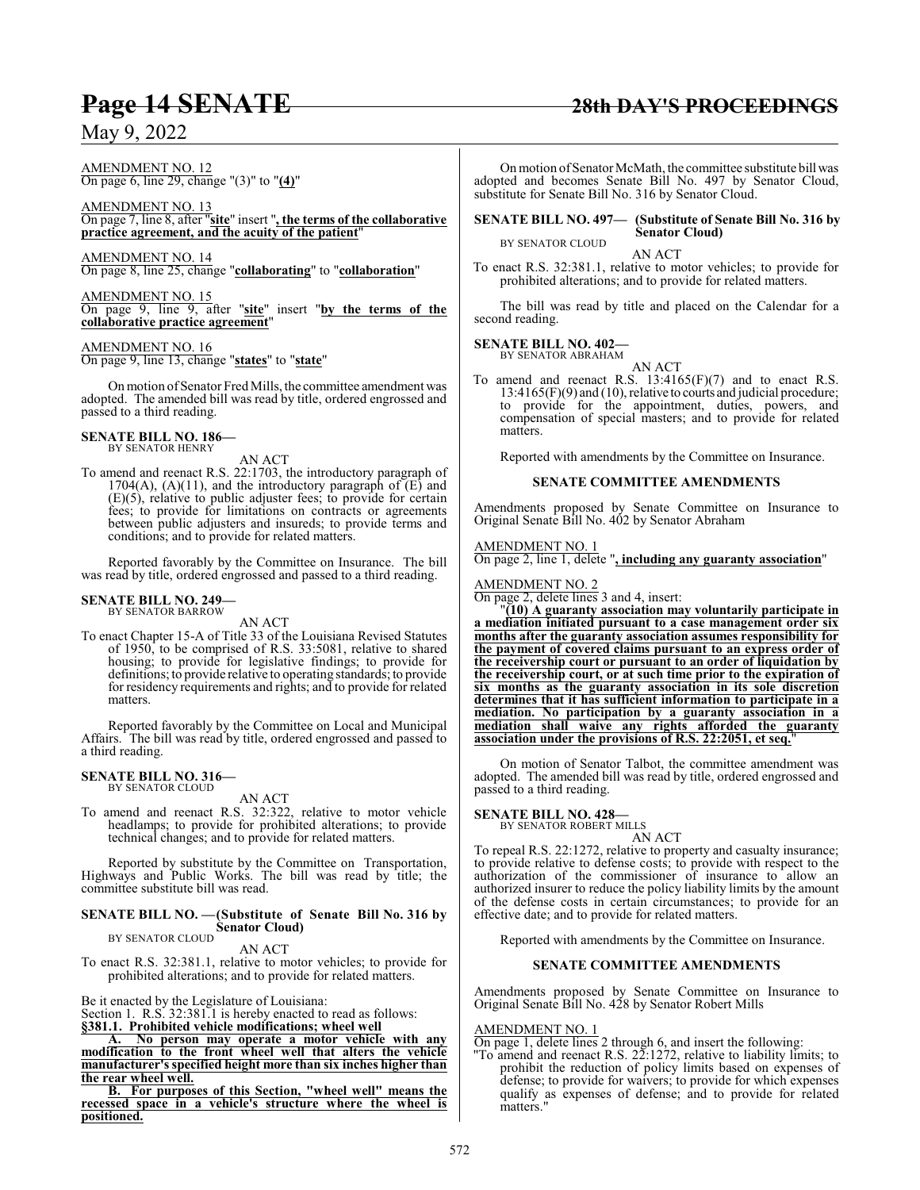#### AMENDMENT NO. 12 On page 6, line 29, change "(3)" to "**(4)**"

AMENDMENT NO. 13 On page 7, line 8, after "**site**" insert "**, the terms of the collaborative practice agreement, and the acuity of the patient**"

AMENDMENT NO. 14 On page 8, line 25, change "**collaborating**" to "**collaboration**"

AMENDMENT NO. 15 On page 9, line 9, after "**site**" insert "**by the terms of the collaborative practice agreement**"

AMENDMENT NO. 16 On page 9, line 13, change "**states**" to "**state**"

Onmotion ofSenator Fred Mills, the committee amendment was adopted. The amended bill was read by title, ordered engrossed and passed to a third reading.

## **SENATE BILL NO. 186—** BY SENATOR HENRY

AN ACT

To amend and reenact R.S. 22:1703, the introductory paragraph of 1704(A), (A)(11), and the introductory paragraph of  $(E)$  and (E)(5), relative to public adjuster fees; to provide for certain fees; to provide for limitations on contracts or agreements between public adjusters and insureds; to provide terms and conditions; and to provide for related matters.

Reported favorably by the Committee on Insurance. The bill was read by title, ordered engrossed and passed to a third reading.

#### **SENATE BILL NO. 249—** BY SENATOR BARROW

AN ACT

To enact Chapter 15-A of Title 33 of the Louisiana Revised Statutes of 1950, to be comprised of R.S. 33:5081, relative to shared housing; to provide for legislative findings; to provide for definitions; to provide relative to operating standards; to provide for residency requirements and rights; and to provide for related matters.

Reported favorably by the Committee on Local and Municipal Affairs. The bill was read by title, ordered engrossed and passed to a third reading.

#### **SENATE BILL NO. 316—** BY SENATOR CLOUD

AN ACT

To amend and reenact R.S. 32:322, relative to motor vehicle headlamps; to provide for prohibited alterations; to provide technical changes; and to provide for related matters.

Reported by substitute by the Committee on Transportation, Highways and Public Works. The bill was read by title; the committee substitute bill was read.

### **SENATE BILL NO. —(Substitute of Senate Bill No. 316 by Senator Cloud)** BY SENATOR CLOUD

AN ACT

To enact R.S. 32:381.1, relative to motor vehicles; to provide for prohibited alterations; and to provide for related matters.

Be it enacted by the Legislature of Louisiana:

Section 1. R.S. 32:381.1 is hereby enacted to read as follows: **§381.1. Prohibited vehicle modifications; wheel well**

**A. No person may operate a motor vehicle with any modification to the front wheel well that alters the vehicle manufacturer's specified height more than six inches higher than the rear wheel well.**

**B. For purposes of this Section, "wheel well" means the recessed space in a vehicle's structure where the wheel is positioned.**

#### On motion of Senator McMath, the committee substitute bill was adopted and becomes Senate Bill No. 497 by Senator Cloud, substitute for Senate Bill No. 316 by Senator Cloud.

#### **SENATE BILL NO. 497— (Substitute of Senate Bill No. 316 by Senator Cloud)** BY SENATOR CLOUD

AN ACT

To enact R.S. 32:381.1, relative to motor vehicles; to provide for prohibited alterations; and to provide for related matters.

The bill was read by title and placed on the Calendar for a second reading.

#### **SENATE BILL NO. 402—** BY SENATOR ABRAHAM

AN ACT

To amend and reenact R.S. 13:4165(F)(7) and to enact R.S. 13:4165(F)(9) and (10), relative to courts and judicial procedure; to provide for the appointment, duties, powers, and compensation of special masters; and to provide for related matters.

Reported with amendments by the Committee on Insurance.

#### **SENATE COMMITTEE AMENDMENTS**

Amendments proposed by Senate Committee on Insurance to Original Senate Bill No. 402 by Senator Abraham

### AMENDMENT NO. 1

On page 2, line 1, delete "**, including any guaranty association**"

#### AMENDMENT NO. 2

On page 2, delete lines 3 and 4, insert:

"**(10) A guaranty association may voluntarily participate in a mediation initiated pursuant to a case management order six months after the guaranty association assumes responsibility for the payment of covered claims pursuant to an express order of the receivership court or pursuant to an order of liquidation by the receivership court, or at such time prior to the expiration of six months as the guaranty association in its sole discretion determines that it has sufficient information to participate in a mediation. No participation by a guaranty association in a mediation shall waive any rights afforded the guaranty association under the provisions of R.S. 22:2051, et seq.**"

On motion of Senator Talbot, the committee amendment was adopted. The amended bill was read by title, ordered engrossed and passed to a third reading.

## **SENATE BILL NO. 428—** BY SENATOR ROBERT MILLS

AN ACT

To repeal R.S. 22:1272, relative to property and casualty insurance; to provide relative to defense costs; to provide with respect to the authorization of the commissioner of insurance to allow an authorized insurer to reduce the policy liability limits by the amount of the defense costs in certain circumstances; to provide for an effective date; and to provide for related matters.

Reported with amendments by the Committee on Insurance.

#### **SENATE COMMITTEE AMENDMENTS**

Amendments proposed by Senate Committee on Insurance to Original Senate Bill No. 428 by Senator Robert Mills

#### AMENDMENT NO. 1

- On page 1, delete lines 2 through 6, and insert the following:
- "To amend and reenact R.S. 22:1272, relative to liability limits; to prohibit the reduction of policy limits based on expenses of defense; to provide for waivers; to provide for which expenses qualify as expenses of defense; and to provide for related matters."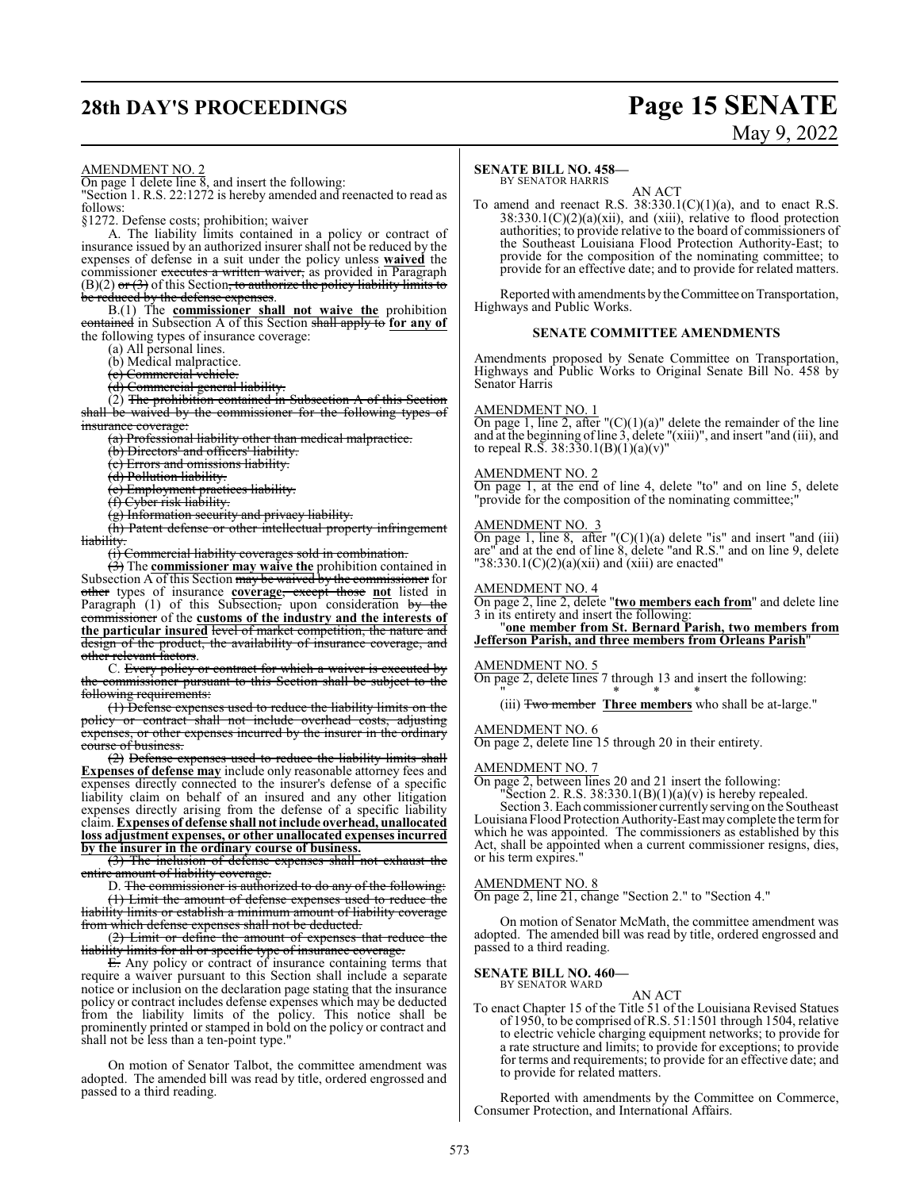## **28th DAY'S PROCEEDINGS Page 15 SENATE**

# May 9, 2022

#### AMENDMENT NO. 2

On page 1 delete line  $\overline{8}$ , and insert the following:

"Section 1. R.S. 22:1272 is hereby amended and reenacted to read as follows:

§1272. Defense costs; prohibition; waiver

A. The liability limits contained in a policy or contract of insurance issued by an authorized insurer shall not be reduced by the expenses of defense in a suit under the policy unless **waived** the commissioner executes a written waiver, as provided in Paragraph  $(B)(2)$  or  $(3)$  of this Section, to authorize the policy liability limits to be reduced by the defense expenses.

B.(1) The **commissioner shall not waive the** prohibition contained in Subsection A of this Section shall apply to **for any of** the following types of insurance coverage:

(a) All personal lines.

(b) Medical malpractice.

(c) Commercial vehicle.

(d) Commercial general liability.

(2) The prohibition contained in Subsection A of this Section shall be waived by the commissioner for the following types insurance coverage

(a) Professional liability other than medical malpractice.

(b) Directors' and officers' liability.

(c) Errors and omissions liability.

(d) Pollution liability.

(e) Employment practices liability.

(f) Cyber risk liability.

(g) Information security and privacy liability.

(h) Patent defense or other intellectual property infringement **liability** 

(i) Commercial liability coverages sold in combination.

(3) The **commissioner may waive the** prohibition contained in Subsection  $\overline{A}$  of this Section may be waived by the commissioner for other types of insurance **coverage**, except those **not** listed in Paragraph  $(1)$  of this Subsection, upon consideration by the commissioner of the **customs of the industry and the interests of the particular insured** level of market competition, the nature and design of the product, the availability of insurance coverage, and other relevant factors.

C. Every policy or contract for which a waiver is executed by the commissioner pursuant to this Section shall be subject to the following requirements:

(1) Defense expenses used to reduce the liability limits on the policy or contract shall not include overhead costs, adjusting expenses, or other expenses incurred by the insurer in the ordinary course of business.

(2) Defense expenses used to reduce the liability limits shall **Expenses of defense may** include only reasonable attorney fees and expenses directly connected to the insurer's defense of a specific liability claim on behalf of an insured and any other litigation expenses directly arising from the defense of a specific liability claim. **Expenses of defense shall not include overhead, unallocated loss adjustment expenses, or other unallocated expenses incurred by the insurer in the ordinary course of business.**

(3) The inclusion of defense expenses shall not exhaust the entire amount of liability coverage.

D. The commissioner is authorized to do any of the following: (1) Limit the amount of defense expenses used to reduce the liability limits or establish a minimum amount of liability coverage from which defense expenses shall not be deducted.

(2) Limit or define the amount of expenses that reduce the liability limits for all or specific type of insurance coverage

 $E$ . Any policy or contract of insurance containing terms that require a waiver pursuant to this Section shall include a separate notice or inclusion on the declaration page stating that the insurance policy or contract includes defense expenses which may be deducted from the liability limits of the policy. This notice shall be prominently printed or stamped in bold on the policy or contract and shall not be less than a ten-point type."

On motion of Senator Talbot, the committee amendment was adopted. The amended bill was read by title, ordered engrossed and passed to a third reading.

#### **SENATE BILL NO. 458—**

#### BY SENATOR HARRIS AN ACT

To amend and reenact R.S.  $38:330.1(C)(1)(a)$ , and to enact R.S.  $38:330.1(C)(2)(a)(xii)$ , and (xiii), relative to flood protection authorities; to provide relative to the board of commissioners of the Southeast Louisiana Flood Protection Authority-East; to provide for the composition of the nominating committee; to provide for an effective date; and to provide for related matters.

Reported with amendments by the Committee on Transportation, Highways and Public Works.

#### **SENATE COMMITTEE AMENDMENTS**

Amendments proposed by Senate Committee on Transportation, Highways and Public Works to Original Senate Bill No. 458 by Senator Harris

#### AMENDMENT NO. 1

On page 1, line 2, after " $(C)(1)(a)$ " delete the remainder of the line and at the beginning ofline 3, delete "(xiii)", and insert "and (iii), and to repeal R.S.  $38:330.1(B)(1)(a)(v)$ "

#### AMENDMENT NO. 2

On page 1, at the end of line 4, delete "to" and on line 5, delete "provide for the composition of the nominating committee;

#### AMENDMENT NO. 3

On page 1, line 8, after  $C(1)(a)$  delete "is" and insert "and (iii) are" and at the end of line 8, delete "and R.S." and on line 9, delete  $"38:330.1(C)(2)(a)(xii)$  and (xiii) are enacted"

#### AMENDMENT NO. 4

On page 2, line 2, delete "**two members each from**" and delete line 3 in its entirety and insert the following:

#### "**one member from St. Bernard Parish, two members from Jefferson Parish, and three members from Orleans Parish**"

#### AMENDMENT NO. 5

On page 2, delete lines 7 through 13 and insert the following: " \* \* \*

(iii) Two member **Three members** who shall be at-large."

#### AMENDMENT NO. 6

On page 2, delete line 15 through 20 in their entirety.

#### AMENDMENT NO. 7

On page 2, between lines 20 and 21 insert the following:

"Section 2. R.S. 38:330.1(B)(1)(a)(v) is hereby repealed.

Section 3. Each commissioner currently serving on the Southeast Louisiana Flood Protection Authority-East maycomplete the termfor which he was appointed. The commissioners as established by this Act, shall be appointed when a current commissioner resigns, dies, or his term expires."

#### AMENDMENT NO. 8

On page 2, line 21, change "Section 2." to "Section 4."

On motion of Senator McMath, the committee amendment was adopted. The amended bill was read by title, ordered engrossed and passed to a third reading.

#### **SENATE BILL NO. 460—** BY SENATOR WARD

AN ACT

To enact Chapter 15 of the Title 51 of the Louisiana Revised Statues of 1950, to be comprised ofR.S. 51:1501 through 1504, relative to electric vehicle charging equipment networks; to provide for a rate structure and limits; to provide for exceptions; to provide for terms and requirements; to provide for an effective date; and to provide for related matters.

Reported with amendments by the Committee on Commerce, Consumer Protection, and International Affairs.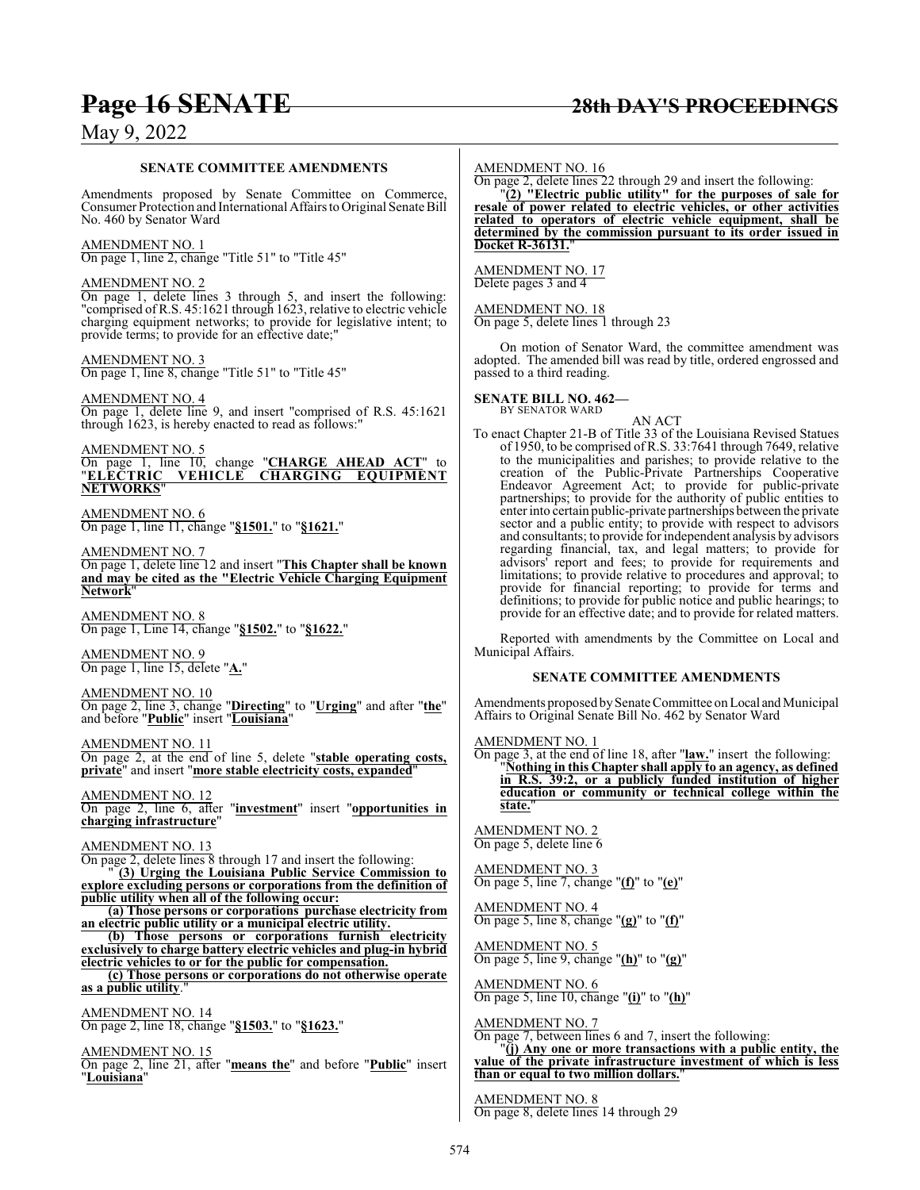### **Page 16 SENATE 28th DAY'S PROCEEDINGS**

### May 9, 2022

#### **SENATE COMMITTEE AMENDMENTS**

Amendments proposed by Senate Committee on Commerce, Consumer Protection and International Affairs to Original Senate Bill No. 460 by Senator Ward

AMENDMENT NO. 1 On page 1, line 2, change "Title 51" to "Title 45"

#### AMENDMENT NO. 2

On page 1, delete lines 3 through 5, and insert the following: "comprised of R.S. 45:1621 through 1623, relative to electric vehicle charging equipment networks; to provide for legislative intent; to provide terms; to provide for an effective date;"

#### AMENDMENT NO. 3

On page 1, line 8, change "Title 51" to "Title 45"

AMENDMENT NO. 4 On page 1, delete line 9, and insert "comprised of R.S. 45:1621 through 1623, is hereby enacted to read as follows:"

#### AMENDMENT NO. 5

On page 1, line 10, change "**CHARGE AHEAD ACT**" to "**ELECTRIC VEHICLE CHARGING EQUIPMENT NETWORKS**"

AMENDMENT NO. 6 On page 1, line 11, change "**§1501.**" to "**§1621.**"

#### AMENDMENT NO. 7

On page 1, delete line 12 and insert "**This Chapter shall be known and may be cited as the "Electric Vehicle Charging Equipment Network**"

AMENDMENT NO. 8 On page 1, Line 14, change "**§1502.**" to "**§1622.**"

AMENDMENT NO. 9 On page 1, line 15, delete "**A.**"

AMENDMENT NO. 10

On page 2, line 3, change "**Directing**" to "**Urging**" and after "**the**" and before "**Public**" insert "**Louisiana**"

AMENDMENT NO. 11

On page 2, at the end of line 5, delete "**stable operating costs, private**" and insert "**more stable electricity costs, expanded**"

AMENDMENT NO. 12 On page 2, line 6, after "**investment**" insert "**opportunities in charging infrastructure**"

#### AMENDMENT NO. 13

On page 2, delete lines 8 through 17 and insert the following:

" **(3) Urging the Louisiana Public Service Commission to explore excluding persons or corporations from the definition of public utility when all of the following occur:**

**(a) Those persons or corporations purchase electricity from an electric public utility or a municipal electric utility.**

**(b) Those persons or corporations furnish electricity exclusively to charge battery electric vehicles and plug-in hybrid electric vehicles to or for the public for compensation.**

**(c) Those persons or corporations do not otherwise operate as a public utility**."

AMENDMENT NO. 14 On page 2, line 18, change "**§1503.**" to "**§1623.**"

AMENDMENT NO. 15

On page 2, line 21, after "**means the**" and before "**Public**" insert "**Louisiana**"

#### AMENDMENT NO. 16

On page 2, delete lines 22 through 29 and insert the following:

"**(2) "Electric public utility" for the purposes of sale for resale of power related to electric vehicles, or other activities related to operators of electric vehicle equipment, shall be determined by the commission pursuant to its order issued in Docket R-36131.**"

AMENDMENT NO. 17 Delete pages 3 and 4

AMENDMENT NO. 18 On page 5, delete lines 1 through 23

On motion of Senator Ward, the committee amendment was adopted. The amended bill was read by title, ordered engrossed and passed to a third reading.

**SENATE BILL NO. 462—** BY SENATOR WARD

AN ACT

To enact Chapter 21-B of Title 33 of the Louisiana Revised Statues of 1950, to be comprised of R.S. 33:7641 through 7649, relative to the municipalities and parishes; to provide relative to the creation of the Public-Private Partnerships Cooperative Endeavor Agreement Act; to provide for public-private partnerships; to provide for the authority of public entities to enter into certain public-private partnerships between the private sector and a public entity; to provide with respect to advisors and consultants; to provide for independent analysis by advisors regarding financial, tax, and legal matters; to provide for advisors' report and fees; to provide for requirements and limitations; to provide relative to procedures and approval; to provide for financial reporting; to provide for terms and definitions; to provide for public notice and public hearings; to provide for an effective date; and to provide for related matters.

Reported with amendments by the Committee on Local and Municipal Affairs.

#### **SENATE COMMITTEE AMENDMENTS**

Amendments proposed by Senate Committee on Local and Municipal Affairs to Original Senate Bill No. 462 by Senator Ward

AMENDMENT NO. 1

On page 3, at the end of line 18, after "**law.**" insert the following: "**Nothing in this Chapter shall apply to an agency, as defined in R.S. 39:2, or a publicly funded institution of higher education or community or technical college within the** state.

AMENDMENT NO. 2 On page 5, delete line 6

AMENDMENT NO. 3 On page 5, line 7, change "**(f)**" to "**(e)**"

AMENDMENT NO. 4 On page 5, line 8, change "**(g)**" to "**(f)**"

AMENDMENT NO. 5 On page 5, line 9, change "**(h)**" to "**(g)**"

AMENDMENT NO. 6 On page 5, line 10, change "**(i)**" to "**(h)**"

AMENDMENT NO. 7

On page 7, between lines 6 and 7, insert the following:

"**(j) Any one or more transactions with a public entity, the value of the private infrastructure investment of which is less than or equal to two million dollars.**"

AMENDMENT NO. 8 On page 8, delete lines 14 through 29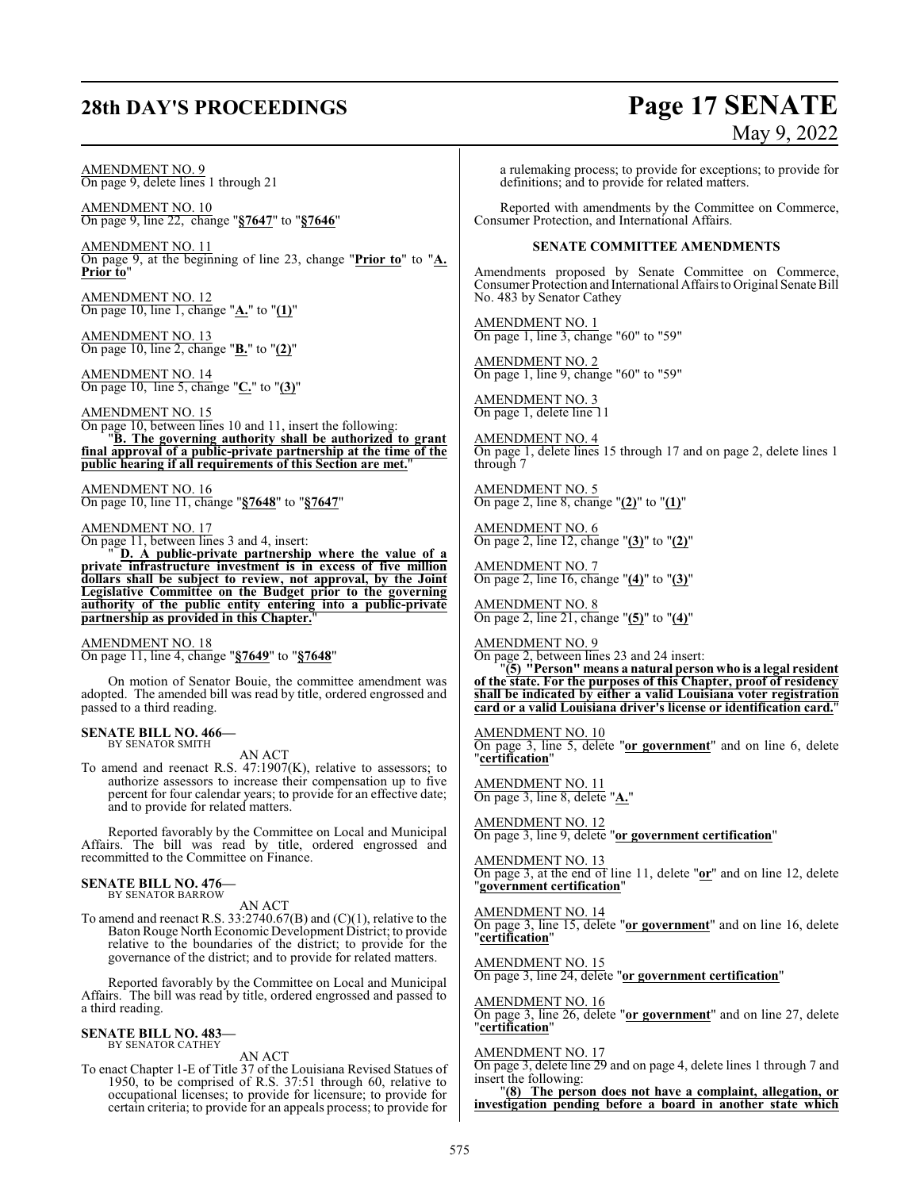### **28th DAY'S PROCEEDINGS Page 17 SENATE**

# May 9, 2022

AMENDMENT NO. 9 On page 9, delete lines 1 through 21

AMENDMENT NO. 10 On page 9, line 22, change "**§7647**" to "**§7646**"

AMENDMENT NO. 11 On page 9, at the beginning of line 23, change "**Prior to**" to "**A. Prior to**"

AMENDMENT NO. 12 On page 10, line 1, change "**A.**" to "**(1)**"

AMENDMENT NO. 13 On page 10, line 2, change "**B.**" to "**(2)**"

AMENDMENT NO. 14 On page 10, line 5, change "**C.**" to "**(3)**"

AMENDMENT NO. 15 On page 10, between lines 10 and 11, insert the following: "**B. The governing authority shall be authorized to grant final approval of a public-private partnership at the time of the public hearing if all requirements of this Section are met.**"

AMENDMENT NO. 16 On page 10, line 11, change "**§7648**" to "**§7647**"

#### AMENDMENT NO. 17

On page 11, between lines 3 and 4, insert:

" **D. A public-private partnership where the value of a private infrastructure investment is in excess of five million dollars shall be subject to review, not approval, by the Joint Legislative Committee on the Budget prior to the governing authority of the public entity entering into a public-private** partnership as provided in this Chapter."

AMENDMENT NO. 18 On page 11, line 4, change "**§7649**" to "**§7648**"

On motion of Senator Bouie, the committee amendment was adopted. The amended bill was read by title, ordered engrossed and passed to a third reading.

#### **SENATE BILL NO. 466—**

BY SENATOR SMITH

AN ACT

To amend and reenact R.S. 47:1907(K), relative to assessors; to authorize assessors to increase their compensation up to five percent for four calendar years; to provide for an effective date; and to provide for related matters.

Reported favorably by the Committee on Local and Municipal Affairs. The bill was read by title, ordered engrossed and recommitted to the Committee on Finance.

#### **SENATE BILL NO. 476—** BY SENATOR BARROW

AN ACT

To amend and reenact R.S. 33:2740.67(B) and (C)(1), relative to the Baton Rouge North Economic Development District; to provide relative to the boundaries of the district; to provide for the governance of the district; and to provide for related matters.

Reported favorably by the Committee on Local and Municipal Affairs. The bill was read by title, ordered engrossed and passed to a third reading.

### **SENATE BILL NO. 483—**

BY SENATOR CATHEY

AN ACT

To enact Chapter 1-E of Title 37 of the Louisiana Revised Statues of 1950, to be comprised of R.S. 37:51 through 60, relative to occupational licenses; to provide for licensure; to provide for certain criteria; to provide for an appeals process; to provide for

a rulemaking process; to provide for exceptions; to provide for definitions; and to provide for related matters.

Reported with amendments by the Committee on Commerce, Consumer Protection, and International Affairs.

#### **SENATE COMMITTEE AMENDMENTS**

Amendments proposed by Senate Committee on Commerce, Consumer Protection and International Affairs to Original Senate Bill No. 483 by Senator Cathey

AMENDMENT NO. 1 On page 1, line 3, change "60" to "59"

AMENDMENT NO. 2 On page 1, line 9, change "60" to "59"

AMENDMENT NO. 3 On page 1, delete line 11

AMENDMENT NO. 4 On page 1, delete lines 15 through 17 and on page 2, delete lines 1 through 7

AMENDMENT NO. 5 On page 2, line 8, change "**(2)**" to "**(1)**"

AMENDMENT NO. 6 On page 2, line 12, change "**(3)**" to "**(2)**"

AMENDMENT NO. 7 On page 2, line 16, change "**(4)**" to "**(3)**"

AMENDMENT NO. 8 On page 2, line 21, change "**(5)**" to "**(4)**"

AMENDMENT NO. 9 On page 2, between lines 23 and 24 insert:

"**(5) "Person" means a natural person who is a legal resident of the state. For the purposes of this Chapter, proof of residency shall be indicated by either a valid Louisiana voter registration card or a valid Louisiana driver's license or identification card.**"

### AMENDMENT NO. 10

On page 3, line 5, delete "**or government**" and on line 6, delete "**certification**"

AMENDMENT NO. 11 On page 3, line 8, delete "**A.**"

AMENDMENT NO. 12 On page 3, line 9, delete "**or government certification**"

AMENDMENT NO. 13 On page 3, at the end of line 11, delete "**or**" and on line 12, delete "**government certification**"

AMENDMENT NO. 14 On page 3, line 15, delete "**or government**" and on line 16, delete "**certification**"

AMENDMENT NO. 15 On page 3, line 24, delete "**or government certification**"

AMENDMENT NO. 16 On page 3, line 26, delete "**or government**" and on line 27, delete "**certification**"

#### AMENDMENT NO. 17

On page 3, delete line 29 and on page 4, delete lines 1 through 7 and insert the following:

"**(8) The person does not have a complaint, allegation, or investigation pending before a board in another state which**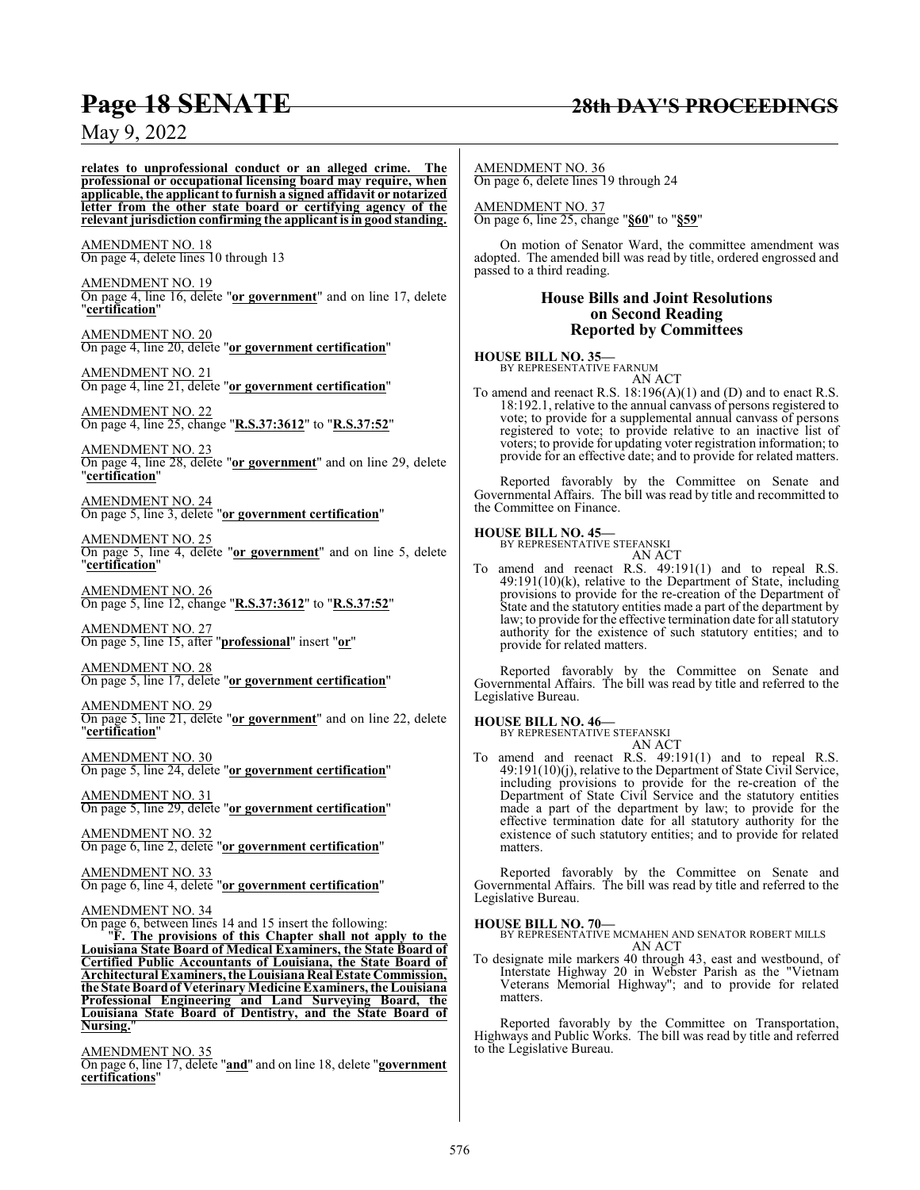### **Page 18 SENATE 28th DAY'S PROCEEDINGS**

### May 9, 2022

**relates to unprofessional conduct or an alleged crime. The professional or occupational licensing board may require, when applicable, the applicant to furnish a signed affidavit or notarized letter from the other state board or certifying agency of the relevant jurisdiction confirming the applicant is in good standing.** AMENDMENT NO. 18 On page 4, delete lines 10 through 13 AMENDMENT NO. 19 On page 4, line 16, delete "**or government**" and on line 17, delete "**certification**" AMENDMENT NO. 20 On page 4, line 20, delete "**or government certification**" AMENDMENT NO. 21 On page 4, line 21, delete "**or government certification**" AMENDMENT NO. 22 On page 4, line 25, change "**R.S.37:3612**" to "**R.S.37:52**" AMENDMENT NO. 23 On page 4, line 28, delete "**or government**" and on line 29, delete "**certification**" AMENDMENT NO. 24 On page 5, line 3, delete "**or government certification**" AMENDMENT NO. 25 On page 5, line 4, delete "**or government**" and on line 5, delete "**certification**" AMENDMENT NO. 26 On page 5, line 12, change "**R.S.37:3612**" to "**R.S.37:52**" AMENDMENT NO. 27 On page 5, line 15, after "**professional**" insert "**or**"

AMENDMENT NO. 28 On page 5, line 17, delete "**or government certification**"

AMENDMENT NO. 29 On page 5, line 21, delete "**or government**" and on line 22, delete "**certification**"

AMENDMENT NO. 30 On page 5, line 24, delete "**or government certification**"

AMENDMENT NO. 31 On page 5, line 29, delete "**or government certification**"

AMENDMENT NO. 32 On page 6, line 2, delete "**or government certification**"

AMENDMENT NO. 33 On page 6, line 4, delete "**or government certification**"

#### AMENDMENT NO. 34

On page 6, between lines 14 and 15 insert the following: "**F. The provisions of this Chapter shall not apply to the Louisiana State Board of Medical Examiners, the State Board of Certified Public Accountants of Louisiana, the State Board of**

**Architectural Examiners, the Louisiana Real Estate Commission, the State Boardof Veterinary Medicine Examiners, the Louisiana Professional Engineering and Land Surveying Board, the Louisiana State Board of Dentistry, and the State Board of Nursing.**"

AMENDMENT NO. 35

On page 6, line 17, delete "**and**" and on line 18, delete "**government certifications**"

AMENDMENT NO. 36 On page 6, delete lines 19 through 24

AMENDMENT NO. 37 On page 6, line 25, change "**§60**" to "**§59**"

On motion of Senator Ward, the committee amendment was adopted. The amended bill was read by title, ordered engrossed and passed to a third reading.

#### **House Bills and Joint Resolutions on Second Reading Reported by Committees**

**HOUSE BILL NO. 35—**

BY REPRESENTATIVE FARNUM AN ACT

To amend and reenact R.S. 18:196(A)(1) and (D) and to enact R.S. 18:192.1, relative to the annual canvass of persons registered to vote; to provide for a supplemental annual canvass of persons registered to vote; to provide relative to an inactive list of voters; to provide for updating voter registration information; to provide for an effective date; and to provide for related matters.

Reported favorably by the Committee on Senate and Governmental Affairs. The bill was read by title and recommitted to the Committee on Finance.

## **HOUSE BILL NO. 45—** BY REPRESENTATIVE STEFANSKI

| <b>STEFANSKI</b> |        |
|------------------|--------|
|                  | AN ACT |

To amend and reenact R.S. 49:191(1) and to repeal R.S. 49:191(10)(k), relative to the Department of State, including provisions to provide for the re-creation of the Department of State and the statutory entities made a part of the department by law; to provide for the effective termination date for all statutory authority for the existence of such statutory entities; and to provide for related matters.

Reported favorably by the Committee on Senate and Governmental Affairs. The bill was read by title and referred to the Legislative Bureau.

## **HOUSE BILL NO. 46—** BY REPRESENTATIVE STEFANSKI

AN ACT To amend and reenact R.S. 49:191(1) and to repeal R.S. 49:191(10)(j), relative to the Department of State Civil Service, including provisions to provide for the re-creation of the Department of State Civil Service and the statutory entities made a part of the department by law; to provide for the effective termination date for all statutory authority for the existence of such statutory entities; and to provide for related matters.

Reported favorably by the Committee on Senate and Governmental Affairs. The bill was read by title and referred to the Legislative Bureau.

#### **HOUSE BILL NO. 70—**

BY REPRESENTATIVE MCMAHEN AND SENATOR ROBERT MILLS AN ACT

To designate mile markers 40 through 43, east and westbound, of Interstate Highway 20 in Webster Parish as the "Vietnam Veterans Memorial Highway"; and to provide for related matters.

Reported favorably by the Committee on Transportation, Highways and Public Works. The bill was read by title and referred to the Legislative Bureau.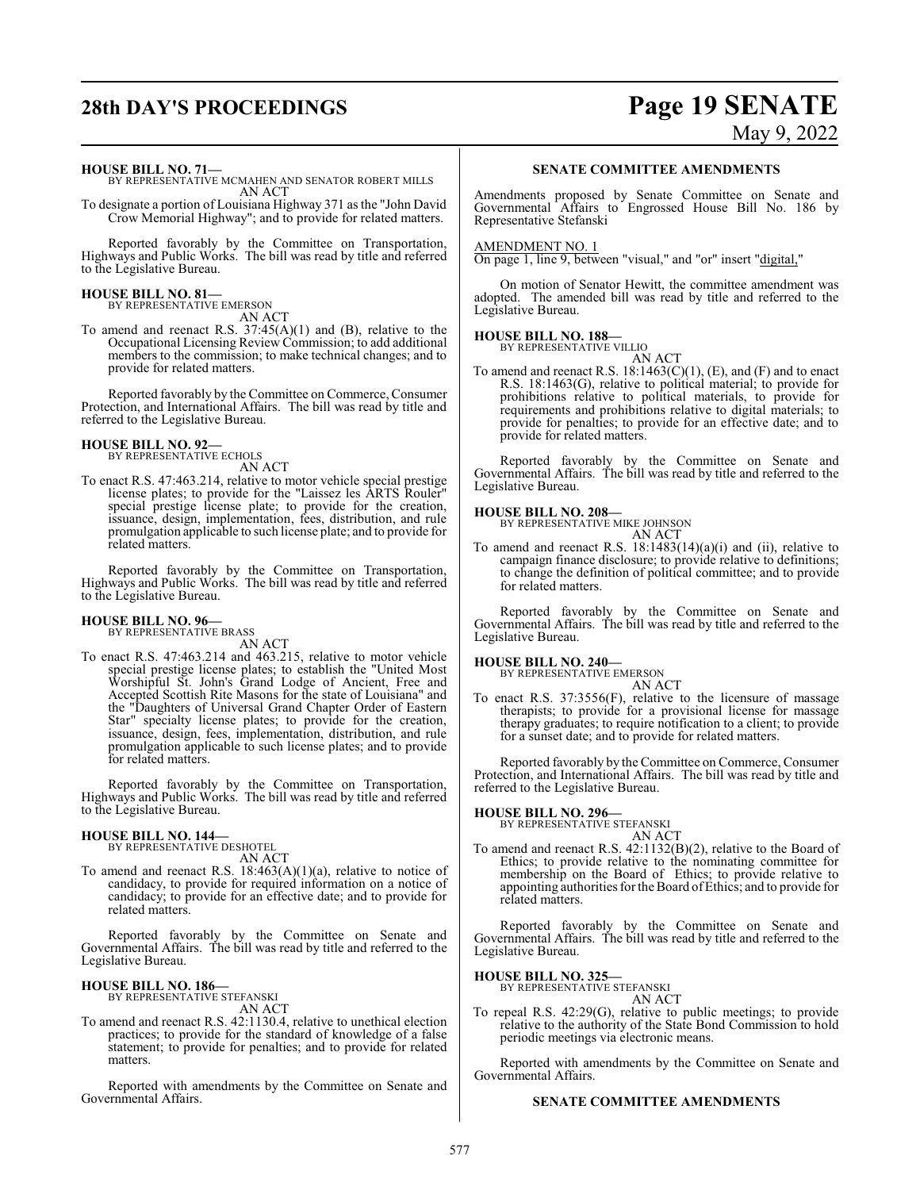## **28th DAY'S PROCEEDINGS Page 19 SENATE** May 9, 2022

**HOUSE BILL NO. 71—**

BY REPRESENTATIVE MCMAHEN AND SENATOR ROBERT MILLS AN ACT

To designate a portion of Louisiana Highway 371 as the "John David Crow Memorial Highway"; and to provide for related matters.

Reported favorably by the Committee on Transportation, Highways and Public Works. The bill was read by title and referred to the Legislative Bureau.

## **HOUSE BILL NO. 81—** BY REPRESENTATIVE EMERSON

AN ACT

To amend and reenact R.S. 37:45(A)(1) and (B), relative to the Occupational Licensing Review Commission; to add additional members to the commission; to make technical changes; and to provide for related matters.

Reported favorably by the Committee on Commerce, Consumer Protection, and International Affairs. The bill was read by title and referred to the Legislative Bureau.

#### **HOUSE BILL NO. 92—** BY REPRESENTATIVE ECHOLS

AN ACT

To enact R.S. 47:463.214, relative to motor vehicle special prestige license plates; to provide for the "Laissez les ARTS Rouler" special prestige license plate; to provide for the creation, issuance, design, implementation, fees, distribution, and rule promulgation applicable to such license plate; and to provide for related matters.

Reported favorably by the Committee on Transportation, Highways and Public Works. The bill was read by title and referred to the Legislative Bureau.

## **HOUSE BILL NO. 96—** BY REPRESENTATIVE BRASS

AN ACT

To enact R.S. 47:463.214 and 463.215, relative to motor vehicle special prestige license plates; to establish the "United Most Worshipful St. John's Grand Lodge of Ancient, Free and Accepted Scottish Rite Masons for the state of Louisiana" and the "Daughters of Universal Grand Chapter Order of Eastern Star" specialty license plates; to provide for the creation, issuance, design, fees, implementation, distribution, and rule promulgation applicable to such license plates; and to provide for related matters.

Reported favorably by the Committee on Transportation, Highways and Public Works. The bill was read by title and referred to the Legislative Bureau.

#### **HOUSE BILL NO. 144—**

BY REPRESENTATIVE DESHOTEL AN ACT

To amend and reenact R.S. 18:463(A)(1)(a), relative to notice of candidacy, to provide for required information on a notice of candidacy; to provide for an effective date; and to provide for related matters.

Reported favorably by the Committee on Senate and Governmental Affairs. The bill was read by title and referred to the Legislative Bureau.

## **HOUSE BILL NO. 186—** BY REPRESENTATIVE STEFANSKI

AN ACT

To amend and reenact R.S. 42:1130.4, relative to unethical election practices; to provide for the standard of knowledge of a false statement; to provide for penalties; and to provide for related matters.

Reported with amendments by the Committee on Senate and Governmental Affairs.

#### **SENATE COMMITTEE AMENDMENTS**

Amendments proposed by Senate Committee on Senate and Governmental Affairs to Engrossed House Bill No. 186 by Representative Stefanski

#### AMENDMENT NO. 1

On page 1, line 9, between "visual," and "or" insert "digital,"

On motion of Senator Hewitt, the committee amendment was adopted. The amended bill was read by title and referred to the Legislative Bureau.

### **HOUSE BILL NO. 188—** BY REPRESENTATIVE VILLIO

AN ACT To amend and reenact R.S.  $18:1463(C)(1)$ , (E), and (F) and to enact R.S. 18:1463(G), relative to political material; to provide for prohibitions relative to political materials, to provide for requirements and prohibitions relative to digital materials; to provide for penalties; to provide for an effective date; and to provide for related matters.

Reported favorably by the Committee on Senate and Governmental Affairs. The bill was read by title and referred to the Legislative Bureau.

#### **HOUSE BILL NO. 208—**

BY REPRESENTATIVE MIKE JOHNSON AN ACT

To amend and reenact R.S. 18:1483(14)(a)(i) and (ii), relative to campaign finance disclosure; to provide relative to definitions; to change the definition of political committee; and to provide for related matters.

Reported favorably by the Committee on Senate and Governmental Affairs. The bill was read by title and referred to the Legislative Bureau.

#### **HOUSE BILL NO. 240—**

BY REPRESENTATIVE EMERSON AN ACT

To enact R.S. 37:3556(F), relative to the licensure of massage therapists; to provide for a provisional license for massage therapy graduates; to require notification to a client; to provide for a sunset date; and to provide for related matters.

Reported favorably by the Committee on Commerce, Consumer Protection, and International Affairs. The bill was read by title and referred to the Legislative Bureau.

#### **HOUSE BILL NO. 296—**

BY REPRESENTATIVE STEFANSKI AN ACT

To amend and reenact R.S. 42:1132(B)(2), relative to the Board of Ethics; to provide relative to the nominating committee for membership on the Board of Ethics; to provide relative to appointing authorities for the Board ofEthics; and to provide for related matters.

Reported favorably by the Committee on Senate and Governmental Affairs. The bill was read by title and referred to the Legislative Bureau.

**HOUSE BILL NO. 325—** BY REPRESENTATIVE STEFANSKI

#### AN ACT

To repeal R.S. 42:29(G), relative to public meetings; to provide relative to the authority of the State Bond Commission to hold periodic meetings via electronic means.

Reported with amendments by the Committee on Senate and Governmental Affairs.

#### **SENATE COMMITTEE AMENDMENTS**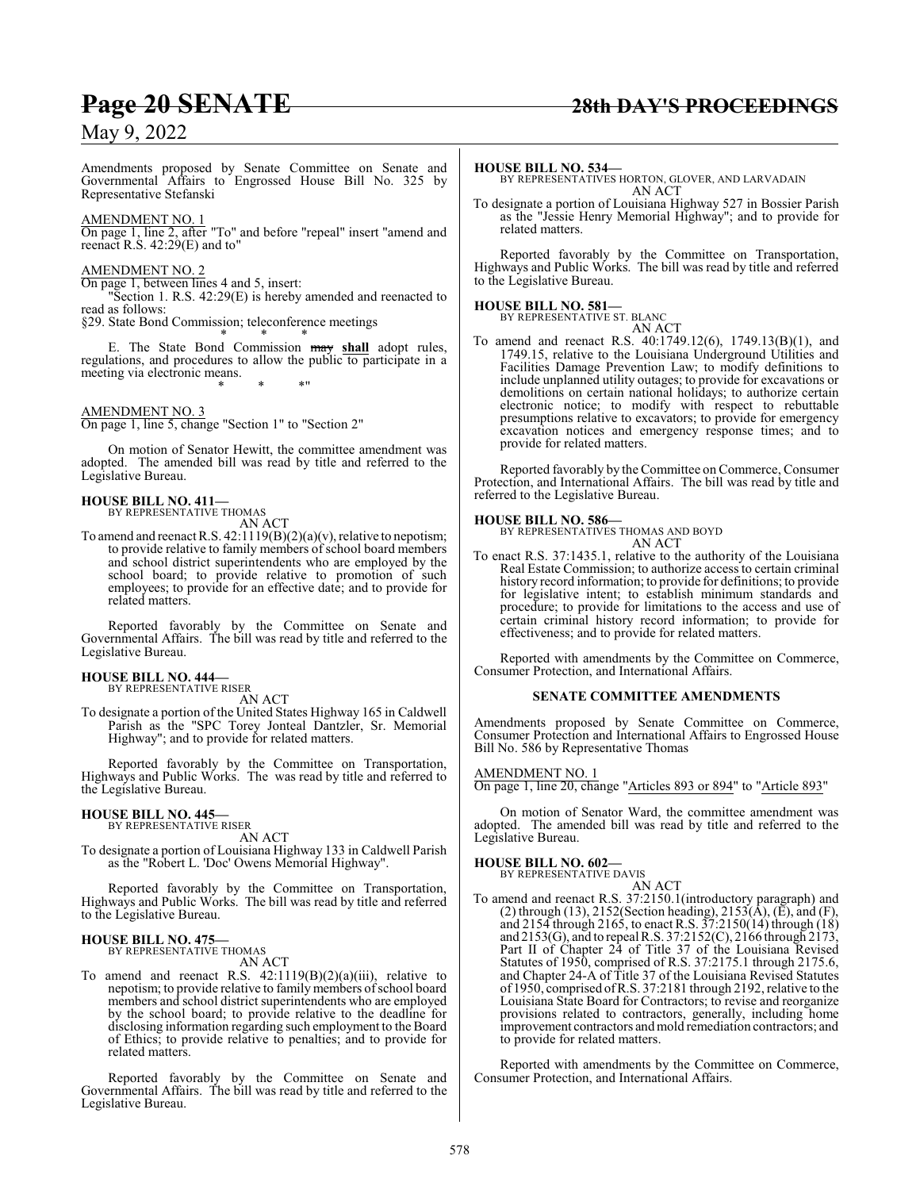Amendments proposed by Senate Committee on Senate and Governmental Affairs to Engrossed House Bill No. 325 by Representative Stefanski

#### AMENDMENT NO. 1

On page 1, line 2, after "To" and before "repeal" insert "amend and reenact R.S. 42:29(E) and to"

#### AMENDMENT NO. 2

On page 1, between lines 4 and 5, insert:

"Section 1. R.S. 42:29(E) is hereby amended and reenacted to read as follows:

§29. State Bond Commission; teleconference meetings

\* \* \* E. The State Bond Commission may **shall** adopt rules, regulations, and procedures to allow the public to participate in a meeting via electronic means. \* \* \*"

#### AMENDMENT NO. 3

On page 1, line 5, change "Section 1" to "Section 2"

On motion of Senator Hewitt, the committee amendment was adopted. The amended bill was read by title and referred to the Legislative Bureau.

### **HOUSE BILL NO. 411—** BY REPRESENTATIVE THOMAS

AN ACT

To amend and reenact R.S. 42:1119(B)(2)(a)(v), relative to nepotism; to provide relative to family members of school board members and school district superintendents who are employed by the school board; to provide relative to promotion of such employees; to provide for an effective date; and to provide for related matters.

Reported favorably by the Committee on Senate and Governmental Affairs. The bill was read by title and referred to the Legislative Bureau.

#### **HOUSE BILL NO. 444—**

BY REPRESENTATIVE RISER AN ACT

To designate a portion of the United States Highway 165 in Caldwell Parish as the "SPC Torey Jonteal Dantzler, Sr. Memorial Highway"; and to provide for related matters.

Reported favorably by the Committee on Transportation, Highways and Public Works. The was read by title and referred to the Legislative Bureau.

### **HOUSE BILL NO. 445—** BY REPRESENTATIVE RISER

AN ACT

To designate a portion of Louisiana Highway 133 in Caldwell Parish as the "Robert L. 'Doc' Owens Memorial Highway".

Reported favorably by the Committee on Transportation, Highways and Public Works. The bill was read by title and referred to the Legislative Bureau.

#### **HOUSE BILL NO. 475—** BY REPRESENTATIVE THOMAS

AN ACT

To amend and reenact R.S. 42:1119(B)(2)(a)(iii), relative to nepotism; to provide relative to family members of school board members and school district superintendents who are employed by the school board; to provide relative to the deadline for disclosing information regarding such employment to the Board of Ethics; to provide relative to penalties; and to provide for related matters.

Reported favorably by the Committee on Senate and Governmental Affairs. The bill was read by title and referred to the Legislative Bureau.

To designate a portion of Louisiana Highway 527 in Bossier Parish as the "Jessie Henry Memorial Highway"; and to provide for related matters.

Reported favorably by the Committee on Transportation, Highways and Public Works. The bill was read by title and referred to the Legislative Bureau.

#### **HOUSE BILL NO. 581—**

BY REPRESENTATIVE ST. BLANC

AN ACT To amend and reenact R.S. 40:1749.12(6), 1749.13(B)(1), and 1749.15, relative to the Louisiana Underground Utilities and Facilities Damage Prevention Law; to modify definitions to include unplanned utility outages; to provide for excavations or demolitions on certain national holidays; to authorize certain electronic notice; to modify with respect to rebuttable presumptions relative to excavators; to provide for emergency excavation notices and emergency response times; and to provide for related matters.

Reported favorably by the Committee on Commerce, Consumer Protection, and International Affairs. The bill was read by title and referred to the Legislative Bureau.

**HOUSE BILL NO. 586—** BY REPRESENTATIVES THOMAS AND BOYD AN ACT

To enact R.S. 37:1435.1, relative to the authority of the Louisiana Real Estate Commission; to authorize access to certain criminal history record information; to provide for definitions; to provide for legislative intent; to establish minimum standards and procedure; to provide for limitations to the access and use of certain criminal history record information; to provide for effectiveness; and to provide for related matters.

Reported with amendments by the Committee on Commerce, Consumer Protection, and International Affairs.

#### **SENATE COMMITTEE AMENDMENTS**

Amendments proposed by Senate Committee on Commerce, Consumer Protection and International Affairs to Engrossed House Bill No. 586 by Representative Thomas

#### AMENDMENT NO. 1

On page 1, line 20, change "Articles 893 or 894" to "Article 893"

On motion of Senator Ward, the committee amendment was adopted. The amended bill was read by title and referred to the Legislative Bureau.

## **HOUSE BILL NO. 602—** BY REPRESENTATIVE DAVIS

AN ACT To amend and reenact R.S. 37:2150.1(introductory paragraph) and (2) through (13), 2152(Section heading), 2153( $\hat{A}$ ), ( $\tilde{E}$ ), and (F), and 2154 through 2165, to enact R.S. 37:2150(14) through (18) and 2153(G), and to repeal R.S. 37:2152(C), 2166 through 2173, Part II of Chapter 24 of Title 37 of the Louisiana Revised Statutes of 1950, comprised of R.S. 37:2175.1 through 2175.6, and Chapter 24-A of Title 37 of the Louisiana Revised Statutes of 1950, comprised ofR.S. 37:2181 through 2192, relative to the Louisiana State Board for Contractors; to revise and reorganize provisions related to contractors, generally, including home improvement contractors and mold remediation contractors; and to provide for related matters.

Reported with amendments by the Committee on Commerce, Consumer Protection, and International Affairs.

### **Page 20 SENATE 28th DAY'S PROCEEDINGS**

**HOUSE BILL NO. 534—** BY REPRESENTATIVES HORTON, GLOVER, AND LARVADAIN AN ACT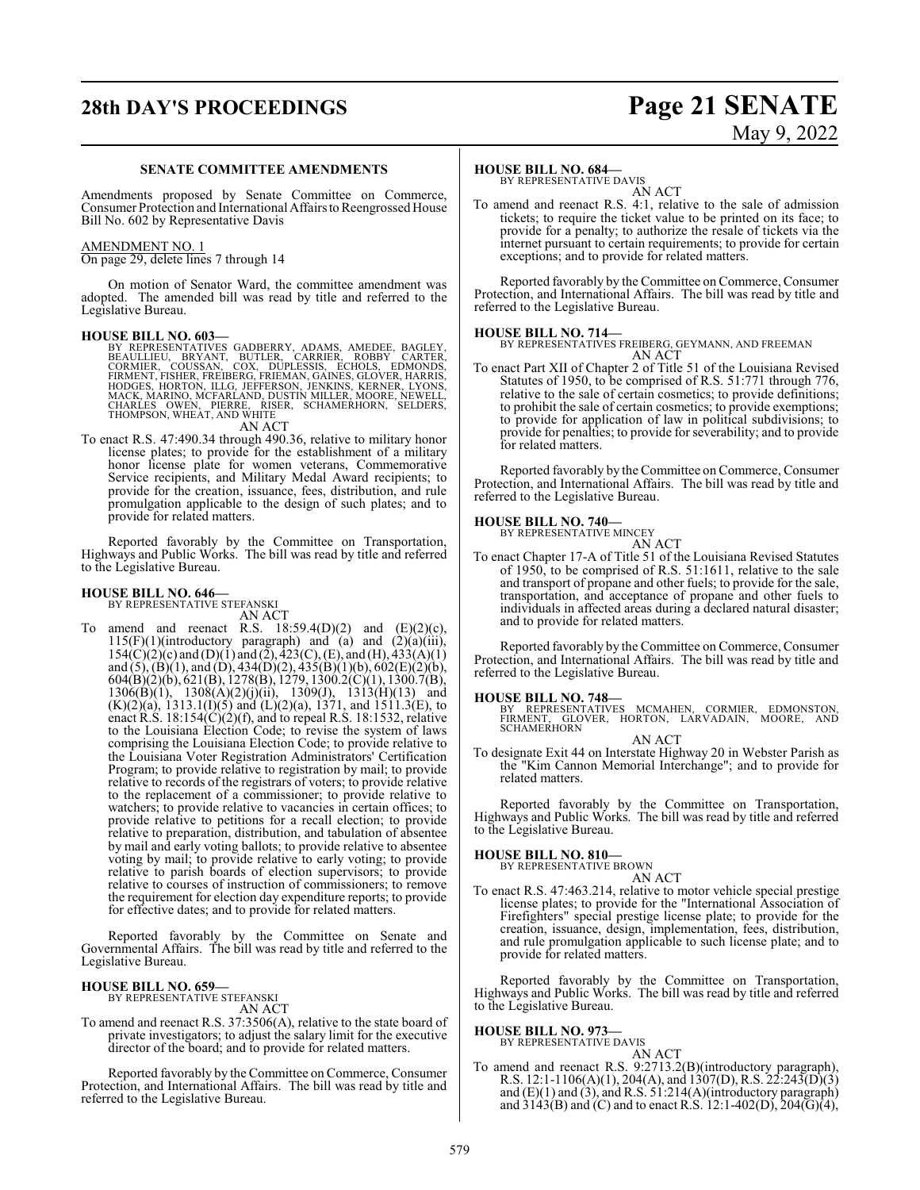## **28th DAY'S PROCEEDINGS Page 21 SENATE**

# May 9, 2022

#### **SENATE COMMITTEE AMENDMENTS**

Amendments proposed by Senate Committee on Commerce, Consumer Protection and International Affairs to Reengrossed House Bill No. 602 by Representative Davis

#### AMENDMENT NO. 1

On page 29, delete lines 7 through 14

On motion of Senator Ward, the committee amendment was adopted. The amended bill was read by title and referred to the Legislative Bureau.

**HOUSE BILL NO. 603—**<br>BY REPRESENTATIVES GADBERRY, ADAMS, AMEDEE, BAGLEY, BEAULLIEU, BRYANT, BUTLER, CARRIER, ROBBY CARTER,<br>CORMIER, COUSSAN, COX, DUPLESSIS, ECHOLS, EDMONDS,<br>FIRMENT, FISHER, FREIBERG, FRIEMAN, GAINES, GLO

AN ACT

To enact R.S. 47:490.34 through 490.36, relative to military honor license plates; to provide for the establishment of a military honor license plate for women veterans, Commemorative Service recipients, and Military Medal Award recipients; to provide for the creation, issuance, fees, distribution, and rule promulgation applicable to the design of such plates; and to provide for related matters.

Reported favorably by the Committee on Transportation, Highways and Public Works. The bill was read by title and referred to the Legislative Bureau.

### **HOUSE BILL NO. 646—** BY REPRESENTATIVE STEFANSKI

AN ACT

To amend and reenact R.S.  $18:59.4(D)(2)$  and  $(E)(2)(c)$ ,  $115(F)(1)$ (introductory paragraph) and (a) and  $(2)(a)(iii)$ ,  $154(C)(2)(c)$  and  $(D)(1)$  and  $(2), 423(C), (E),$  and  $(H), 433(A)(1)$ and (5), (B)(1), and (D), 434(D)(2), 435(B)(1)(b), 602(E)(2)(b), 604(B)(2)(b), 621(B), 1278(B), 1279, 1300.2(C)(1), 1300.7(B),  $1306(B)(1)$ ,  $1308(A)(2)(j)(ii)$ ,  $1309(J)$ ,  $1313(H)(13)$  and  $(K)(2)(a)$ , 1313.1(I)(5) and (L)(2)(a), 1371, and 1511.3(E), to enact R.S. 18:154(C)(2)(f), and to repeal R.S. 18:1532, relative to the Louisiana Election Code; to revise the system of laws comprising the Louisiana Election Code; to provide relative to the Louisiana Voter Registration Administrators' Certification Program; to provide relative to registration by mail; to provide relative to records of the registrars of voters; to provide relative to the replacement of a commissioner; to provide relative to watchers; to provide relative to vacancies in certain offices; to provide relative to petitions for a recall election; to provide relative to preparation, distribution, and tabulation of absentee by mail and early voting ballots; to provide relative to absentee voting by mail; to provide relative to early voting; to provide relative to parish boards of election supervisors; to provide relative to courses of instruction of commissioners; to remove the requirement for election day expenditure reports; to provide for effective dates; and to provide for related matters.

Reported favorably by the Committee on Senate and Governmental Affairs. The bill was read by title and referred to the Legislative Bureau.

#### **HOUSE BILL NO. 659—**

BY REPRESENTATIVE STEFANSKI AN ACT

To amend and reenact R.S. 37:3506(A), relative to the state board of private investigators; to adjust the salary limit for the executive director of the board; and to provide for related matters.

Reported favorably by the Committee on Commerce, Consumer Protection, and International Affairs. The bill was read by title and referred to the Legislative Bureau.

#### **HOUSE BILL NO. 684—**

BY REPRESENTATIVE DAVIS AN ACT

To amend and reenact R.S. 4:1, relative to the sale of admission tickets; to require the ticket value to be printed on its face; to provide for a penalty; to authorize the resale of tickets via the internet pursuant to certain requirements; to provide for certain exceptions; and to provide for related matters.

Reported favorably by the Committee on Commerce, Consumer Protection, and International Affairs. The bill was read by title and referred to the Legislative Bureau.

#### **HOUSE BILL NO. 714—**

BY REPRESENTATIVES FREIBERG, GEYMANN, AND FREEMAN AN ACT

To enact Part XII of Chapter 2 of Title 51 of the Louisiana Revised Statutes of 1950, to be comprised of R.S. 51:771 through 776, relative to the sale of certain cosmetics; to provide definitions; to prohibit the sale of certain cosmetics; to provide exemptions; to provide for application of law in political subdivisions; to provide for penalties; to provide for severability; and to provide for related matters.

Reported favorably by the Committee on Commerce, Consumer Protection, and International Affairs. The bill was read by title and referred to the Legislative Bureau.

### **HOUSE BILL NO. 740—** BY REPRESENTATIVE MINCEY

AN ACT To enact Chapter 17-A of Title 51 of the Louisiana Revised Statutes of 1950, to be comprised of R.S. 51:1611, relative to the sale and transport of propane and other fuels; to provide for the sale, transportation, and acceptance of propane and other fuels to individuals in affected areas during a declared natural disaster; and to provide for related matters.

Reported favorably by the Committee on Commerce, Consumer Protection, and International Affairs. The bill was read by title and referred to the Legislative Bureau.

#### **HOUSE BILL NO. 748—**

BY REPRESENTATIVES MCMAHEN, CORMIER, EDMONSTON, FIRMENT, GLOVER, HORTON, LARVADAIN, MOORE, AND **SCHAMERHORN** AN ACT

To designate Exit 44 on Interstate Highway 20 in Webster Parish as the "Kim Cannon Memorial Interchange"; and to provide for related matters.

Reported favorably by the Committee on Transportation, Highways and Public Works. The bill was read by title and referred to the Legislative Bureau.

#### **HOUSE BILL NO. 810—**

BY REPRESENTATIVE BROWN AN ACT

To enact R.S. 47:463.214, relative to motor vehicle special prestige license plates; to provide for the "International Association of Firefighters" special prestige license plate; to provide for the creation, issuance, design, implementation, fees, distribution, and rule promulgation applicable to such license plate; and to provide for related matters.

Reported favorably by the Committee on Transportation, Highways and Public Works. The bill was read by title and referred to the Legislative Bureau.

#### **HOUSE BILL NO. 973—** BY REPRESENTATIVE DAVIS

AN ACT

To amend and reenact R.S. 9:2713.2(B)(introductory paragraph), R.S. 12:1-1106(A)(1), 204(A), and 1307(D), R.S. 22:243(D)(3) and  $(E)(1)$  and  $(3)$ , and R.S. 51:214 $(A)($ introductory paragraph $)$ and  $3143(B)$  and (C) and to enact R.S. 12:1-402(D), 204(G)(4),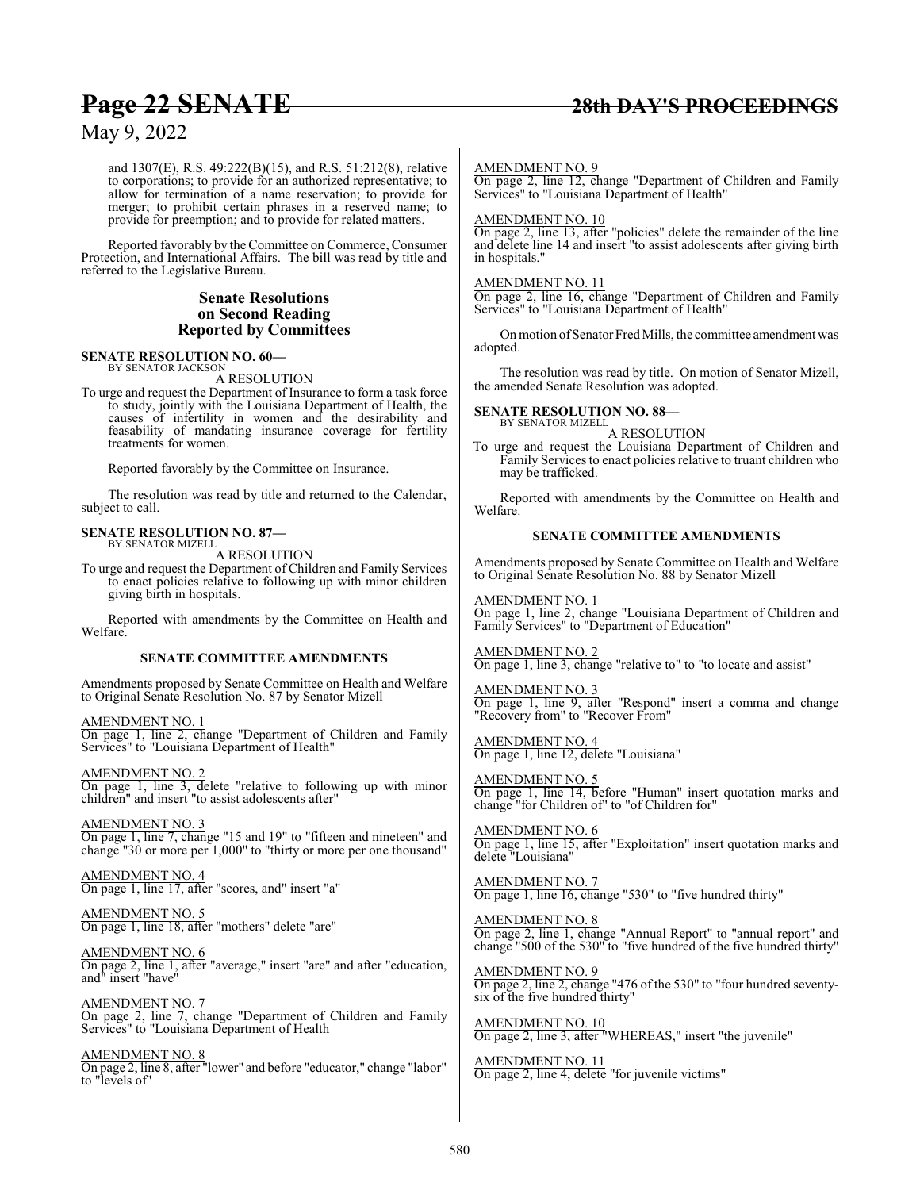and 1307(E), R.S. 49:222(B)(15), and R.S. 51:212(8), relative to corporations; to provide for an authorized representative; to allow for termination of a name reservation; to provide for merger; to prohibit certain phrases in a reserved name; to provide for preemption; and to provide for related matters.

Reported favorably by the Committee on Commerce, Consumer Protection, and International Affairs. The bill was read by title and referred to the Legislative Bureau.

#### **Senate Resolutions on Second Reading Reported by Committees**

#### **SENATE RESOLUTION NO. 60—** BY SENATOR JACKSON

A RESOLUTION

To urge and request the Department of Insurance to form a task force to study, jointly with the Louisiana Department of Health, the causes of infertility in women and the desirability and feasability of mandating insurance coverage for fertility treatments for women.

Reported favorably by the Committee on Insurance.

The resolution was read by title and returned to the Calendar, subject to call.

## **SENATE RESOLUTION NO. 87—** BY SENATOR MIZELL

A RESOLUTION

To urge and request the Department of Children and Family Services to enact policies relative to following up with minor children giving birth in hospitals.

Reported with amendments by the Committee on Health and Welfare.

### **SENATE COMMITTEE AMENDMENTS**

Amendments proposed by Senate Committee on Health and Welfare to Original Senate Resolution No. 87 by Senator Mizell

AMENDMENT NO. 1 On page 1, line 2, change "Department of Children and Family Services" to "Louisiana Department of Health"

AMENDMENT NO. 2 On page 1, line 3, delete "relative to following up with minor children" and insert "to assist adolescents after"

AMENDMENT NO. 3 On page 1, line 7, change "15 and 19" to "fifteen and nineteen" and change "30 or more per 1,000" to "thirty or more per one thousand"

AMENDMENT NO. 4 On page 1, line 17, after "scores, and" insert "a"

AMENDMENT NO. 5 On page 1, line 18, after "mothers" delete "are"

AMENDMENT NO. 6 On page 2, line 1, after "average," insert "are" and after "education, and" insert "have"

AMENDMENT NO. 7 On page 2, line 7, change "Department of Children and Family Services" to "Louisiana Department of Health

AMENDMENT NO. 8 On page 2, line 8, after "lower" and before "educator," change "labor" to "levels of"

#### AMENDMENT NO. 9

On page 2, line 12, change "Department of Children and Family Services" to "Louisiana Department of Health"

### AMENDMENT NO. 10

On page 2, line 13, after "policies" delete the remainder of the line and delete line 14 and insert "to assist adolescents after giving birth in hospitals."

#### AMENDMENT NO. 11

On page 2, line 16, change "Department of Children and Family Services" to "Louisiana Department of Health"

On motion of Senator Fred Mills, the committee amendment was adopted.

The resolution was read by title. On motion of Senator Mizell, the amended Senate Resolution was adopted.

#### **SENATE RESOLUTION NO. 88—**

BY SENATOR MIZELL A RESOLUTION

To urge and request the Louisiana Department of Children and Family Services to enact policies relative to truant children who may be trafficked.

Reported with amendments by the Committee on Health and Welfare.

#### **SENATE COMMITTEE AMENDMENTS**

Amendments proposed by Senate Committee on Health and Welfare to Original Senate Resolution No. 88 by Senator Mizell

AMENDMENT NO. 1 On page 1, line 2, change "Louisiana Department of Children and Family Services" to "Department of Education"

AMENDMENT NO. 2 On page 1, line 3, change "relative to" to "to locate and assist"

AMENDMENT NO. 3 On page 1, line 9, after "Respond" insert a comma and change "Recovery from" to "Recover From"

AMENDMENT NO. 4 On page 1, line 12, delete "Louisiana"

AMENDMENT NO. 5 On page 1, line 14, before "Human" insert quotation marks and change "for Children of" to "of Children for"

AMENDMENT NO. 6 On page 1, line 15, after "Exploitation" insert quotation marks and delete "Louisiana"

AMENDMENT NO. 7 On page 1, line 16, change "530" to "five hundred thirty"

AMENDMENT NO. 8 On page 2, line 1, change "Annual Report" to "annual report" and change "500 of the 530" to "five hundred of the five hundred thirty"

AMENDMENT NO. 9 On page 2, line 2, change "476 of the 530" to "four hundred seventysix of the five hundred thirty"

AMENDMENT NO. 10 On page 2, line 3, after "WHEREAS," insert "the juvenile"

AMENDMENT NO. 11 On page 2, line 4, delete "for juvenile victims"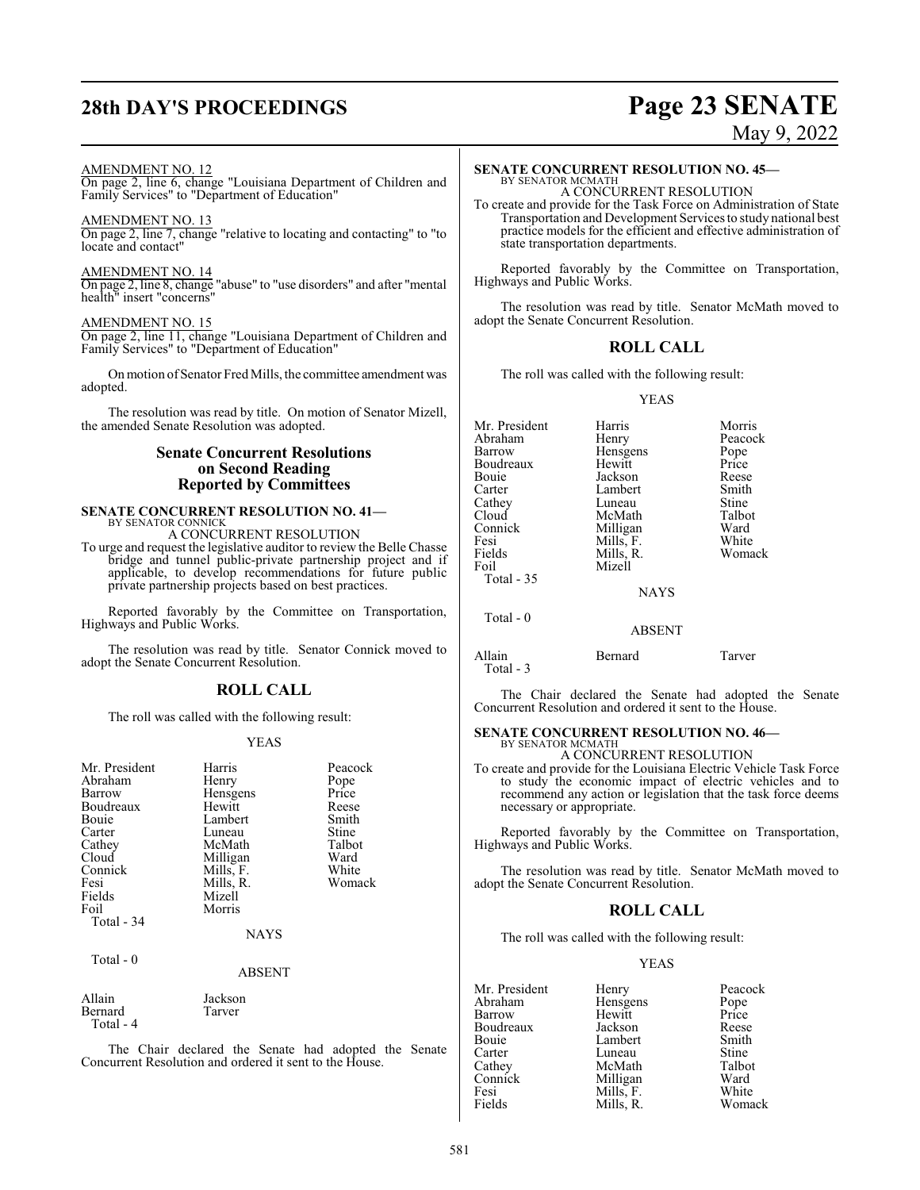## **28th DAY'S PROCEEDINGS Page 23 SENATE**

### May 9, 2022

#### AMENDMENT NO. 12

On page 2, line 6, change "Louisiana Department of Children and Family Services" to "Department of Education"

#### AMENDMENT NO. 13

On page 2, line 7, change "relative to locating and contacting" to "to locate and contact"

#### AMENDMENT NO. 14

On page 2, line 8, change "abuse" to "use disorders" and after "mental health" insert "concerns"

#### AMENDMENT NO. 15

On page 2, line 11, change "Louisiana Department of Children and Family Services" to "Department of Education"

Onmotion ofSenator Fred Mills, the committee amendment was adopted.

The resolution was read by title. On motion of Senator Mizell, the amended Senate Resolution was adopted.

#### **Senate Concurrent Resolutions on Second Reading Reported by Committees**

#### **SENATE CONCURRENT RESOLUTION NO. 41—** BY SENATOR CONNICK

A CONCURRENT RESOLUTION

To urge and request the legislative auditor to review the Belle Chasse bridge and tunnel public-private partnership project and if applicable, to develop recommendations for future public private partnership projects based on best practices.

Reported favorably by the Committee on Transportation, Highways and Public Works.

The resolution was read by title. Senator Connick moved to adopt the Senate Concurrent Resolution.

### **ROLL CALL**

The roll was called with the following result:

#### YEAS

| Mr. President<br>Abraham<br>Barrow<br>Boudreaux<br>Bouie<br>Carter<br>Cathey<br>Cloud<br>Connick<br>Fesi<br>Fields<br>Foil<br>Total - 34 | Harris<br>Henry<br>Hensgens<br>Hewitt<br>Lambert<br>Luneau<br>McMath<br>Milligan<br>Mills, F.<br>Mills, R.<br>Mizell<br>Morris | Peacock<br>Pope<br>Price<br>Reese<br>Smith<br>Stine<br>Talbot<br>Ward<br>White<br>Womack |
|------------------------------------------------------------------------------------------------------------------------------------------|--------------------------------------------------------------------------------------------------------------------------------|------------------------------------------------------------------------------------------|
|                                                                                                                                          | <b>NAYS</b>                                                                                                                    |                                                                                          |
| Total - 0                                                                                                                                | <b>ABSENT</b>                                                                                                                  |                                                                                          |

Allain Jackson<br>Bernard Tarver Bernard Total - 4

The Chair declared the Senate had adopted the Senate Concurrent Resolution and ordered it sent to the House.

### **SENATE CONCURRENT RESOLUTION NO. 45—**

BY SENATOR MCMATH A CONCURRENT RESOLUTION

To create and provide for the Task Force on Administration of State Transportation and Development Services to study national best practice models for the efficient and effective administration of state transportation departments.

Reported favorably by the Committee on Transportation, Highways and Public Works.

The resolution was read by title. Senator McMath moved to adopt the Senate Concurrent Resolution.

### **ROLL CALL**

The roll was called with the following result:

#### YEAS

| Mr. President<br>Abraham<br>Barrow<br>Boudreaux<br>Bouie<br>Carter<br>Cathey<br>Cloud<br>Connick<br>Fesi<br>Fields | Harris<br>Henry<br>Hensgens<br>Hewitt<br>Jackson<br>Lambert<br>Luneau<br>McMath<br>Milligan<br>Mills, F.<br>Mills, R. | Morris<br>Peacock<br>Pope<br>Price<br>Reese<br>Smith<br>Stine<br>Talbot<br>Ward<br>White<br>Womack |
|--------------------------------------------------------------------------------------------------------------------|-----------------------------------------------------------------------------------------------------------------------|----------------------------------------------------------------------------------------------------|
| Foil<br>Total $-35$<br>Total - 0                                                                                   | Mizell<br><b>NAYS</b><br><b>ABSENT</b>                                                                                |                                                                                                    |
| Allain                                                                                                             | Bernard                                                                                                               | Tarver                                                                                             |

Total - 3

The Chair declared the Senate had adopted the Senate Concurrent Resolution and ordered it sent to the House.

## **SENATE CONCURRENT RESOLUTION NO. 46—**

BY SENATOR MCMATH A CONCURRENT RESOLUTION

To create and provide for the Louisiana Electric Vehicle Task Force to study the economic impact of electric vehicles and to recommend any action or legislation that the task force deems necessary or appropriate.

Reported favorably by the Committee on Transportation, Highways and Public Works.

The resolution was read by title. Senator McMath moved to adopt the Senate Concurrent Resolution.

### **ROLL CALL**

The roll was called with the following result:

#### YEAS

| Mr. President | Henry     | Peacock       |
|---------------|-----------|---------------|
| Abraham       | Hensgens  |               |
| Barrow        | Hewitt    | Pope<br>Price |
| Boudreaux     | Jackson   | Reese         |
| Bouie         | Lambert   | Smith         |
| Carter        | Luneau    | <b>Stine</b>  |
| Cathey        | McMath    | Talbot        |
| Connick       | Milligan  | Ward          |
| Fesi          | Mills, F. | White         |
| Fields        | Mills. R. | Womack        |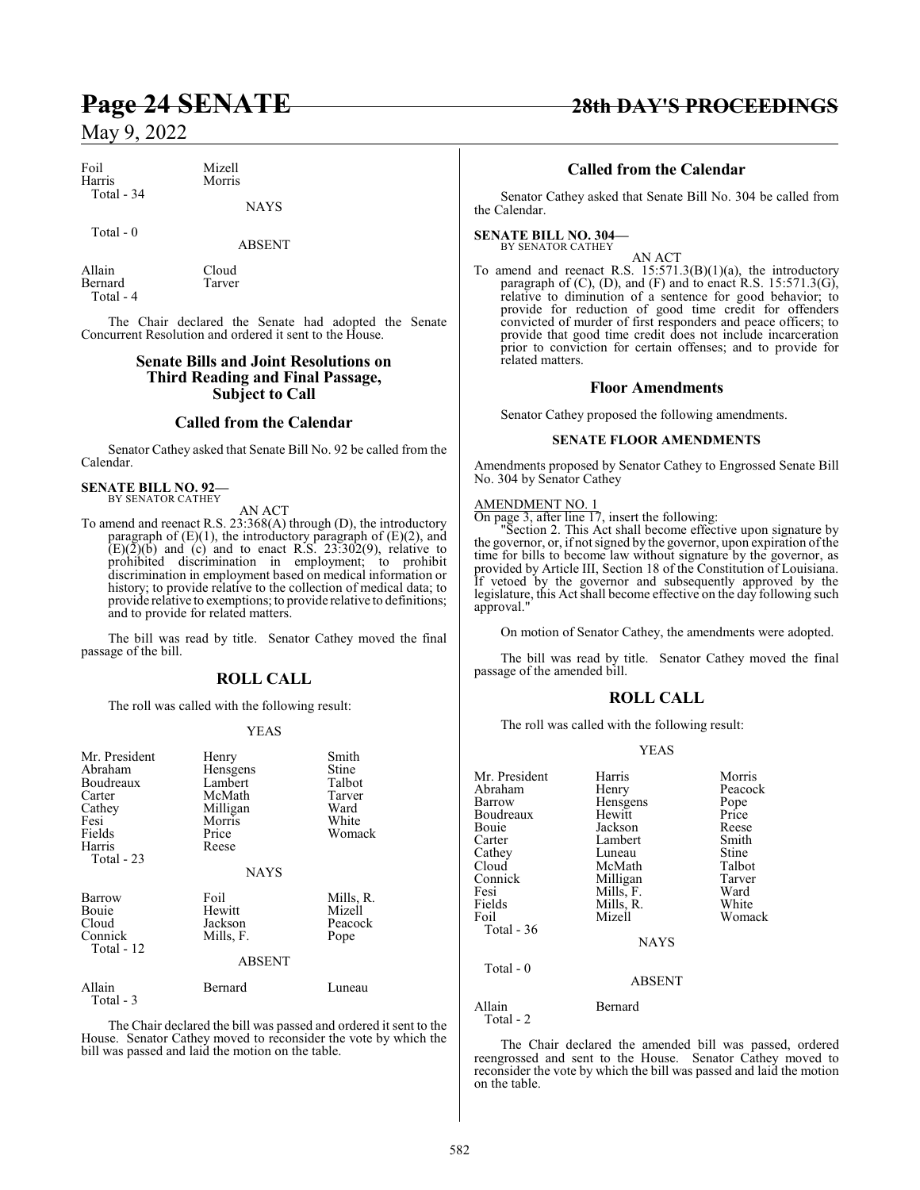| Foil       | Mizell |
|------------|--------|
| Harris     | Morris |
| Total - 34 |        |
|            |        |

#### Total - 0

ABSENT

NAYS

Allain Cloud<br>Bernard Tarver Bernard Total - 4

The Chair declared the Senate had adopted the Senate Concurrent Resolution and ordered it sent to the House.

#### **Senate Bills and Joint Resolutions on Third Reading and Final Passage, Subject to Call**

#### **Called from the Calendar**

Senator Cathey asked that Senate Bill No. 92 be called from the Calendar.

#### **SENATE BILL NO. 92—** BY SENATOR CATHEY

AN ACT

To amend and reenact R.S. 23:368(A) through (D), the introductory paragraph of (E)(1), the introductory paragraph of (E)(2), and  $(E)(2)(b)$  and (c) and to enact R.S. 23:302(9), relative to prohibited discrimination in employment; to prohibit discrimination in employment based on medical information or history; to provide relative to the collection of medical data; to provide relative to exemptions; to provide relative to definitions; and to provide for related matters.

The bill was read by title. Senator Cathey moved the final passage of the bill.

### **ROLL CALL**

The roll was called with the following result:

#### YEAS

| Mr. President<br>Abraham<br>Boudreaux<br>Carter<br>Cathey<br>Fesi<br>Fields<br>Harris<br>Total $-23$ | Henry<br>Hensgens<br>Lambert<br>McMath<br>Milligan<br>Morris<br>Price<br>Reese<br><b>NAYS</b> | Smith<br>Stine<br>Talbot<br>Tarver<br>Ward<br>White<br>Womack |
|------------------------------------------------------------------------------------------------------|-----------------------------------------------------------------------------------------------|---------------------------------------------------------------|
| <b>Barrow</b><br>Bouie<br>Cloud<br>Connick<br>Total - 12                                             | Foil<br>Hewitt<br>Jackson<br>Mills, F.<br><b>ABSENT</b>                                       | Mills, R.<br>Mizell<br>Peacock<br>Pope                        |
| Allain<br>Total - 3                                                                                  | Bernard                                                                                       | Luneau                                                        |

The Chair declared the bill was passed and ordered it sent to the House. Senator Cathey moved to reconsider the vote by which the bill was passed and laid the motion on the table.

### **Page 24 SENATE 28th DAY'S PROCEEDINGS**

### **Called from the Calendar**

Senator Cathey asked that Senate Bill No. 304 be called from the Calendar.

### **SENATE BILL NO. 304—** BY SENATOR CATHEY

AN ACT To amend and reenact R.S.  $15:571.3(B)(1)(a)$ , the introductory paragraph of  $(C)$ ,  $(D)$ , and  $(F)$  and to enact R.S. 15:571.3 $(G)$ , relative to diminution of a sentence for good behavior; to provide for reduction of good time credit for offenders convicted of murder of first responders and peace officers; to provide that good time credit does not include incarceration prior to conviction for certain offenses; and to provide for related matters.

#### **Floor Amendments**

Senator Cathey proposed the following amendments.

#### **SENATE FLOOR AMENDMENTS**

Amendments proposed by Senator Cathey to Engrossed Senate Bill No. 304 by Senator Cathey

### AMENDMENT NO. 1

On page 3, after line 17, insert the following:

"Section 2. This Act shall become effective upon signature by the governor, or, if not signed by the governor, upon expiration of the time for bills to become law without signature by the governor, as provided by Article III, Section 18 of the Constitution of Louisiana. If vetoed by the governor and subsequently approved by the legislature, this Act shall become effective on the day following such approval."

On motion of Senator Cathey, the amendments were adopted.

The bill was read by title. Senator Cathey moved the final passage of the amended bill.

#### **ROLL CALL**

The roll was called with the following result:

#### YEAS

| Mr. President<br>Abraham<br>Barrow<br>Boudreaux<br>Bouie<br>Carter<br>Cathey<br>Cloud<br>Connick<br>Fesi<br>Fields<br>Foil | Harris<br>Henry<br>Hensgens<br>Hewitt<br>Jackson<br>Lambert<br>Luneau<br>McMath<br>Milligan<br>Mills, F.<br>Mills, R.<br>Mizell | Morris<br>Peacock<br>Pope<br>Price<br>Reese<br>Smith<br>Stine<br>Talbot<br>Tarver<br>Ward<br>White<br>Womack |
|----------------------------------------------------------------------------------------------------------------------------|---------------------------------------------------------------------------------------------------------------------------------|--------------------------------------------------------------------------------------------------------------|
| Total $-36$                                                                                                                | <b>NAYS</b>                                                                                                                     |                                                                                                              |
| Total $-0$                                                                                                                 | <b>ABSENT</b>                                                                                                                   |                                                                                                              |
| Allain<br>Total - 2                                                                                                        | Bernard                                                                                                                         |                                                                                                              |

The Chair declared the amended bill was passed, ordered reengrossed and sent to the House. Senator Cathey moved to reconsider the vote by which the bill was passed and laid the motion on the table.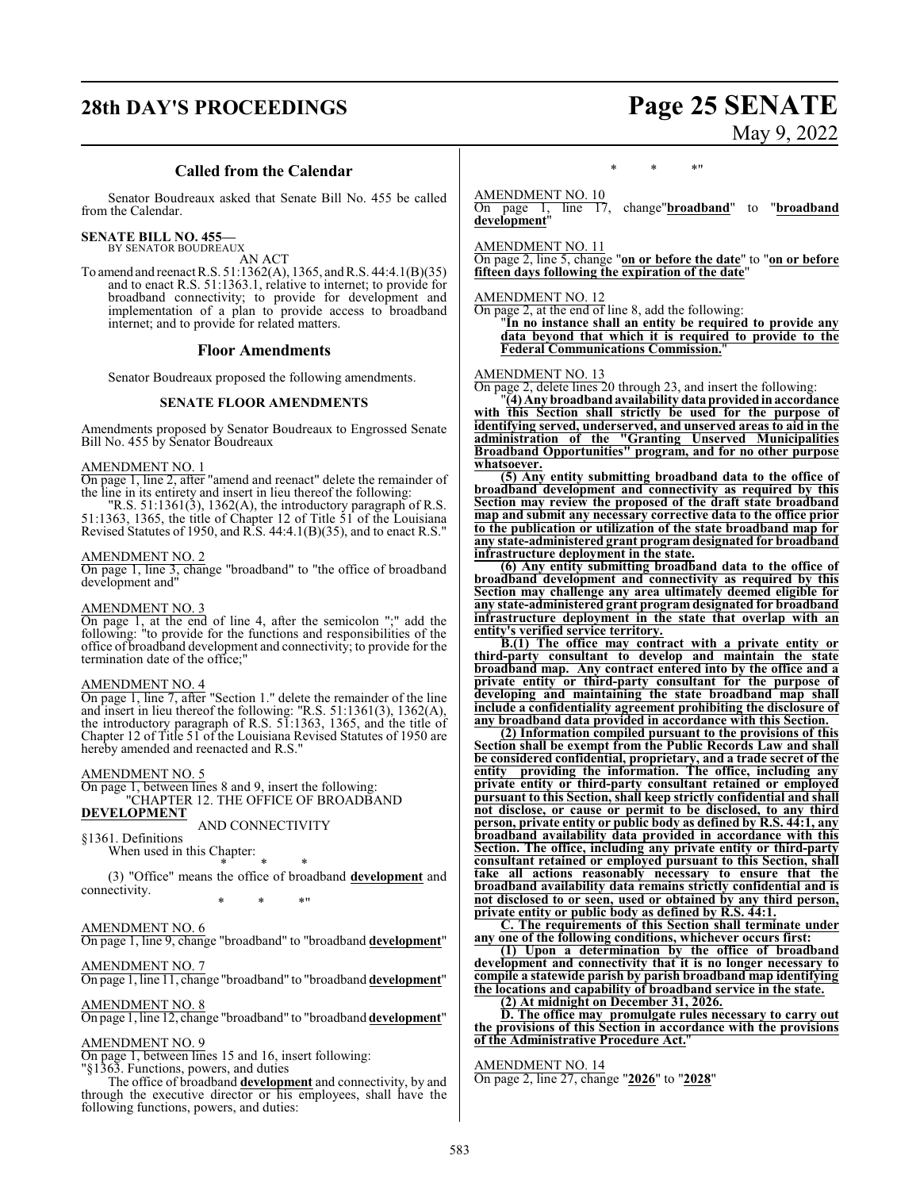## **28th DAY'S PROCEEDINGS Page 25 SENATE**

# May 9, 2022

### **Called from the Calendar**

Senator Boudreaux asked that Senate Bill No. 455 be called from the Calendar.

## **SENATE BILL NO. 455—** BY SENATOR BOUDREAUX

AN ACT

To amend and reenact R.S. 51:1362(A), 1365, andR.S. 44:4.1(B)(35) and to enact R.S. 51:1363.1, relative to internet; to provide for broadband connectivity; to provide for development and implementation of a plan to provide access to broadband internet; and to provide for related matters.

#### **Floor Amendments**

Senator Boudreaux proposed the following amendments.

#### **SENATE FLOOR AMENDMENTS**

Amendments proposed by Senator Boudreaux to Engrossed Senate Bill No. 455 by Senator Boudreaux

#### AMENDMENT NO. 1

On page 1, line 2, after "amend and reenact" delete the remainder of the line in its entirety and insert in lieu thereof the following:

"R.S.  $51:1361(3)$ ,  $1362(A)$ , the introductory paragraph of R.S. 51:1363, 1365, the title of Chapter 12 of Title 51 of the Louisiana Revised Statutes of 1950, and R.S. 44:4.1(B)(35), and to enact R.S."

#### AMENDMENT NO. 2

On page 1, line 3, change "broadband" to "the office of broadband development and"

#### AMENDMENT NO. 3

On page 1, at the end of line 4, after the semicolon ";" add the following: "to provide for the functions and responsibilities of the office of broadband development and connectivity; to provide for the termination date of the office;"

#### AMENDMENT NO. 4

On page 1, line 7, after "Section 1." delete the remainder of the line and insert in lieu thereof the following: "R.S. 51:1361(3), 1362(A), the introductory paragraph of R.S. 51:1363, 1365, and the title of Chapter 12 of Title 51 of the Louisiana Revised Statutes of 1950 are hereby amended and reenacted and R.S."

#### AMENDMENT NO. 5

On page 1, between lines 8 and 9, insert the following: "CHAPTER 12. THE OFFICE OF BROADBAND

### **DEVELOPMENT**

AND CONNECTIVITY §1361. Definitions

When used in this Chapter:

\* \* \*

(3) "Office" means the office of broadband **development** and connectivity. \* \* \*"

#### AMENDMENT NO. 6

On page 1, line 9, change "broadband" to "broadband **development**"

#### AMENDMENT NO. 7

On page 1, line 11, change "broadband" to "broadband **development**"

#### AMENDMENT NO. 8

On page 1, line 12, change "broadband" to "broadband **development**"

#### AMENDMENT NO. 9

On page 1, between lines 15 and 16, insert following:

"§1363. Functions, powers, and duties The office of broadband **development** and connectivity, by and

through the executive director or his employees, shall have the following functions, powers, and duties:

#### \* \* \*"

AMENDMENT NO. 10

On page 1, line 17, change"**broadband**" to "**broadband development**"

AMENDMENT NO. 11

On page 2, line 5, change "**on or before the date**" to "**on or before fifteen days following the expiration of the date**"

#### AMENDMENT NO. 12

On page 2, at the end of line 8, add the following: "**In no instance shall an entity be required to provide any data beyond that which it is required to provide to the Federal Communications Commission.**"

### AMENDMENT NO. 13

On page 2, delete lines 20 through 23, and insert the following:

"**(4) Any broadbandavailability data providedin accordance with this Section shall strictly be used for the purpose of identifying served, underserved, and unserved areas to aid in the administration of the "Granting Unserved Municipalities Broadband Opportunities" program, and for no other purpose whatsoever.**

**(5) Any entity submitting broadband data to the office of broadband development and connectivity as required by this Section may review the proposed of the draft state broadband map and submit any necessary corrective data to the office prior to the publication or utilization of the state broadband map for any state-administered grant program designated for broadband infrastructure deployment in the state.**

**(6) Any entity submitting broadband data to the office of broadband development and connectivity as required by this Section may challenge any area ultimately deemed eligible for any state-administered grant program designated for broadband infrastructure deployment in the state that overlap with an entity's verified service territory.**

**B.(1) The office may contract with a private entity or third-party consultant to develop and maintain the state broadband map. Any contract entered into by the office and a private entity or third-party consultant for the purpose of developing and maintaining the state broadband map shall include a confidentiality agreement prohibiting the disclosure of any broadband data provided in accordance with this Section.**

**(2) Information compiled pursuant to the provisions of this Section shall be exempt from the Public Records Law and shall be considered confidential, proprietary, and a trade secret of the entity providing the information. The office, including any private entity or third-party consultant retained or employed pursuant to this Section, shall keep strictly confidential and shall not disclose, or cause or permit to be disclosed, to any third person, private entity or public body as defined by R.S. 44:1, any broadband availability data provided in accordance with this Section. The office, including any private entity or third-party consultant retained or employed pursuant to this Section, shall take all actions reasonably necessary to ensure that the broadband availability data remains strictly confidential and is not disclosed to or seen, used or obtained by any third person, private entity or public body as defined by R.S. 44:1.**

**C. The requirements of this Section shall terminate under any one of the following conditions, whichever occurs first:**

**(1) Upon a determination by the office of broadband development and connectivity that it is no longer necessary to compile a statewide parish by parish broadband map identifying the locations and capability of broadband service in the state.**

**(2) At midnight on December 31, 2026.**

**D. The office may promulgate rules necessary to carry out the provisions of this Section in accordance with the provisions of the Administrative Procedure Act.**"

AMENDMENT NO. 14 On page 2, line 27, change "**2026**" to "**2028**"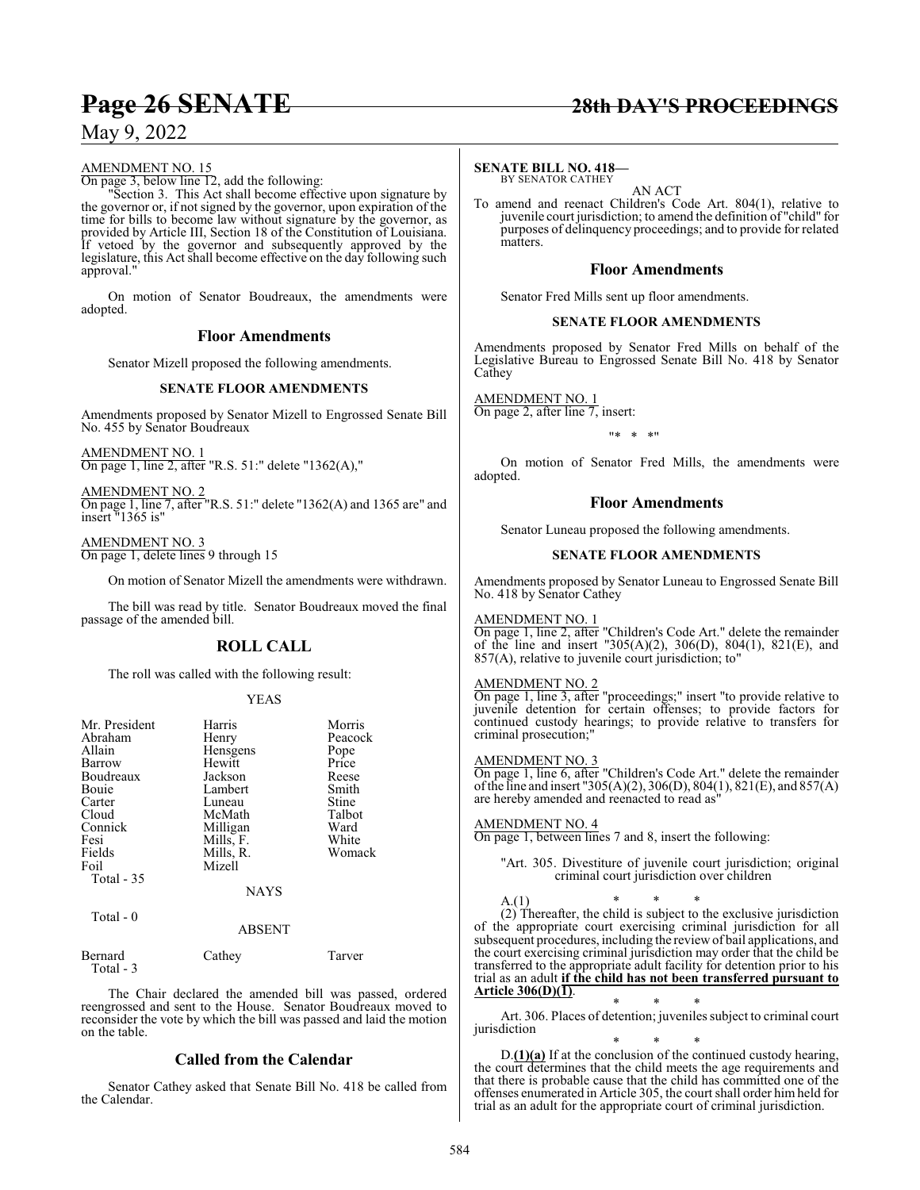### **Page 26 SENATE 28th DAY'S PROCEEDINGS**

### May 9, 2022

#### AMENDMENT NO. 15

On page 3, below line 12, add the following:

"Section 3. This Act shall become effective upon signature by the governor or, if not signed by the governor, upon expiration of the time for bills to become law without signature by the governor, as provided by Article III, Section 18 of the Constitution of Louisiana. If vetoed by the governor and subsequently approved by the legislature, this Act shall become effective on the day following such approval."

On motion of Senator Boudreaux, the amendments were adopted.

#### **Floor Amendments**

Senator Mizell proposed the following amendments.

#### **SENATE FLOOR AMENDMENTS**

Amendments proposed by Senator Mizell to Engrossed Senate Bill No. 455 by Senator Boudreaux

AMENDMENT NO. 1 On page 1, line 2, after "R.S. 51:" delete "1362(A),"

AMENDMENT NO. 2 On page 1, line 7, after "R.S. 51:" delete "1362(A) and 1365 are" and insert "1365 is"

AMENDMENT NO. 3 On page 1, delete lines 9 through 15

On motion of Senator Mizell the amendments were withdrawn.

The bill was read by title. Senator Boudreaux moved the final passage of the amended bill.

### **ROLL CALL**

The roll was called with the following result:

#### YEAS

| Mr. President<br>Abraham<br>Allain<br>Barrow<br>Boudreaux<br>Bouie<br>Carter<br>Cloud<br>Connick<br>Fesi<br>Fields<br>Foil<br>Total - 35 | Harris<br>Henry<br>Hensgens<br>Hewitt<br>Jackson<br>Lambert<br>Luneau<br>McMath<br>Milligan<br>Mills, F.<br>Mills, R.<br>Mizell<br><b>NAYS</b> | Morris<br>Peacock<br>Pope<br>Price<br>Reese<br>Smith<br>Stine<br>Talbot<br>Ward<br>White<br>Womack |
|------------------------------------------------------------------------------------------------------------------------------------------|------------------------------------------------------------------------------------------------------------------------------------------------|----------------------------------------------------------------------------------------------------|
|                                                                                                                                          |                                                                                                                                                |                                                                                                    |
| Total - 0                                                                                                                                | <b>ABSENT</b>                                                                                                                                  |                                                                                                    |

| Bernard   | Cathey | Tarver |
|-----------|--------|--------|
| Total - 3 |        |        |

The Chair declared the amended bill was passed, ordered reengrossed and sent to the House. Senator Boudreaux moved to reconsider the vote by which the bill was passed and laid the motion on the table.

### **Called from the Calendar**

Senator Cathey asked that Senate Bill No. 418 be called from the Calendar.

#### **SENATE BILL NO. 418—** BY SENATOR CATHEY

AN ACT

To amend and reenact Children's Code Art. 804(1), relative to juvenile court jurisdiction; to amend the definition of "child" for purposes of delinquency proceedings; and to provide for related matters.

#### **Floor Amendments**

Senator Fred Mills sent up floor amendments.

#### **SENATE FLOOR AMENDMENTS**

Amendments proposed by Senator Fred Mills on behalf of the Legislative Bureau to Engrossed Senate Bill No. 418 by Senator **Cathey** 

AMENDMENT NO. 1 On page 2, after line 7, insert:

"\* \* \*"

On motion of Senator Fred Mills, the amendments were adopted.

#### **Floor Amendments**

Senator Luneau proposed the following amendments.

#### **SENATE FLOOR AMENDMENTS**

Amendments proposed by Senator Luneau to Engrossed Senate Bill No. 418 by Senator Cathey

#### AMENDMENT NO. 1

On page 1, line 2, after "Children's Code Art." delete the remainder of the line and insert "305(A)(2), 306(D), 804(1), 821(E), and 857(A), relative to juvenile court jurisdiction; to"

#### AMENDMENT NO. 2

On page 1, line 3, after "proceedings;" insert "to provide relative to juvenile detention for certain offenses; to provide factors for continued custody hearings; to provide relative to transfers for criminal prosecution;"

#### AMENDMENT NO. 3

On page 1, line 6, after "Children's Code Art." delete the remainder ofthe line and insert "305(A)(2), 306(D), 804(1), 821(E), and 857(A) are hereby amended and reenacted to read as"

AMENDMENT NO. 4

On page 1, between lines 7 and 8, insert the following:

"Art. 305. Divestiture of juvenile court jurisdiction; original criminal court jurisdiction over children

A.(1) \* \* \* (2) Thereafter, the child is subject to the exclusive jurisdiction of the appropriate court exercising criminal jurisdiction for all subsequent procedures, including the review of bail applications, and the court exercising criminal jurisdiction may order that the child be transferred to the appropriate adult facility for detention prior to his trial as an adult **if the child has not been transferred pursuant to Article 306(D)(1)**.

\* \* \* Art. 306. Places of detention; juveniles subject to criminal court jurisdiction

\* \* \* D.**(1)(a)** If at the conclusion of the continued custody hearing, the court determines that the child meets the age requirements and that there is probable cause that the child has committed one of the offenses enumerated in Article 305, the court shall order him held for trial as an adult for the appropriate court of criminal jurisdiction.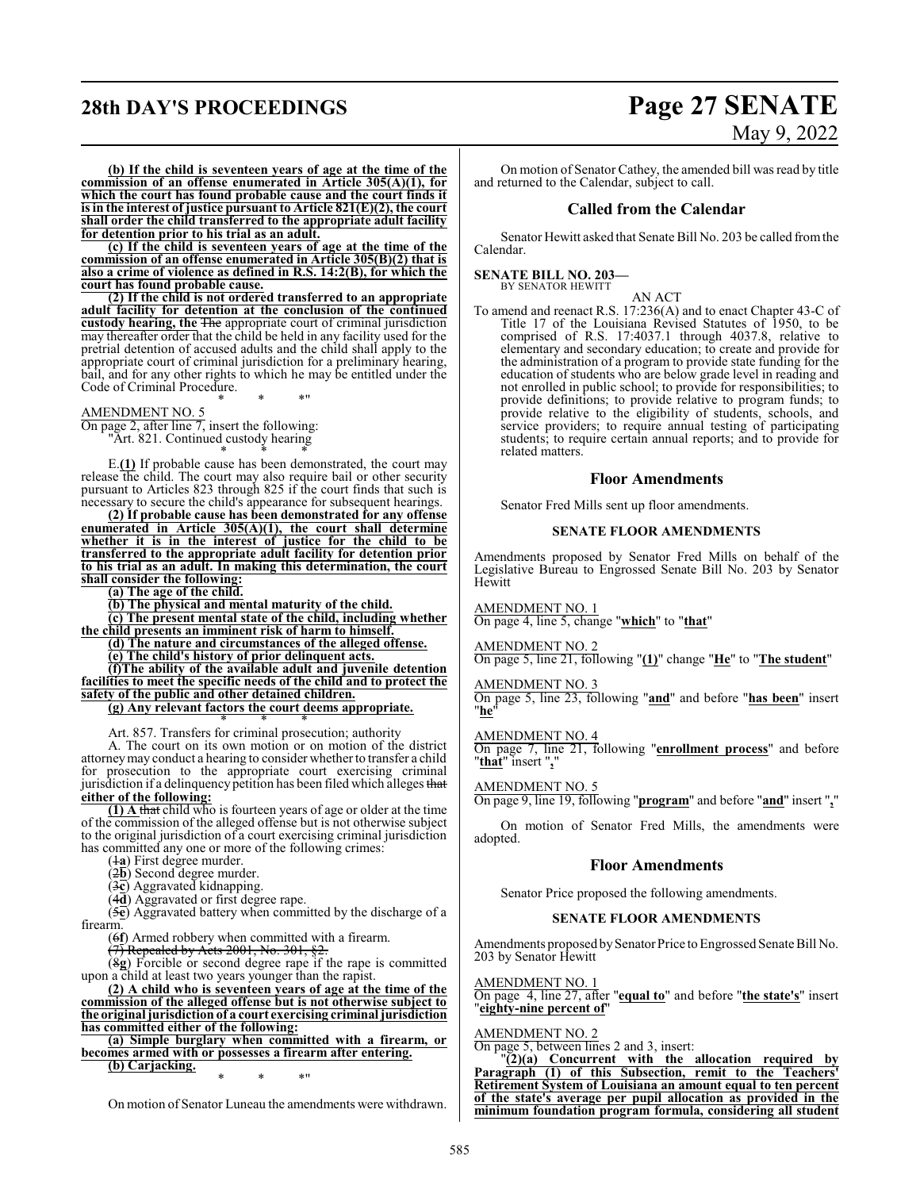## **28th DAY'S PROCEEDINGS Page 27 SENATE**

# May 9, 2022

**(b) If the child is seventeen years of age at the time of the commission of an offense enumerated in Article 305(A)(1), for which the court has found probable cause and the court finds it is in the interest of justice pursuant to Article 821(E)(2), the court shall order the child transferred to the appropriate adult facility for detention prior to his trial as an adult.**

**(c) If the child is seventeen years of age at the time of the commission of an offense enumerated in Article 305(B)(2) that is also a crime of violence as defined in R.S. 14:2(B), for which the court has found probable cause.**

**(2) If the child is not ordered transferred to an appropriate adult facility for detention at the conclusion of the continued custody hearing, the** The appropriate court of criminal jurisdiction may thereafter order that the child be held in any facility used for the pretrial detention of accused adults and the child shall apply to the appropriate court of criminal jurisdiction for a preliminary hearing, bail, and for any other rights to which he may be entitled under the Code of Criminal Procedure.

\* \* \*"

#### AMENDMENT NO. 5

On page 2, after line 7, insert the following: "Art. 821. Continued custody hearing \* \* \*

E.**(1)** If probable cause has been demonstrated, the court may release the child. The court may also require bail or other security pursuant to Articles 823 through 825 if the court finds that such is necessary to secure the child's appearance for subsequent hearings.

**(2) If probable cause has been demonstrated for any offense enumerated in Article 305(A)(1), the court shall determine whether it is in the interest of justice for the child to be transferred to the appropriate adult facility for detention prior to his trial as an adult. In making this determination, the court shall consider the following:**

**(a) The age of the child.**

**(b) The physical and mental maturity of the child.**

**(c) The present mental state of the child, including whether the child presents an imminent risk of harm to himself.**

**(d) The nature and circumstances of the alleged offense.**

**(e) The child's history of prior delinquent acts.**

**(f)The ability of the available adult and juvenile detention facilities to meet the specific needs of the child and to protect the safety of the public and other detained children.**

**(g) Any relevant factors the court deems appropriate.** \* \* \*

Art. 857. Transfers for criminal prosecution; authority

A. The court on its own motion or on motion of the district attorneymay conduct a hearing to consider whether to transfer a child for prosecution to the appropriate court exercising criminal jurisdiction if a delinquency petition has been filed which alleges that **either of the following:**

**(1) A** that child who is fourteen years of age or older at the time of the commission of the alleged offense but is not otherwise subject to the original jurisdiction of a court exercising criminal jurisdiction has committed any one or more of the following crimes:

(1**a**) First degree murder.

(2**b**) Second degree murder.

(3**c**) Aggravated kidnapping.

(4**d**) Aggravated or first degree rape.

(5**e**) Aggravated battery when committed by the discharge of a firearm.

(6**f**) Armed robbery when committed with a firearm.

 $(7)$  Repealed by Acts 2001, No. 301, §2.

(8**g**) Forcible or second degree rape if the rape is committed upon a child at least two years younger than the rapist.

**(2) A child who is seventeen years of age at the time of the commission of the alleged offense but is not otherwise subject to the original jurisdiction of a court exercising criminal jurisdiction has committed either of the following:**

**(a) Simple burglary when committed with a firearm, or becomes armed with or possesses a firearm after entering.**

**(b) Carjacking.** \* \* \*"

On motion of Senator Luneau the amendments were withdrawn.

On motion of Senator Cathey, the amended bill was read by title and returned to the Calendar, subject to call.

#### **Called from the Calendar**

Senator Hewitt asked that Senate Bill No. 203 be called fromthe Calendar.

**SENATE BILL NO. 203—** BY SENATOR HEWITT

#### AN ACT

To amend and reenact R.S. 17:236(A) and to enact Chapter 43-C of Title 17 of the Louisiana Revised Statutes of 1950, to be comprised of R.S. 17:4037.1 through 4037.8, relative to elementary and secondary education; to create and provide for the administration of a program to provide state funding for the education of students who are below grade level in reading and not enrolled in public school; to provide for responsibilities; to provide definitions; to provide relative to program funds; to provide relative to the eligibility of students, schools, and service providers; to require annual testing of participating students; to require certain annual reports; and to provide for related matters.

#### **Floor Amendments**

Senator Fred Mills sent up floor amendments.

#### **SENATE FLOOR AMENDMENTS**

Amendments proposed by Senator Fred Mills on behalf of the Legislative Bureau to Engrossed Senate Bill No. 203 by Senator **Hewitt** 

#### AMENDMENT NO. 1

On page 4, line 5, change "**which**" to "**that**"

#### AMENDMENT NO. 2

On page 5, line 21, following "**(1)**" change "**He**" to "**The student**"

## AMENDMENT NO. 3

On page 5, line 23, following "**and**" and before "**has been**" insert "**he**"

#### AMENDMENT NO. 4

On page 7, line 21, following "**enrollment process**" and before "**that**" insert "**,**"

#### AMENDMENT NO. 5

On page 9, line 19, following "**program**" and before "**and**" insert "**,**"

On motion of Senator Fred Mills, the amendments were adopted.

#### **Floor Amendments**

Senator Price proposed the following amendments.

#### **SENATE FLOOR AMENDMENTS**

Amendments proposed by Senator Price to Engrossed Senate Bill No. 203 by Senator Hewitt

AMENDMENT NO. 1

On page 4, line 27, after "**equal to**" and before "**the state's**" insert "**eighty-nine percent of**"

#### AMENDMENT NO. 2

On page 5, between lines 2 and 3, insert:

"**(2)(a) Concurrent with the allocation required by Paragraph (1) of this Subsection, remit to the Teachers' Retirement System of Louisiana an amount equal to ten percent of the state's average per pupil allocation as provided in the minimum foundation program formula, considering all student**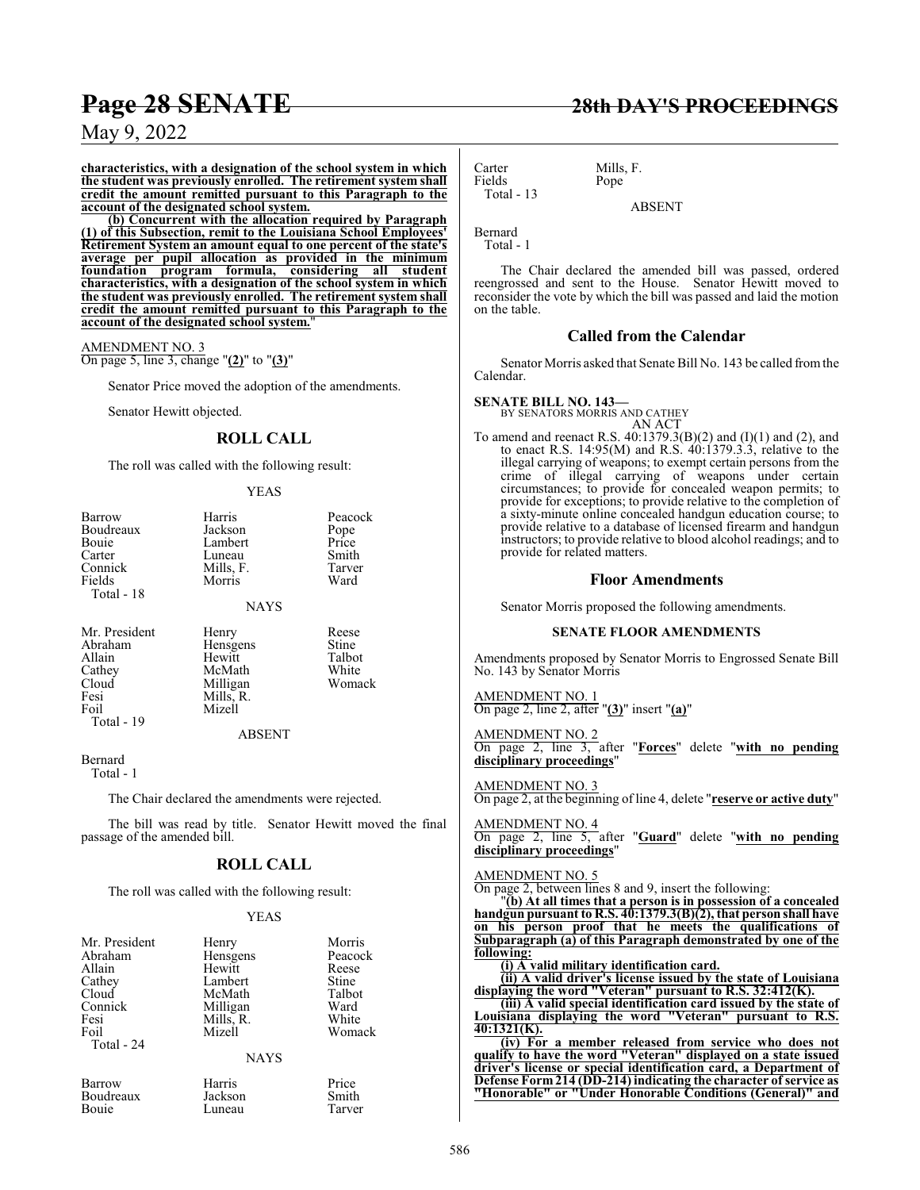**characteristics, with a designation of the school system in which the student was previously enrolled. The retirement system shall credit the amount remitted pursuant to this Paragraph to the account of the designated school system.**

**(b) Concurrent with the allocation required by Paragraph (1) of this Subsection, remit to the Louisiana School Employees' Retirement System an amount equal to one percent of the state's average per pupil allocation as provided in the minimum foundation program formula, considering all student characteristics, with a designation of the school system in which the student was previously enrolled. The retirement system shall credit the amount remitted pursuant to this Paragraph to the account of the designated school system.**"

AMENDMENT NO. 3 On page 5, line 3, change "**(2)**" to "**(3)**"

Senator Price moved the adoption of the amendments.

Senator Hewitt objected.

### **ROLL CALL**

The roll was called with the following result:

#### YEAS

| Barrow        | Harris        | Peacock |
|---------------|---------------|---------|
| Boudreaux     | Jackson       | Pope    |
| Bouie         | Lambert       | Price   |
| Carter        | Luneau        | Smith   |
| Connick       | Mills, F.     | Tarver  |
| Fields        | Morris        | Ward    |
| Total - 18    |               |         |
|               | <b>NAYS</b>   |         |
| Mr. President | Henry         | Reese   |
| Abraham       | Hensgens      | Stine   |
| Allain        | Hewitt        | Talbot  |
| Cathey        | McMath        | White   |
| Cloud         | Milligan      | Womack  |
| Fesi          | Mills, R.     |         |
| Foil          | Mizell        |         |
| Total - 19    |               |         |
|               | <b>ABSENT</b> |         |
| Remard        |               |         |

Bernard

Total - 1

The Chair declared the amendments were rejected.

The bill was read by title. Senator Hewitt moved the final passage of the amended bill.

### **ROLL CALL**

The roll was called with the following result:

#### YEAS

| Mr. President<br>Abraham<br>Allain<br>Cathey<br>Cloud<br>Connick<br>Fesi<br>Foil<br>Total - 24 | Henry<br>Hensgens<br>Hewitt<br>Lambert<br>McMath<br>Milligan<br>Mills, R.<br>Mizell<br><b>NAYS</b> | Morris<br>Peacock<br>Reese<br>Stine<br>Talbot<br>Ward<br>White<br>Womack |
|------------------------------------------------------------------------------------------------|----------------------------------------------------------------------------------------------------|--------------------------------------------------------------------------|
| Barrow                                                                                         | Harris                                                                                             | Price                                                                    |
| Boudreaux                                                                                      | Jackson                                                                                            | Smith                                                                    |

Bouie Luneau Tarver

Carter Mills, F.<br>Fields Pope Fields Total - 13

ABSENT

Bernard Total - 1

The Chair declared the amended bill was passed, ordered reengrossed and sent to the House. Senator Hewitt moved to reconsider the vote by which the bill was passed and laid the motion on the table.

#### **Called from the Calendar**

Senator Morris asked that Senate Bill No. 143 be called fromthe Calendar.

**SENATE BILL NO. 143—**

BY SENATORS MORRIS AND CATHEY AN ACT

To amend and reenact R.S. 40:1379.3(B)(2) and (I)(1) and (2), and to enact R.S. 14:95(M) and R.S. 40:1379.3.3, relative to the illegal carrying of weapons; to exempt certain persons from the crime of illegal carrying of weapons under certain circumstances; to provide for concealed weapon permits; to provide for exceptions; to provide relative to the completion of a sixty-minute online concealed handgun education course; to provide relative to a database of licensed firearm and handgun instructors; to provide relative to blood alcohol readings; and to provide for related matters.

#### **Floor Amendments**

Senator Morris proposed the following amendments.

#### **SENATE FLOOR AMENDMENTS**

Amendments proposed by Senator Morris to Engrossed Senate Bill No. 143 by Senator Morris

AMENDMENT NO. 1 On page 2, line 2, after "**(3)**" insert "**(a)**"

AMENDMENT NO. 2 On page 2, line 3, after "**Forces**" delete "**with no pending disciplinary proceedings**"

AMENDMENT NO. 3

On page 2, at the beginning of line 4, delete "**reserve or active duty**"

AMENDMENT NO. 4 On page 2, line 5, after "**Guard**" delete "**with no pending disciplinary proceedings**"

#### AMENDMENT NO. 5

On page 2, between lines 8 and 9, insert the following:

"**(b) At all times that a person is in possession of a concealed handgun pursuant to R.S. 40:1379.3(B)(2), that person shall have on his person proof that he meets the qualifications of Subparagraph (a) of this Paragraph demonstrated by one of the following:**

**(i) A valid military identification card.**

**(ii) A valid driver's license issued by the state of Louisiana displaying the word "Veteran" pursuant to R.S. 32:412(K).**

**(iii) A valid special identification card issued by the state of Louisiana displaying the word "Veteran" pursuant to R.S. 40:1321(K).**

**(iv) For a member released from service who does not qualify to have the word "Veteran" displayed on a state issued driver's license or special identification card, a Department of Defense Form214 (DD-214) indicating the character of service as "Honorable" or "Under Honorable Conditions (General)" and**

### **Page 28 SENATE 28th DAY'S PROCEEDINGS**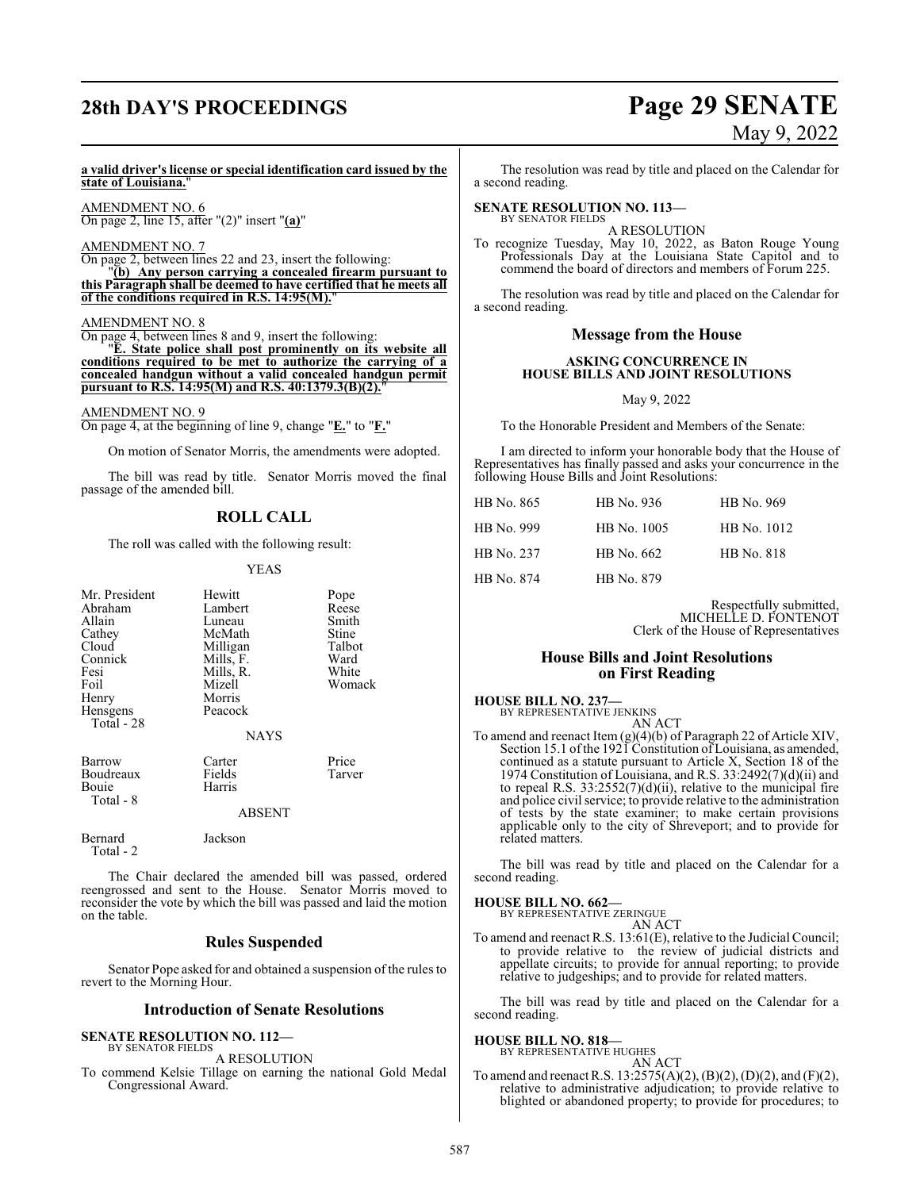## **28th DAY'S PROCEEDINGS Page 29 SENATE**

# May 9, 2022

#### **a valid driver's license or special identification card issued by the state of Louisiana.**"

AMENDMENT NO. 6 On page 2, line 15, after "(2)" insert "**(a)**"

#### AMENDMENT NO. 7

On page 2, between lines 22 and 23, insert the following: "**(b) Any person carrying a concealed firearm pursuant to this Paragraph shall be deemed to have certified that he meets all of the conditions required in R.S. 14:95(M).**"

#### AMENDMENT NO. 8

On page 4, between lines 8 and 9, insert the following: "**E. State police shall post prominently on its website all conditions required to be met to authorize the carrying of a concealed handgun without a valid concealed handgun permit pursuant to R.S. 14:95(M) and R.S. 40:1379.3(B)(2).**"

#### AMENDMENT NO. 9

On page 4, at the beginning of line 9, change "**E.**" to "**F.**"

On motion of Senator Morris, the amendments were adopted.

The bill was read by title. Senator Morris moved the final passage of the amended bill.

#### **ROLL CALL**

The roll was called with the following result:

YEAS

| Mr. President                             | Hewitt                     | Pope            |
|-------------------------------------------|----------------------------|-----------------|
| Abraham                                   | Lambert                    | Reese           |
| Allain                                    | Luneau                     | Smith           |
| Cathey                                    | McMath                     | Stine           |
| Cloud                                     | Milligan                   | Talbot          |
| Connick                                   | Mills, F.                  | Ward            |
| Fesi                                      | Mills, R.                  | White           |
| Foil                                      | Mizell                     | Womack          |
| Henry                                     | Morris                     |                 |
| Hensgens<br>Total - 28                    | Peacock                    |                 |
|                                           | <b>NAYS</b>                |                 |
| Barrow<br>Boudreaux<br>Bouie<br>Total - 8 | Carter<br>Fields<br>Harris | Price<br>Tarver |
|                                           | <b>ABSENT</b>              |                 |
|                                           |                            |                 |

Bernard Jackson Total - 2

The Chair declared the amended bill was passed, ordered reengrossed and sent to the House. Senator Morris moved to reconsider the vote by which the bill was passed and laid the motion on the table.

#### **Rules Suspended**

Senator Pope asked for and obtained a suspension of the rules to revert to the Morning Hour.

#### **Introduction of Senate Resolutions**

**SENATE RESOLUTION NO. 112—** BY SENATOR FIELDS

A RESOLUTION

To commend Kelsie Tillage on earning the national Gold Medal Congressional Award.

The resolution was read by title and placed on the Calendar for a second reading.

#### **SENATE RESOLUTION NO. 113—** BY SENATOR FIELDS

A RESOLUTION

To recognize Tuesday, May 10, 2022, as Baton Rouge Young Professionals Day at the Louisiana State Capitol and to commend the board of directors and members of Forum 225.

The resolution was read by title and placed on the Calendar for a second reading.

#### **Message from the House**

#### **ASKING CONCURRENCE IN HOUSE BILLS AND JOINT RESOLUTIONS**

May 9, 2022

To the Honorable President and Members of the Senate:

I am directed to inform your honorable body that the House of Representatives has finally passed and asks your concurrence in the following House Bills and Joint Resolutions:

| HB No. 865 | HB No. 936  | HB No. 969  |
|------------|-------------|-------------|
| HB No. 999 | HB No. 1005 | HB No. 1012 |
| HB No. 237 | HB No. 662  | HB No. 818  |
| HB No. 874 | HB No. 879  |             |

Respectfully submitted, MICHELLE D. FONTENOT Clerk of the House of Representatives

#### **House Bills and Joint Resolutions on First Reading**

**HOUSE BILL NO. 237—** BY REPRESENTATIVE JENKINS

AN ACT

To amend and reenact Item (g)(4)(b) of Paragraph 22 of Article XIV, Section 15.1 of the 1921 Constitution of Louisiana, as amended, continued as a statute pursuant to Article X, Section 18 of the 1974 Constitution of Louisiana, and R.S. 33:2492(7)(d)(ii) and to repeal R.S.  $33:2552(7)(d)(ii)$ , relative to the municipal fire and police civil service; to provide relative to the administration of tests by the state examiner; to make certain provisions applicable only to the city of Shreveport; and to provide for related matters.

The bill was read by title and placed on the Calendar for a second reading.

**HOUSE BILL NO. 662—** BY REPRESENTATIVE ZERINGUE

AN ACT

To amend and reenact R.S. 13:61(E), relative to the Judicial Council; to provide relative to the review of judicial districts and appellate circuits; to provide for annual reporting; to provide relative to judgeships; and to provide for related matters.

The bill was read by title and placed on the Calendar for a second reading.

### **HOUSE BILL NO. 818—** BY REPRESENTATIVE HUGHES

AN ACT

To amend and reenact R.S. 13:2575(A)(2), (B)(2), (D)(2), and (F)(2), relative to administrative adjudication; to provide relative to blighted or abandoned property; to provide for procedures; to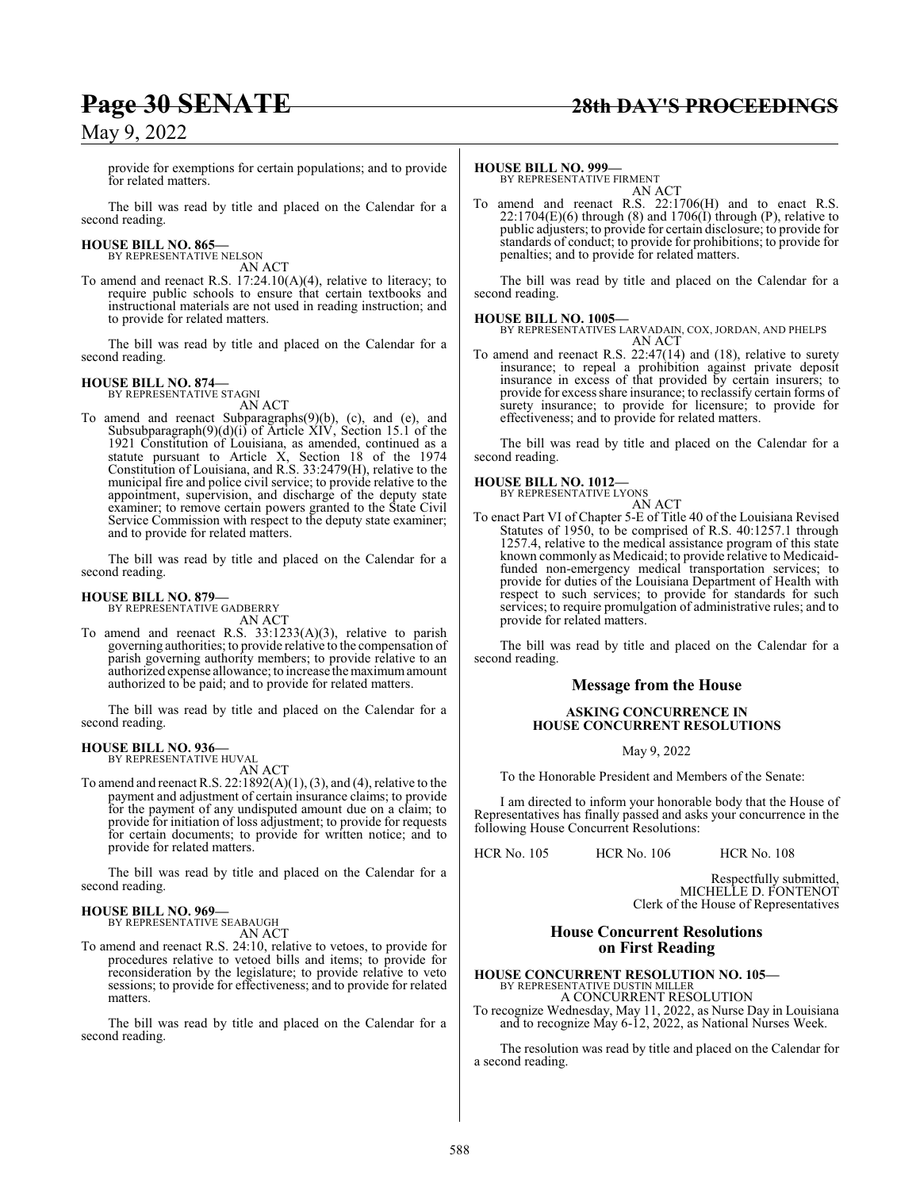provide for exemptions for certain populations; and to provide for related matters.

The bill was read by title and placed on the Calendar for a second reading.

#### **HOUSE BILL NO. 865—**

BY REPRESENTATIVE NELSON AN ACT

To amend and reenact R.S. 17:24.10(A)(4), relative to literacy; to require public schools to ensure that certain textbooks and instructional materials are not used in reading instruction; and to provide for related matters.

The bill was read by title and placed on the Calendar for a second reading.

#### **HOUSE BILL NO. 874—**

BY REPRESENTATIVE STAGNI AN ACT

To amend and reenact Subparagraphs(9)(b), (c), and (e), and Subsubparagraph(9)(d)(i) of Article XIV, Section 15.1 of the 1921 Constitution of Louisiana, as amended, continued as a statute pursuant to Article X, Section 18 of the 1974 Constitution of Louisiana, and R.S. 33:2479(H), relative to the municipal fire and police civil service; to provide relative to the appointment, supervision, and discharge of the deputy state examiner; to remove certain powers granted to the State Civil Service Commission with respect to the deputy state examiner; and to provide for related matters.

The bill was read by title and placed on the Calendar for a second reading.

#### **HOUSE BILL NO. 879—**

BY REPRESENTATIVE GADBERRY AN ACT

To amend and reenact R.S. 33:1233(A)(3), relative to parish governing authorities; to provide relative to the compensation of parish governing authority members; to provide relative to an authorized expense allowance; to increase the maximumamount authorized to be paid; and to provide for related matters.

The bill was read by title and placed on the Calendar for a second reading.

#### **HOUSE BILL NO. 936—**

BY REPRESENTATIVE HUVAL

AN ACT To amend and reenact R.S. 22:1892(A)(1), (3), and (4), relative to the payment and adjustment of certain insurance claims; to provide for the payment of any undisputed amount due on a claim; to provide for initiation of loss adjustment; to provide for requests for certain documents; to provide for written notice; and to provide for related matters.

The bill was read by title and placed on the Calendar for a second reading.

#### **HOUSE BILL NO. 969—** BY REPRESENTATIVE SEABAUGH

AN ACT

To amend and reenact R.S. 24:10, relative to vetoes, to provide for procedures relative to vetoed bills and items; to provide for reconsideration by the legislature; to provide relative to veto sessions; to provide for effectiveness; and to provide for related matters.

The bill was read by title and placed on the Calendar for a second reading.

**HOUSE BILL NO. 999—** BY REPRESENTATIVE FIRMENT AN ACT

To amend and reenact R.S. 22:1706(H) and to enact R.S.  $22:1704(E)(6)$  through (8) and  $1706(I)$  through (P), relative to public adjusters; to provide for certain disclosure; to provide for standards of conduct; to provide for prohibitions; to provide for penalties; and to provide for related matters.

The bill was read by title and placed on the Calendar for a second reading.

### **HOUSE BILL NO. 1005—**

BY REPRESENTATIVES LARVADAIN, COX, JORDAN, AND PHELPS AN ACT

To amend and reenact R.S. 22:47(14) and (18), relative to surety insurance; to repeal a prohibition against private deposit insurance in excess of that provided by certain insurers; to provide for excess share insurance; to reclassify certain forms of surety insurance; to provide for licensure; to provide for effectiveness; and to provide for related matters.

The bill was read by title and placed on the Calendar for a second reading.

#### **HOUSE BILL NO. 1012—**



To enact Part VI of Chapter 5-E of Title 40 of the Louisiana Revised Statutes of 1950, to be comprised of R.S. 40:1257.1 through 1257.4, relative to the medical assistance program of this state known commonly as Medicaid; to provide relative to Medicaidfunded non-emergency medical transportation services; to provide for duties of the Louisiana Department of Health with respect to such services; to provide for standards for such services; to require promulgation of administrative rules; and to provide for related matters.

The bill was read by title and placed on the Calendar for a second reading.

#### **Message from the House**

#### **ASKING CONCURRENCE IN HOUSE CONCURRENT RESOLUTIONS**

May 9, 2022

To the Honorable President and Members of the Senate:

I am directed to inform your honorable body that the House of Representatives has finally passed and asks your concurrence in the following House Concurrent Resolutions:

HCR No. 105 HCR No. 106 HCR No. 108

Respectfully submitted, MICHELLE D. FONTENOT Clerk of the House of Representatives

#### **House Concurrent Resolutions on First Reading**

**HOUSE CONCURRENT RESOLUTION NO. 105—** BY REPRESENTATIVE DUSTIN MILLER

A CONCURRENT RESOLUTION

To recognize Wednesday, May 11, 2022, as Nurse Day in Louisiana and to recognize May 6-12, 2022, as National Nurses Week.

The resolution was read by title and placed on the Calendar for a second reading.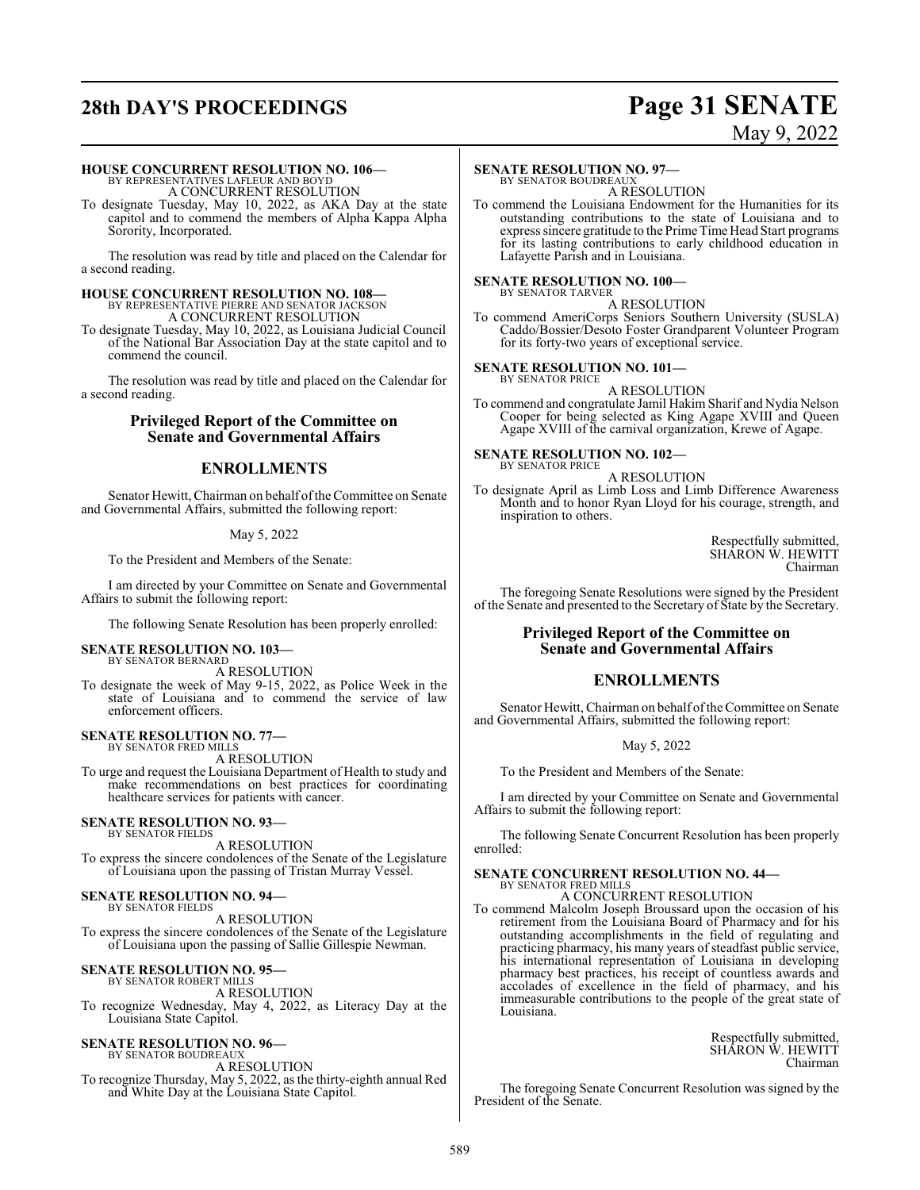## **28th DAY'S PROCEEDINGS Page 31 SENATE**

# May 9, 2022

#### **HOUSE CONCURRENT RESOLUTION NO. 106—**

BY REPRESENTATIVES LAFLEUR AND BOYD A CONCURRENT RESOLUTION

To designate Tuesday, May 10, 2022, as AKA Day at the state capitol and to commend the members of Alpha Kappa Alpha Sorority, Incorporated.

The resolution was read by title and placed on the Calendar for a second reading.

#### **HOUSE CONCURRENT RESOLUTION NO. 108—** BY REPRESENTATIVE PIERRE AND SENATOR JACKSON A CONCURRENT RESOLUTION

To designate Tuesday, May 10, 2022, as Louisiana Judicial Council of the National Bar Association Day at the state capitol and to commend the council.

The resolution was read by title and placed on the Calendar for a second reading.

### **Privileged Report of the Committee on Senate and Governmental Affairs**

### **ENROLLMENTS**

Senator Hewitt, Chairman on behalf ofthe Committee on Senate and Governmental Affairs, submitted the following report:

#### May 5, 2022

To the President and Members of the Senate:

I am directed by your Committee on Senate and Governmental Affairs to submit the following report:

The following Senate Resolution has been properly enrolled:

#### **SENATE RESOLUTION NO. 103—**

BY SENATOR BERNARD A RESOLUTION

To designate the week of May 9-15, 2022, as Police Week in the state of Louisiana and to commend the service of law enforcement officers.

## **SENATE RESOLUTION NO. 77—** BY SENATOR FRED MILLS

A RESOLUTION

To urge and request the Louisiana Department of Health to study and make recommendations on best practices for coordinating healthcare services for patients with cancer.

#### **SENATE RESOLUTION NO. 93—** BY SENATOR FIELDS

A RESOLUTION To express the sincere condolences of the Senate of the Legislature of Louisiana upon the passing of Tristan Murray Vessel.

### **SENATE RESOLUTION NO. 94—**

BY SENATOR FIELDS A RESOLUTION To express the sincere condolences of the Senate of the Legislature of Louisiana upon the passing of Sallie Gillespie Newman.

## **SENATE RESOLUTION NO. 95—** BY SENATOR ROBERT MILLS

A RESOLUTION

To recognize Wednesday, May 4, 2022, as Literacy Day at the Louisiana State Capitol.

### **SENATE RESOLUTION NO. 96—**

BY SENATOR BOUDREAUX A RESOLUTION To recognize Thursday, May 5, 2022, as the thirty-eighth annual Red and White Day at the Louisiana State Capitol.

#### **SENATE RESOLUTION NO. 97—**

BY SENATOR BOUDREAUX A RESOLUTION

To commend the Louisiana Endowment for the Humanities for its outstanding contributions to the state of Louisiana and to express sincere gratitude to the Prime Time Head Start programs for its lasting contributions to early childhood education in Lafayette Parish and in Louisiana.

#### **SENATE RESOLUTION NO. 100—** BY SENATOR TARVER

A RESOLUTION To commend AmeriCorps Seniors Southern University (SUSLA) Caddo/Bossier/Desoto Foster Grandparent Volunteer Program for its forty-two years of exceptional service.

#### **SENATE RESOLUTION NO. 101—**

BY SENATOR PRICE A RESOLUTION

To commend and congratulate Jamil Hakim Sharif and Nydia Nelson Cooper for being selected as King Agape XVIII and Queen Agape XVIII of the carnival organization, Krewe of Agape.

#### **SENATE RESOLUTION NO. 102—** BY SENATOR PRICE

A RESOLUTION

To designate April as Limb Loss and Limb Difference Awareness Month and to honor Ryan Lloyd for his courage, strength, and inspiration to others.

> Respectfully submitted, SHARON W. HEWITT Chairman

The foregoing Senate Resolutions were signed by the President of the Senate and presented to the Secretary of State by the Secretary.

#### **Privileged Report of the Committee on Senate and Governmental Affairs**

### **ENROLLMENTS**

Senator Hewitt, Chairman on behalf of the Committee on Senate and Governmental Affairs, submitted the following report:

May 5, 2022

To the President and Members of the Senate:

I am directed by your Committee on Senate and Governmental Affairs to submit the following report:

The following Senate Concurrent Resolution has been properly enrolled:

## **SENATE CONCURRENT RESOLUTION NO. 44—** BY SENATOR FRED MILLS

A CONCURRENT RESOLUTION

To commend Malcolm Joseph Broussard upon the occasion of his retirement from the Louisiana Board of Pharmacy and for his outstanding accomplishments in the field of regulating and practicing pharmacy, his many years of steadfast public service, his international representation of Louisiana in developing pharmacy best practices, his receipt of countless awards and accolades of excellence in the field of pharmacy, and his immeasurable contributions to the people of the great state of Louisiana.

> Respectfully submitted, SHARON W. HEWITT Chairman

The foregoing Senate Concurrent Resolution was signed by the President of the Senate.